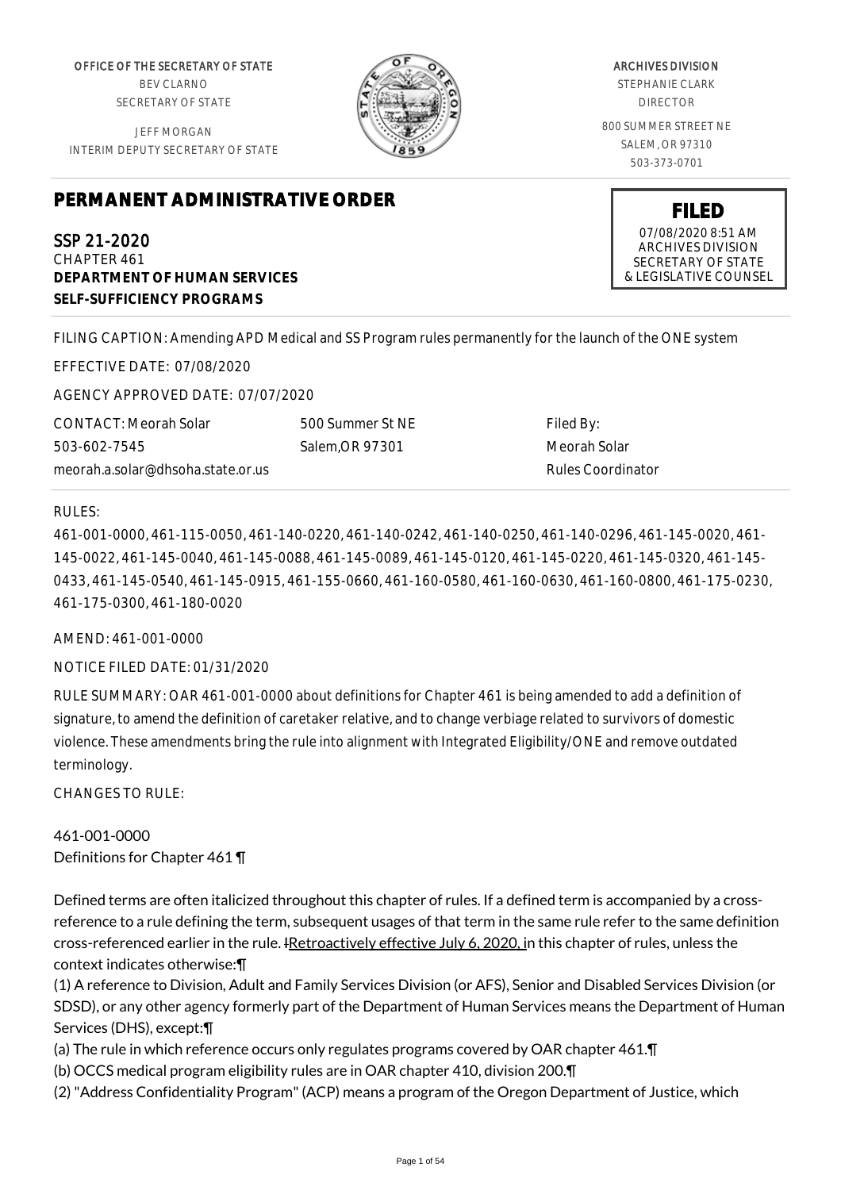OFFICE OF THE SECRETARY OF STATE BEV CLARNO SECRETARY OF STATE

JEFF MORGAN INTERIM DEPUTY SECRETARY OF STATE



ARCHIVES DIVISION STEPHANIE CLARK DIRECTOR 800 SUMMER STREET NE SALEM, OR 97310 503-373-0701

# **PERMANENT ADMINISTRATIVE ORDER**

SSP 21-2020 CHAPTER 461 **DEPARTMENT OF HUMAN SERVICES SELF-SUFFICIENCY PROGRAMS**

FILING CAPTION: Amending APD Medical and SS Program rules permanently for the launch of the ONE system

EFFECTIVE DATE: 07/08/2020

AGENCY APPROVED DATE: 07/07/2020

CONTACT: Meorah Solar 503-602-7545 meorah.a.solar@dhsoha.state.or.us 500 Summer St NE Salem,OR 97301

Filed By: Meorah Solar Rules Coordinator

#### RULES:

461-001-0000, 461-115-0050, 461-140-0220, 461-140-0242, 461-140-0250, 461-140-0296, 461-145-0020, 461- 145-0022, 461-145-0040, 461-145-0088, 461-145-0089, 461-145-0120, 461-145-0220, 461-145-0320, 461-145- 0433, 461-145-0540, 461-145-0915, 461-155-0660, 461-160-0580, 461-160-0630, 461-160-0800, 461-175-0230, 461-175-0300, 461-180-0020

AMEND: 461-001-0000

NOTICE FILED DATE: 01/31/2020

RULE SUMMARY: OAR 461-001-0000 about definitions for Chapter 461 is being amended to add a definition of signature, to amend the definition of caretaker relative, and to change verbiage related to survivors of domestic violence. These amendments bring the rule into alignment with Integrated Eligibility/ONE and remove outdated terminology.

CHANGES TO RULE:

461-001-0000 Definitions for Chapter 461 ¶

Defined terms are often italicized throughout this chapter of rules. If a defined term is accompanied by a crossreference to a rule defining the term, subsequent usages of that term in the same rule refer to the same definition cross-referenced earlier in the rule. IRetroactively effective July 6, 2020, in this chapter of rules, unless the context indicates otherwise:¶

(1) A reference to Division, Adult and Family Services Division (or AFS), Senior and Disabled Services Division (or SDSD), or any other agency formerly part of the Department of Human Services means the Department of Human Services (DHS), except:¶

(a) The rule in which reference occurs only regulates programs covered by OAR chapter 461.¶

(b) OCCS medical program eligibility rules are in OAR chapter 410, division 200.¶

(2) "Address Confidentiality Program" (ACP) means a program of the Oregon Department of Justice, which

**FILED**

07/08/2020 8:51 AM ARCHIVES DIVISION SECRETARY OF STATE & LEGISLATIVE COUNSEL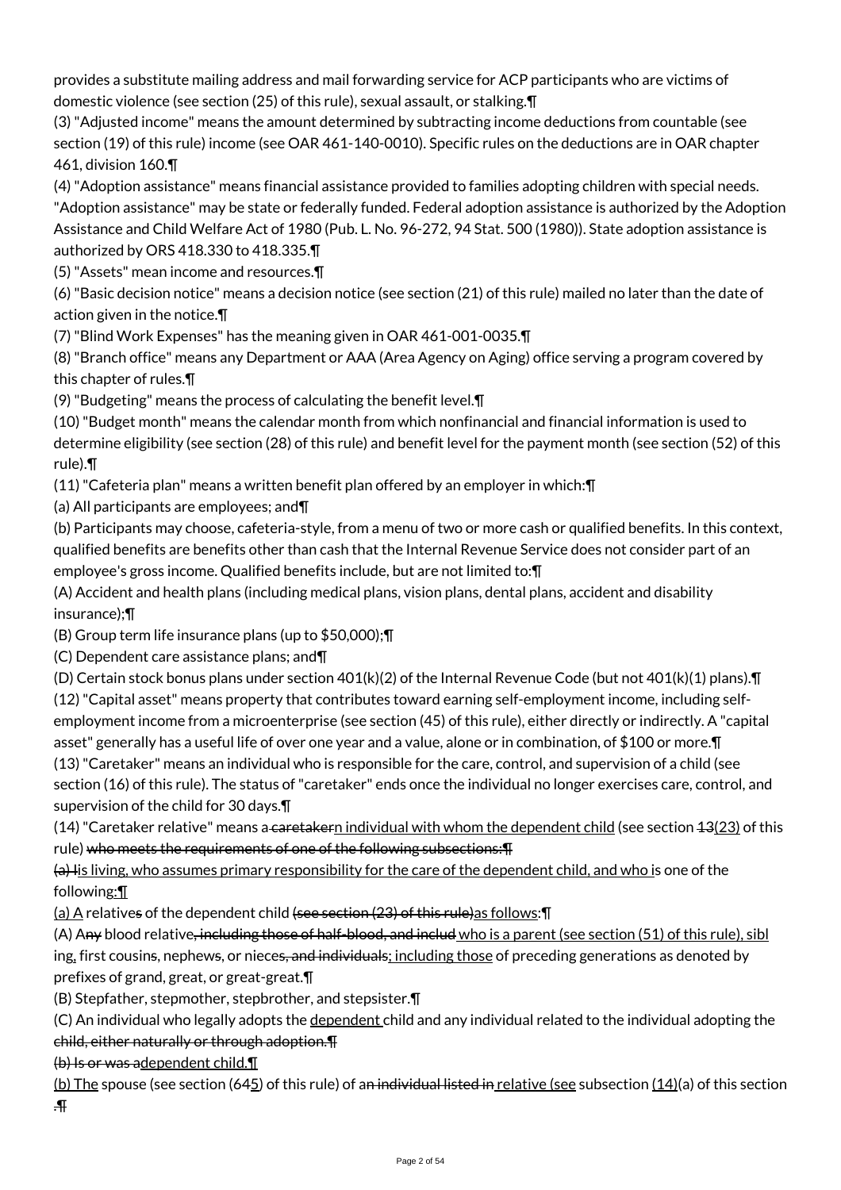provides a substitute mailing address and mail forwarding service for ACP participants who are victims of domestic violence (see section (25) of this rule), sexual assault, or stalking.¶

(3) "Adjusted income" means the amount determined by subtracting income deductions from countable (see section (19) of this rule) income (see OAR 461-140-0010). Specific rules on the deductions are in OAR chapter 461, division 160.¶

(4) "Adoption assistance" means financial assistance provided to families adopting children with special needs.

"Adoption assistance" may be state or federally funded. Federal adoption assistance is authorized by the Adoption Assistance and Child Welfare Act of 1980 (Pub. L. No. 96-272, 94 Stat. 500 (1980)). State adoption assistance is authorized by ORS 418.330 to 418.335.¶

(5) "Assets" mean income and resources.¶

(6) "Basic decision notice" means a decision notice (see section (21) of this rule) mailed no later than the date of action given in the notice.¶

(7) "Blind Work Expenses" has the meaning given in OAR 461-001-0035.¶

(8) "Branch office" means any Department or AAA (Area Agency on Aging) office serving a program covered by this chapter of rules.¶

(9) "Budgeting" means the process of calculating the benefit level.¶

(10) "Budget month" means the calendar month from which nonfinancial and financial information is used to determine eligibility (see section (28) of this rule) and benefit level for the payment month (see section (52) of this rule).¶

(11) "Cafeteria plan" means a written benefit plan offered by an employer in which:¶

(a) All participants are employees; and¶

(b) Participants may choose, cafeteria-style, from a menu of two or more cash or qualified benefits. In this context, qualified benefits are benefits other than cash that the Internal Revenue Service does not consider part of an employee's gross income. Qualified benefits include, but are not limited to:¶

(A) Accident and health plans (including medical plans, vision plans, dental plans, accident and disability insurance);¶

(B) Group term life insurance plans (up to \$50,000);¶

(C) Dependent care assistance plans; and¶

(D) Certain stock bonus plans under section 401(k)(2) of the Internal Revenue Code (but not 401(k)(1) plans).¶ (12) "Capital asset" means property that contributes toward earning self-employment income, including selfemployment income from a microenterprise (see section (45) of this rule), either directly or indirectly. A "capital asset" generally has a useful life of over one year and a value, alone or in combination, of \$100 or more.¶

(13) "Caretaker" means an individual who is responsible for the care, control, and supervision of a child (see section (16) of this rule). The status of "caretaker" ends once the individual no longer exercises care, control, and supervision of the child for 30 days.¶

(14) "Caretaker relative" means a caretakern individual with whom the dependent child (see section  $43(23)$  of this rule) who meets the requirements of one of the following subsections:¶

 $(a)$  Iis living, who assumes primary responsibility for the care of the dependent child, and who is one of the following:¶

 $(a)$  A relatives of the dependent child (see section (23) of this rule) as follows:  $\P$ 

(A) Any blood relative, including those of half-blood, and includ who is a parent (see section (51) of this rule), sibl ing, first cousins, nephews, or nieces, and individuals; including those of preceding generations as denoted by prefixes of grand, great, or great-great.¶

(B) Stepfather, stepmother, stepbrother, and stepsister.¶

(C) An individual who legally adopts the dependent child and any individual related to the individual adopting the

# child, either naturally or through adoption.¶

(b) Is or was adependent child.¶

(b) The spouse (see section (645) of this rule) of an individual listed in relative (see subsection  $(14)(a)$  of this section .¶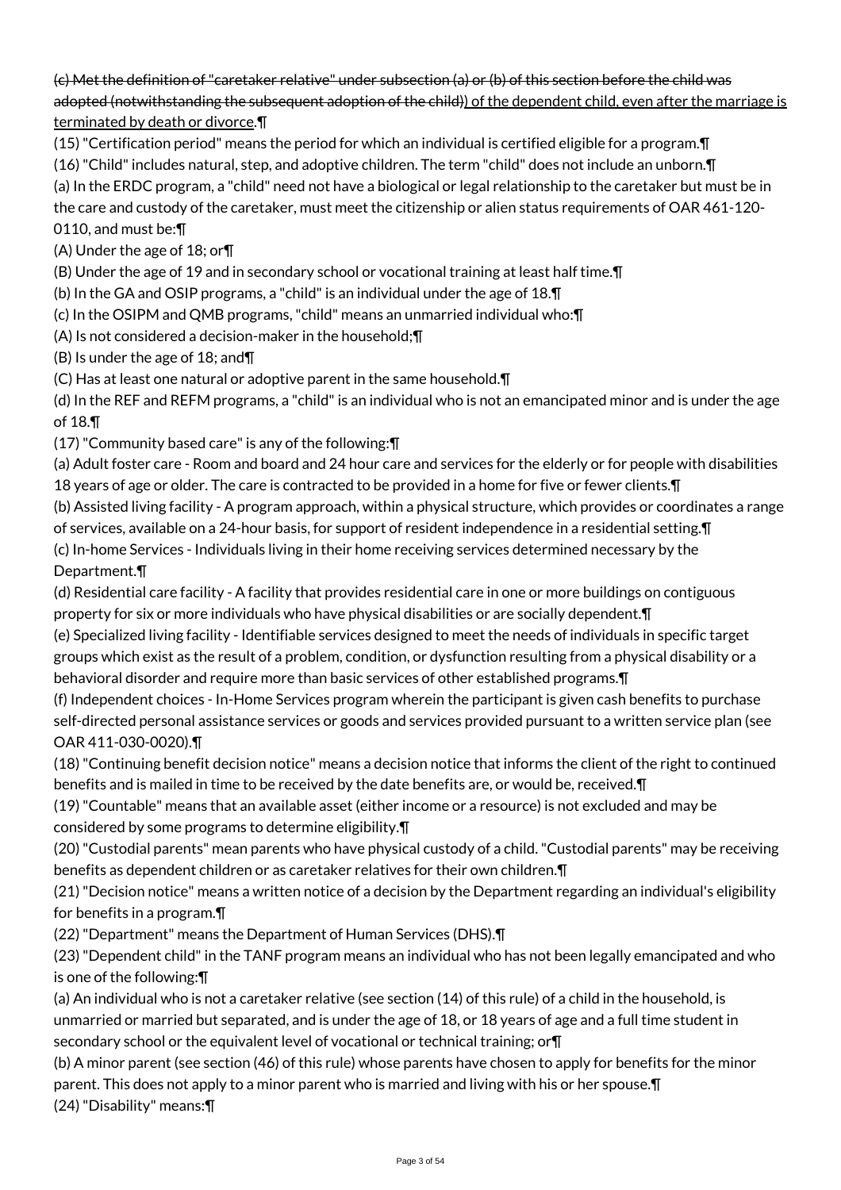# (c) Met the definition of "caretaker relative" under subsection (a) or (b) of this section before the child was adopted (notwithstanding the subsequent adoption of the child)) of the dependent child, even after the marriage is terminated by death or divorce.¶

(15) "Certification period" means the period for which an individual is certified eligible for a program.¶

(16) "Child" includes natural, step, and adoptive children. The term "child" does not include an unborn.¶

(a) In the ERDC program, a "child" need not have a biological or legal relationship to the caretaker but must be in

the care and custody of the caretaker, must meet the citizenship or alien status requirements of OAR 461-120-

# 0110, and must be:¶

(A) Under the age of 18; or¶

(B) Under the age of 19 and in secondary school or vocational training at least half time.¶

(b) In the GA and OSIP programs, a "child" is an individual under the age of 18.¶

(c) In the OSIPM and QMB programs, "child" means an unmarried individual who:¶

(A) Is not considered a decision-maker in the household;¶

(B) Is under the age of 18; and¶

(C) Has at least one natural or adoptive parent in the same household.¶

(d) In the REF and REFM programs, a "child" is an individual who is not an emancipated minor and is under the age of 18.¶

(17) "Community based care" is any of the following:¶

(a) Adult foster care - Room and board and 24 hour care and services for the elderly or for people with disabilities 18 years of age or older. The care is contracted to be provided in a home for five or fewer clients. In

(b) Assisted living facility - A program approach, within a physical structure, which provides or coordinates a range of services, available on a 24-hour basis, for support of resident independence in a residential setting.¶ (c) In-home Services - Individuals living in their home receiving services determined necessary by the

### Department.¶

(d) Residential care facility - A facility that provides residential care in one or more buildings on contiguous property for six or more individuals who have physical disabilities or are socially dependent.¶

(e) Specialized living facility - Identifiable services designed to meet the needs of individuals in specific target groups which exist as the result of a problem, condition, or dysfunction resulting from a physical disability or a behavioral disorder and require more than basic services of other established programs.¶

(f) Independent choices - In-Home Services program wherein the participant is given cash benefits to purchase self-directed personal assistance services or goods and services provided pursuant to a written service plan (see OAR 411-030-0020).¶

(18) "Continuing benefit decision notice" means a decision notice that informs the client of the right to continued benefits and is mailed in time to be received by the date benefits are, or would be, received.¶

(19) "Countable" means that an available asset (either income or a resource) is not excluded and may be considered by some programs to determine eligibility.¶

(20) "Custodial parents" mean parents who have physical custody of a child. "Custodial parents" may be receiving benefits as dependent children or as caretaker relatives for their own children.¶

(21) "Decision notice" means a written notice of a decision by the Department regarding an individual's eligibility for benefits in a program.¶

(22) "Department" means the Department of Human Services (DHS).¶

(23) "Dependent child" in the TANF program means an individual who has not been legally emancipated and who is one of the following:¶

(a) An individual who is not a caretaker relative (see section (14) of this rule) of a child in the household, is unmarried or married but separated, and is under the age of 18, or 18 years of age and a full time student in secondary school or the equivalent level of vocational or technical training; or¶

(b) A minor parent (see section (46) of this rule) whose parents have chosen to apply for benefits for the minor parent. This does not apply to a minor parent who is married and living with his or her spouse.¶ (24) "Disability" means:¶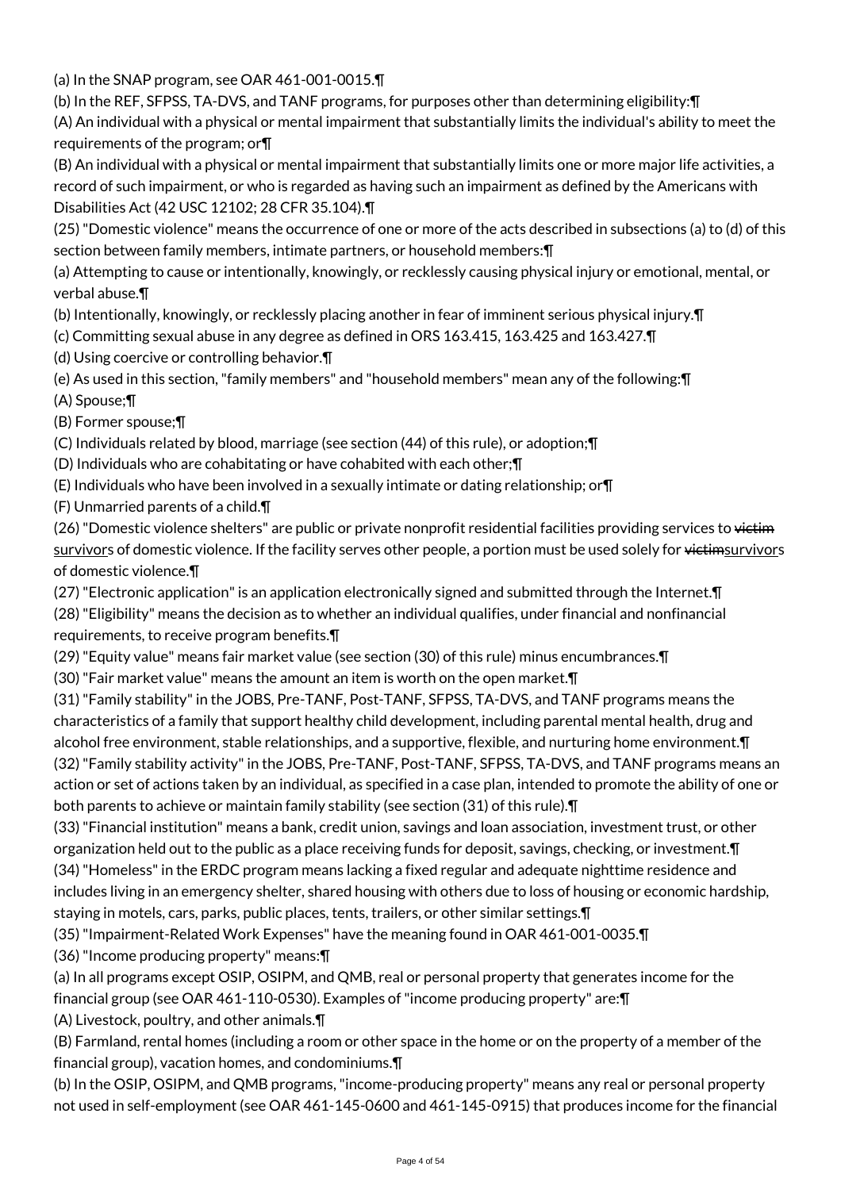(a) In the SNAP program, see OAR 461-001-0015.¶

(b) In the REF, SFPSS, TA-DVS, and TANF programs, for purposes other than determining eligibility:¶

(A) An individual with a physical or mental impairment that substantially limits the individual's ability to meet the requirements of the program; or¶

(B) An individual with a physical or mental impairment that substantially limits one or more major life activities, a record of such impairment, or who is regarded as having such an impairment as defined by the Americans with Disabilities Act (42 USC 12102; 28 CFR 35.104).¶

(25) "Domestic violence" means the occurrence of one or more of the acts described in subsections (a) to (d) of this section between family members, intimate partners, or household members:¶

(a) Attempting to cause or intentionally, knowingly, or recklessly causing physical injury or emotional, mental, or verbal abuse.¶

(b) Intentionally, knowingly, or recklessly placing another in fear of imminent serious physical injury.¶

(c) Committing sexual abuse in any degree as defined in ORS 163.415, 163.425 and 163.427.¶

(d) Using coercive or controlling behavior.¶

(e) As used in this section, "family members" and "household members" mean any of the following:¶ (A) Spouse;¶

(B) Former spouse;¶

(C) Individuals related by blood, marriage (see section (44) of this rule), or adoption;¶

(D) Individuals who are cohabitating or have cohabited with each other;¶

(E) Individuals who have been involved in a sexually intimate or dating relationship; or¶

(F) Unmarried parents of a child.¶

(26) "Domestic violence shelters" are public or private nonprofit residential facilities providing services to victim survivors of domestic violence. If the facility serves other people, a portion must be used solely for victimsurvivors of domestic violence.¶

(27) "Electronic application" is an application electronically signed and submitted through the Internet.¶

(28) "Eligibility" means the decision as to whether an individual qualifies, under financial and nonfinancial requirements, to receive program benefits.¶

(29) "Equity value" means fair market value (see section (30) of this rule) minus encumbrances.¶

(30) "Fair market value" means the amount an item is worth on the open market.¶

(31) "Family stability" in the JOBS, Pre-TANF, Post-TANF, SFPSS, TA-DVS, and TANF programs means the characteristics of a family that support healthy child development, including parental mental health, drug and alcohol free environment, stable relationships, and a supportive, flexible, and nurturing home environment.¶ (32) "Family stability activity" in the JOBS, Pre-TANF, Post-TANF, SFPSS, TA-DVS, and TANF programs means an action or set of actions taken by an individual, as specified in a case plan, intended to promote the ability of one or both parents to achieve or maintain family stability (see section (31) of this rule).¶

(33) "Financial institution" means a bank, credit union, savings and loan association, investment trust, or other organization held out to the public as a place receiving funds for deposit, savings, checking, or investment.¶ (34) "Homeless" in the ERDC program means lacking a fixed regular and adequate nighttime residence and

includes living in an emergency shelter, shared housing with others due to loss of housing or economic hardship, staying in motels, cars, parks, public places, tents, trailers, or other similar settings.¶

(35) "Impairment-Related Work Expenses" have the meaning found in OAR 461-001-0035.¶

(36) "Income producing property" means:¶

(a) In all programs except OSIP, OSIPM, and QMB, real or personal property that generates income for the financial group (see OAR 461-110-0530). Examples of "income producing property" are:¶

(A) Livestock, poultry, and other animals.¶

(B) Farmland, rental homes (including a room or other space in the home or on the property of a member of the financial group), vacation homes, and condominiums.¶

(b) In the OSIP, OSIPM, and QMB programs, "income-producing property" means any real or personal property not used in self-employment (see OAR 461-145-0600 and 461-145-0915) that produces income for the financial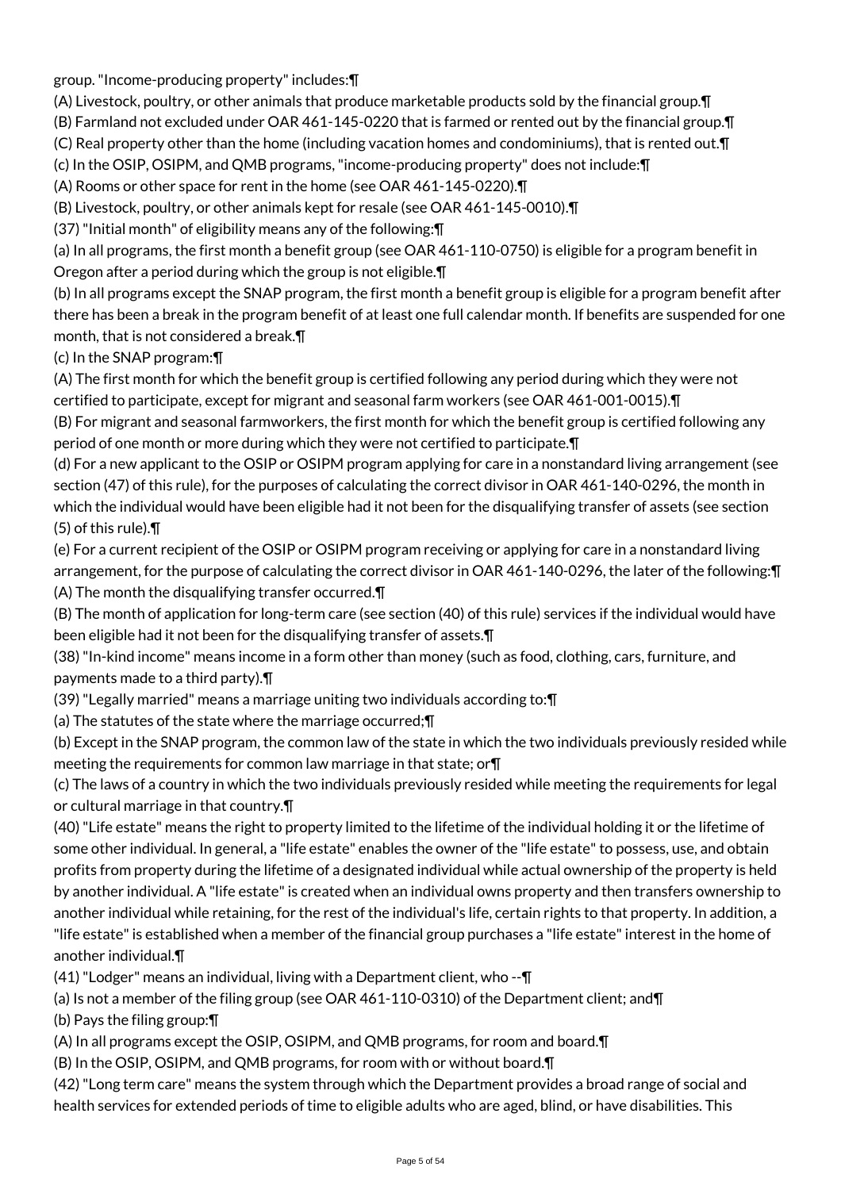group. "Income-producing property" includes:¶

(A) Livestock, poultry, or other animals that produce marketable products sold by the financial group.¶ (B) Farmland not excluded under OAR 461-145-0220 that is farmed or rented out by the financial group.¶

(C) Real property other than the home (including vacation homes and condominiums), that is rented out.¶

(c) In the OSIP, OSIPM, and QMB programs, "income-producing property" does not include:¶

(A) Rooms or other space for rent in the home (see OAR 461-145-0220).¶

(B) Livestock, poultry, or other animals kept for resale (see OAR 461-145-0010).¶

(37) "Initial month" of eligibility means any of the following:¶

(a) In all programs, the first month a benefit group (see OAR 461-110-0750) is eligible for a program benefit in Oregon after a period during which the group is not eligible.¶

(b) In all programs except the SNAP program, the first month a benefit group is eligible for a program benefit after there has been a break in the program benefit of at least one full calendar month. If benefits are suspended for one month, that is not considered a break.¶

(c) In the SNAP program:¶

(A) The first month for which the benefit group is certified following any period during which they were not certified to participate, except for migrant and seasonal farm workers (see OAR 461-001-0015).¶

(B) For migrant and seasonal farmworkers, the first month for which the benefit group is certified following any period of one month or more during which they were not certified to participate.¶

(d) For a new applicant to the OSIP or OSIPM program applying for care in a nonstandard living arrangement (see section (47) of this rule), for the purposes of calculating the correct divisor in OAR 461-140-0296, the month in which the individual would have been eligible had it not been for the disqualifying transfer of assets (see section (5) of this rule).¶

(e) For a current recipient of the OSIP or OSIPM program receiving or applying for care in a nonstandard living arrangement, for the purpose of calculating the correct divisor in OAR 461-140-0296, the later of the following:¶ (A) The month the disqualifying transfer occurred.¶

(B) The month of application for long-term care (see section (40) of this rule) services if the individual would have been eligible had it not been for the disqualifying transfer of assets.¶

(38) "In-kind income" means income in a form other than money (such as food, clothing, cars, furniture, and payments made to a third party).¶

(39) "Legally married" means a marriage uniting two individuals according to:¶

(a) The statutes of the state where the marriage occurred;¶

(b) Except in the SNAP program, the common law of the state in which the two individuals previously resided while meeting the requirements for common law marriage in that state; or¶

(c) The laws of a country in which the two individuals previously resided while meeting the requirements for legal or cultural marriage in that country.¶

(40) "Life estate" means the right to property limited to the lifetime of the individual holding it or the lifetime of some other individual. In general, a "life estate" enables the owner of the "life estate" to possess, use, and obtain profits from property during the lifetime of a designated individual while actual ownership of the property is held by another individual. A "life estate" is created when an individual owns property and then transfers ownership to another individual while retaining, for the rest of the individual's life, certain rights to that property. In addition, a "life estate" is established when a member of the financial group purchases a "life estate" interest in the home of another individual.¶

(41) "Lodger" means an individual, living with a Department client, who --¶

(a) Is not a member of the filing group (see OAR 461-110-0310) of the Department client; and¶

(b) Pays the filing group:¶

(A) In all programs except the OSIP, OSIPM, and QMB programs, for room and board.¶

(B) In the OSIP, OSIPM, and QMB programs, for room with or without board.¶

(42) "Long term care" means the system through which the Department provides a broad range of social and health services for extended periods of time to eligible adults who are aged, blind, or have disabilities. This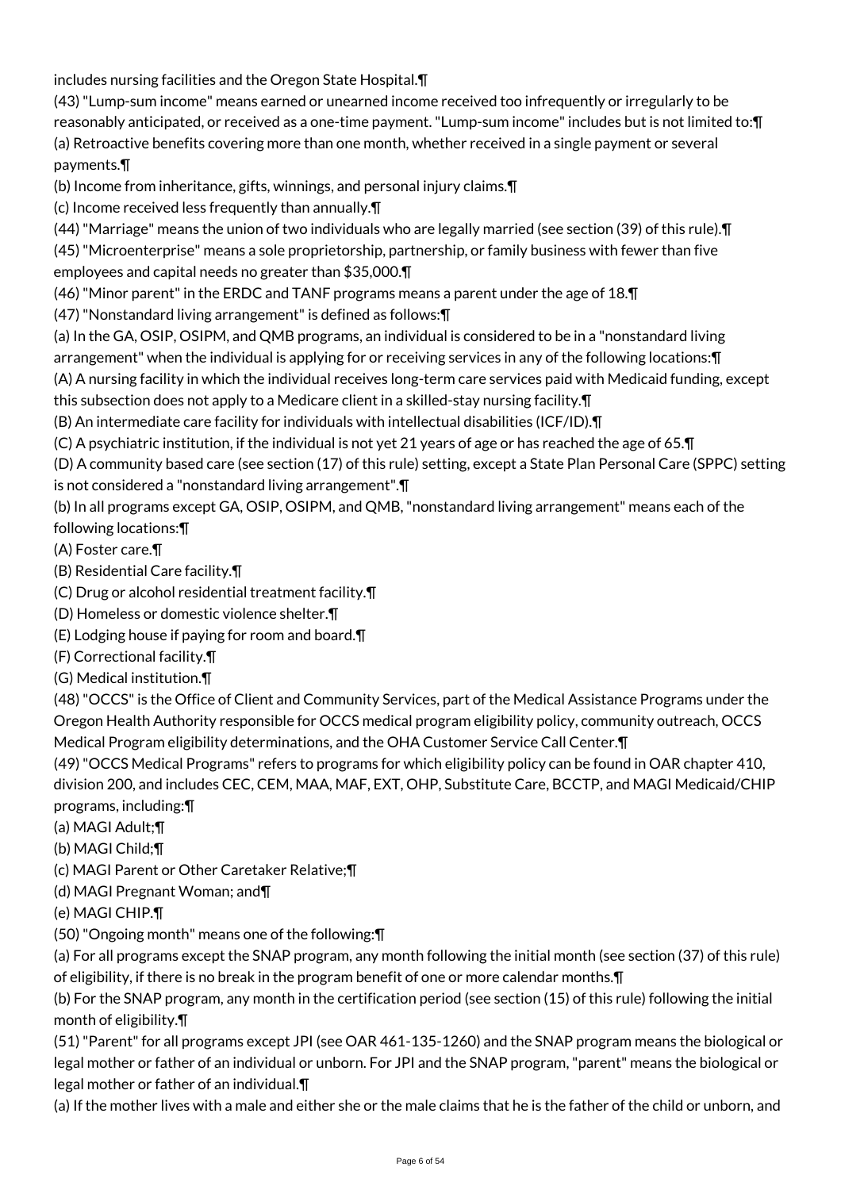includes nursing facilities and the Oregon State Hospital.¶

- (43) "Lump-sum income" means earned or unearned income received too infrequently or irregularly to be reasonably anticipated, or received as a one-time payment. "Lump-sum income" includes but is not limited to:¶ (a) Retroactive benefits covering more than one month, whether received in a single payment or several payments.¶
- (b) Income from inheritance, gifts, winnings, and personal injury claims.¶
- (c) Income received less frequently than annually.¶
- (44) "Marriage" means the union of two individuals who are legally married (see section (39) of this rule).¶
- (45) "Microenterprise" means a sole proprietorship, partnership, or family business with fewer than five employees and capital needs no greater than \$35,000.¶
- (46) "Minor parent" in the ERDC and TANF programs means a parent under the age of 18.¶
- (47) "Nonstandard living arrangement" is defined as follows:¶
- (a) In the GA, OSIP, OSIPM, and QMB programs, an individual is considered to be in a "nonstandard living arrangement" when the individual is applying for or receiving services in any of the following locations:¶
- (A) A nursing facility in which the individual receives long-term care services paid with Medicaid funding, except this subsection does not apply to a Medicare client in a skilled-stay nursing facility.¶
- (B) An intermediate care facility for individuals with intellectual disabilities (ICF/ID).¶
- (C) A psychiatric institution, if the individual is not yet 21 years of age or has reached the age of 65.¶
- (D) A community based care (see section (17) of this rule) setting, except a State Plan Personal Care (SPPC) setting is not considered a "nonstandard living arrangement".¶
- (b) In all programs except GA, OSIP, OSIPM, and QMB, "nonstandard living arrangement" means each of the following locations:¶
- (A) Foster care.¶
- (B) Residential Care facility.¶
- (C) Drug or alcohol residential treatment facility.¶
- (D) Homeless or domestic violence shelter.¶
- (E) Lodging house if paying for room and board.¶
- (F) Correctional facility.¶
- (G) Medical institution.¶
- (48) "OCCS" is the Office of Client and Community Services, part of the Medical Assistance Programs under the Oregon Health Authority responsible for OCCS medical program eligibility policy, community outreach, OCCS Medical Program eligibility determinations, and the OHA Customer Service Call Center.¶
- (49) "OCCS Medical Programs" refers to programs for which eligibility policy can be found in OAR chapter 410, division 200, and includes CEC, CEM, MAA, MAF, EXT, OHP, Substitute Care, BCCTP, and MAGI Medicaid/CHIP programs, including:¶
- (a) MAGI Adult;¶
- (b) MAGI Child;¶
- (c) MAGI Parent or Other Caretaker Relative;¶
- (d) MAGI Pregnant Woman; and¶
- (e) MAGI CHIP.¶
- (50) "Ongoing month" means one of the following:¶
- (a) For all programs except the SNAP program, any month following the initial month (see section (37) of this rule) of eligibility, if there is no break in the program benefit of one or more calendar months.¶
- (b) For the SNAP program, any month in the certification period (see section (15) of this rule) following the initial month of eligibility.¶
- (51) "Parent" for all programs except JPI (see OAR 461-135-1260) and the SNAP program means the biological or legal mother or father of an individual or unborn. For JPI and the SNAP program, "parent" means the biological or legal mother or father of an individual.¶
- (a) If the mother lives with a male and either she or the male claims that he is the father of the child or unborn, and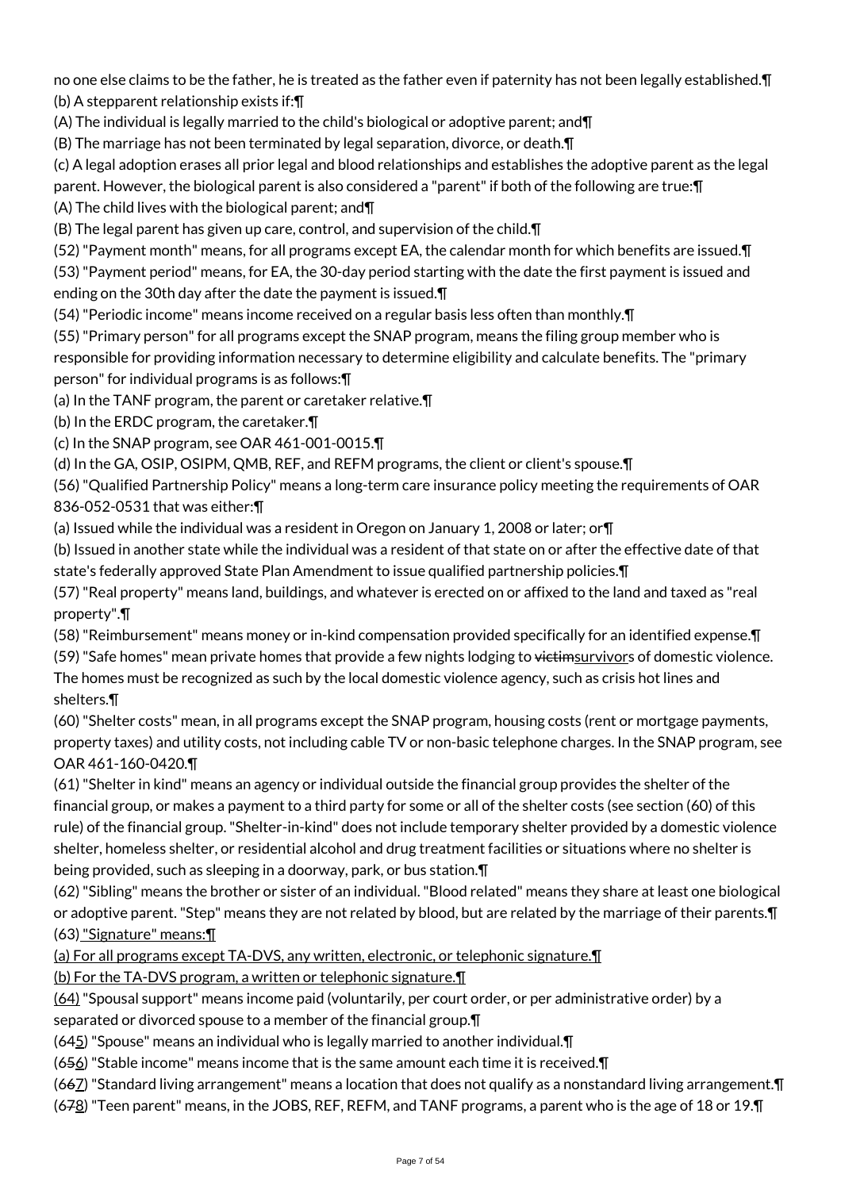no one else claims to be the father, he is treated as the father even if paternity has not been legally established.¶ (b) A stepparent relationship exists if:¶

(A) The individual is legally married to the child's biological or adoptive parent; and¶

(B) The marriage has not been terminated by legal separation, divorce, or death.¶

(c) A legal adoption erases all prior legal and blood relationships and establishes the adoptive parent as the legal parent. However, the biological parent is also considered a "parent" if both of the following are true:¶

(A) The child lives with the biological parent; and¶

(B) The legal parent has given up care, control, and supervision of the child.¶

(52) "Payment month" means, for all programs except EA, the calendar month for which benefits are issued.¶

(53) "Payment period" means, for EA, the 30-day period starting with the date the first payment is issued and ending on the 30th day after the date the payment is issued.¶

(54) "Periodic income" means income received on a regular basis less often than monthly.¶

(55) "Primary person" for all programs except the SNAP program, means the filing group member who is

responsible for providing information necessary to determine eligibility and calculate benefits. The "primary person" for individual programs is as follows:¶

(a) In the TANF program, the parent or caretaker relative.¶

(b) In the ERDC program, the caretaker.¶

(c) In the SNAP program, see OAR 461-001-0015.¶

(d) In the GA, OSIP, OSIPM, QMB, REF, and REFM programs, the client or client's spouse.¶

(56) "Qualified Partnership Policy" means a long-term care insurance policy meeting the requirements of OAR 836-052-0531 that was either:¶

(a) Issued while the individual was a resident in Oregon on January 1, 2008 or later; or¶

(b) Issued in another state while the individual was a resident of that state on or after the effective date of that state's federally approved State Plan Amendment to issue qualified partnership policies.¶

(57) "Real property" means land, buildings, and whatever is erected on or affixed to the land and taxed as "real property".¶

(58) "Reimbursement" means money or in-kind compensation provided specifically for an identified expense.¶

(59) "Safe homes" mean private homes that provide a few nights lodging to victimsurvivors of domestic violence. The homes must be recognized as such by the local domestic violence agency, such as crisis hot lines and shelters.¶

(60) "Shelter costs" mean, in all programs except the SNAP program, housing costs (rent or mortgage payments, property taxes) and utility costs, not including cable TV or non-basic telephone charges. In the SNAP program, see OAR 461-160-0420.¶

(61) "Shelter in kind" means an agency or individual outside the financial group provides the shelter of the financial group, or makes a payment to a third party for some or all of the shelter costs (see section (60) of this rule) of the financial group. "Shelter-in-kind" does not include temporary shelter provided by a domestic violence shelter, homeless shelter, or residential alcohol and drug treatment facilities or situations where no shelter is being provided, such as sleeping in a doorway, park, or bus station.¶

(62) "Sibling" means the brother or sister of an individual. "Blood related" means they share at least one biological or adoptive parent. "Step" means they are not related by blood, but are related by the marriage of their parents.¶ (63) "Signature" means:¶

(a) For all programs except TA-DVS, any written, electronic, or telephonic signature.¶

(b) For the TA-DVS program, a written or telephonic signature.¶

(64) "Spousal support" means income paid (voluntarily, per court order, or per administrative order) by a separated or divorced spouse to a member of the financial group.¶

(645) "Spouse" means an individual who is legally married to another individual.¶

 $(656)$  "Stable income" means income that is the same amount each time it is received. $\P$ 

(667) "Standard living arrangement" means a location that does not qualify as a nonstandard living arrangement.¶

(678) "Teen parent" means, in the JOBS, REF, REFM, and TANF programs, a parent who is the age of 18 or 19.¶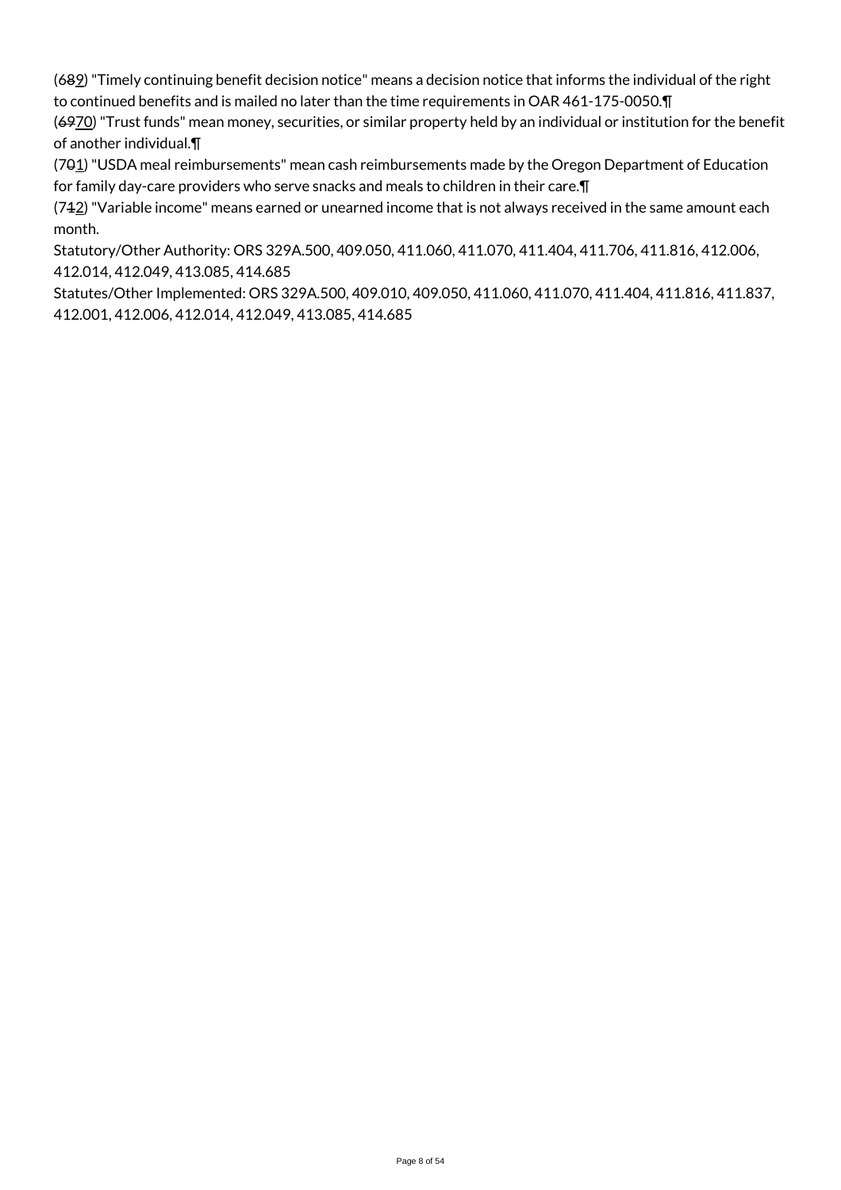(689) "Timely continuing benefit decision notice" means a decision notice that informs the individual of the right to continued benefits and is mailed no later than the time requirements in OAR 461-175-0050.¶

(6970) "Trust funds" mean money, securities, or similar property held by an individual or institution for the benefit of another individual.¶

(701) "USDA meal reimbursements" mean cash reimbursements made by the Oregon Department of Education for family day-care providers who serve snacks and meals to children in their care.¶

 $(742)$  "Variable income" means earned or unearned income that is not always received in the same amount each month.

Statutory/Other Authority: ORS 329A.500, 409.050, 411.060, 411.070, 411.404, 411.706, 411.816, 412.006, 412.014, 412.049, 413.085, 414.685

Statutes/Other Implemented: ORS 329A.500, 409.010, 409.050, 411.060, 411.070, 411.404, 411.816, 411.837, 412.001, 412.006, 412.014, 412.049, 413.085, 414.685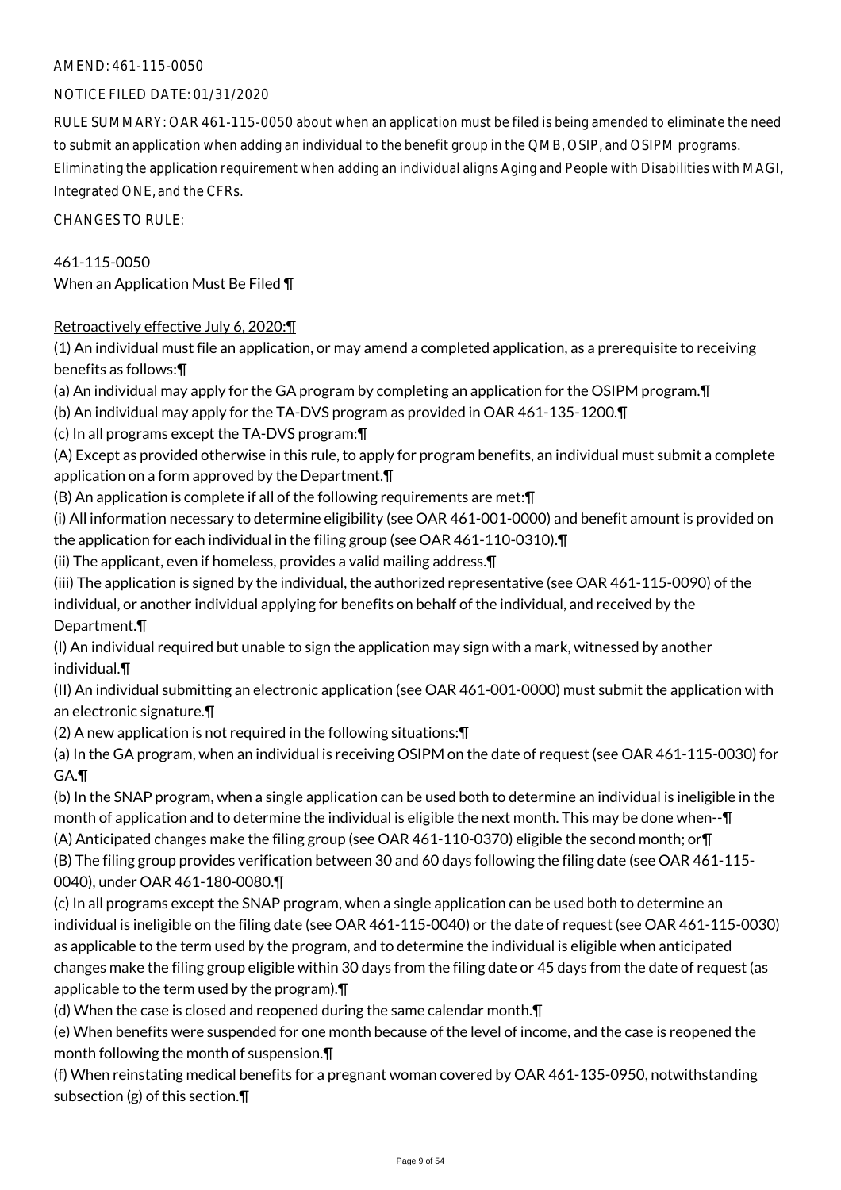### NOTICE FILED DATE: 01/31/2020

RULE SUMMARY: OAR 461-115-0050 about when an application must be filed is being amended to eliminate the need to submit an application when adding an individual to the benefit group in the QMB, OSIP, and OSIPM programs. Eliminating the application requirement when adding an individual aligns Aging and People with Disabilities with MAGI, Integrated ONE, and the CFRs.

CHANGES TO RULE:

461-115-0050 When an Application Must Be Filed ¶

### Retroactively effective July 6, 2020:¶

(1) An individual must file an application, or may amend a completed application, as a prerequisite to receiving benefits as follows:¶

(a) An individual may apply for the GA program by completing an application for the OSIPM program.¶

(b) An individual may apply for the TA-DVS program as provided in OAR 461-135-1200.¶

(c) In all programs except the TA-DVS program:¶

(A) Except as provided otherwise in this rule, to apply for program benefits, an individual must submit a complete application on a form approved by the Department.¶

(B) An application is complete if all of the following requirements are met:¶

(i) All information necessary to determine eligibility (see OAR 461-001-0000) and benefit amount is provided on the application for each individual in the filing group (see OAR 461-110-0310).¶

(ii) The applicant, even if homeless, provides a valid mailing address.¶

(iii) The application is signed by the individual, the authorized representative (see OAR 461-115-0090) of the individual, or another individual applying for benefits on behalf of the individual, and received by the Department.¶

(I) An individual required but unable to sign the application may sign with a mark, witnessed by another individual.¶

(II) An individual submitting an electronic application (see OAR 461-001-0000) must submit the application with an electronic signature.¶

(2) A new application is not required in the following situations:¶

(a) In the GA program, when an individual is receiving OSIPM on the date of request (see OAR 461-115-0030) for GA.¶

(b) In the SNAP program, when a single application can be used both to determine an individual is ineligible in the month of application and to determine the individual is eligible the next month. This may be done when--¶

(A) Anticipated changes make the filing group (see OAR 461-110-0370) eligible the second month; or¶

(B) The filing group provides verification between 30 and 60 days following the filing date (see OAR 461-115- 0040), under OAR 461-180-0080.¶

(c) In all programs except the SNAP program, when a single application can be used both to determine an individual is ineligible on the filing date (see OAR 461-115-0040) or the date of request (see OAR 461-115-0030) as applicable to the term used by the program, and to determine the individual is eligible when anticipated changes make the filing group eligible within 30 days from the filing date or 45 days from the date of request (as applicable to the term used by the program).¶

(d) When the case is closed and reopened during the same calendar month.¶

(e) When benefits were suspended for one month because of the level of income, and the case is reopened the month following the month of suspension.¶

(f) When reinstating medical benefits for a pregnant woman covered by OAR 461-135-0950, notwithstanding subsection (g) of this section.¶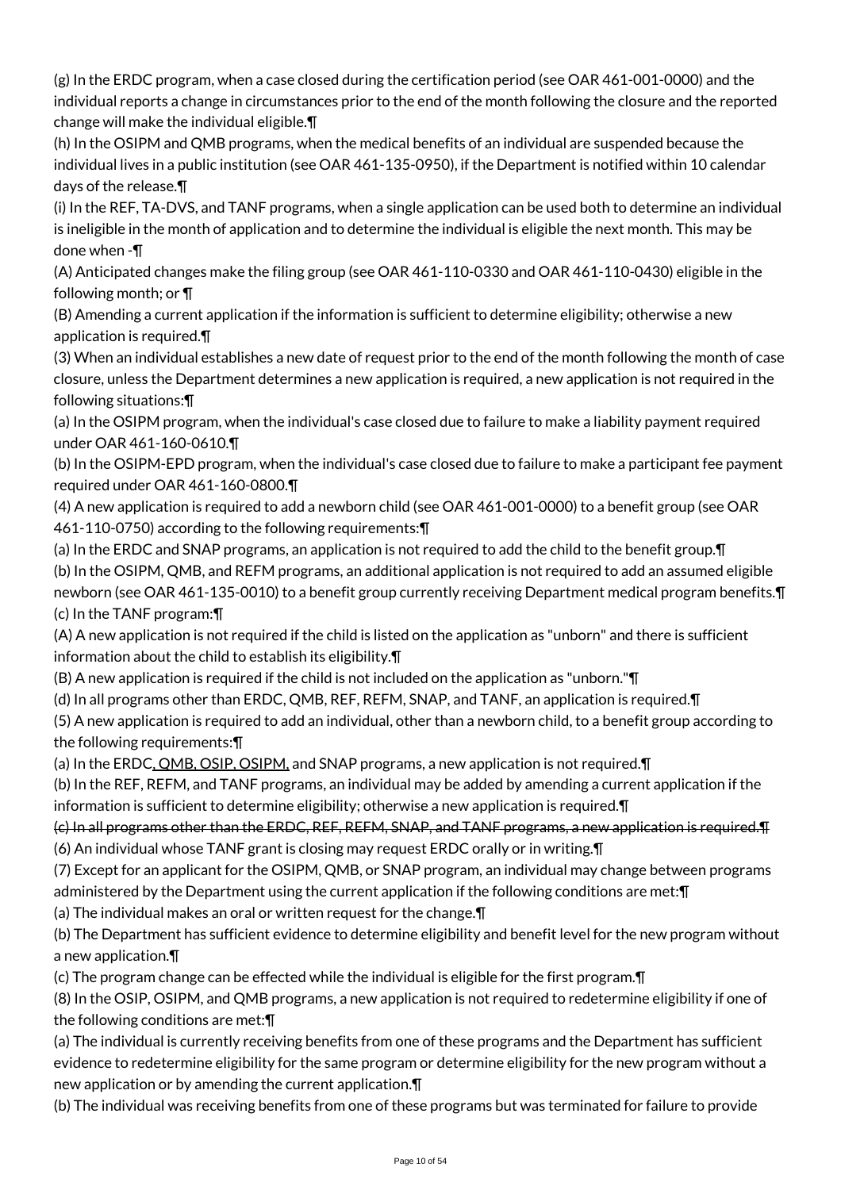(g) In the ERDC program, when a case closed during the certification period (see OAR 461-001-0000) and the individual reports a change in circumstances prior to the end of the month following the closure and the reported change will make the individual eligible.¶

(h) In the OSIPM and QMB programs, when the medical benefits of an individual are suspended because the individual lives in a public institution (see OAR 461-135-0950), if the Department is notified within 10 calendar days of the release.¶

(i) In the REF, TA-DVS, and TANF programs, when a single application can be used both to determine an individual is ineligible in the month of application and to determine the individual is eligible the next month. This may be done when -¶

(A) Anticipated changes make the filing group (see OAR 461-110-0330 and OAR 461-110-0430) eligible in the following month; or ¶

(B) Amending a current application if the information is sufficient to determine eligibility; otherwise a new application is required.¶

(3) When an individual establishes a new date of request prior to the end of the month following the month of case closure, unless the Department determines a new application is required, a new application is not required in the following situations:¶

(a) In the OSIPM program, when the individual's case closed due to failure to make a liability payment required under OAR 461-160-0610.¶

(b) In the OSIPM-EPD program, when the individual's case closed due to failure to make a participant fee payment required under OAR 461-160-0800.¶

(4) A new application is required to add a newborn child (see OAR 461-001-0000) to a benefit group (see OAR 461-110-0750) according to the following requirements:¶

(a) In the ERDC and SNAP programs, an application is not required to add the child to the benefit group.¶ (b) In the OSIPM, QMB, and REFM programs, an additional application is not required to add an assumed eligible newborn (see OAR 461-135-0010) to a benefit group currently receiving Department medical program benefits.¶ (c) In the TANF program:¶

(A) A new application is not required if the child is listed on the application as "unborn" and there is sufficient information about the child to establish its eligibility.¶

(B) A new application is required if the child is not included on the application as "unborn."¶

(d) In all programs other than ERDC, QMB, REF, REFM, SNAP, and TANF, an application is required.¶

(5) A new application is required to add an individual, other than a newborn child, to a benefit group according to the following requirements:¶

(a) In the ERDC, QMB, OSIP, OSIPM, and SNAP programs, a new application is not required. T

(b) In the REF, REFM, and TANF programs, an individual may be added by amending a current application if the information is sufficient to determine eligibility; otherwise a new application is required.¶

(c) In all programs other than the ERDC, REF, REFM, SNAP, and TANF programs, a new application is required.¶ (6) An individual whose TANF grant is closing may request ERDC orally or in writing.¶

(7) Except for an applicant for the OSIPM, QMB, or SNAP program, an individual may change between programs administered by the Department using the current application if the following conditions are met:¶

(a) The individual makes an oral or written request for the change.¶

(b) The Department has sufficient evidence to determine eligibility and benefit level for the new program without a new application.¶

(c) The program change can be effected while the individual is eligible for the first program.¶

(8) In the OSIP, OSIPM, and QMB programs, a new application is not required to redetermine eligibility if one of the following conditions are met:¶

(a) The individual is currently receiving benefits from one of these programs and the Department has sufficient evidence to redetermine eligibility for the same program or determine eligibility for the new program without a new application or by amending the current application.¶

(b) The individual was receiving benefits from one of these programs but was terminated for failure to provide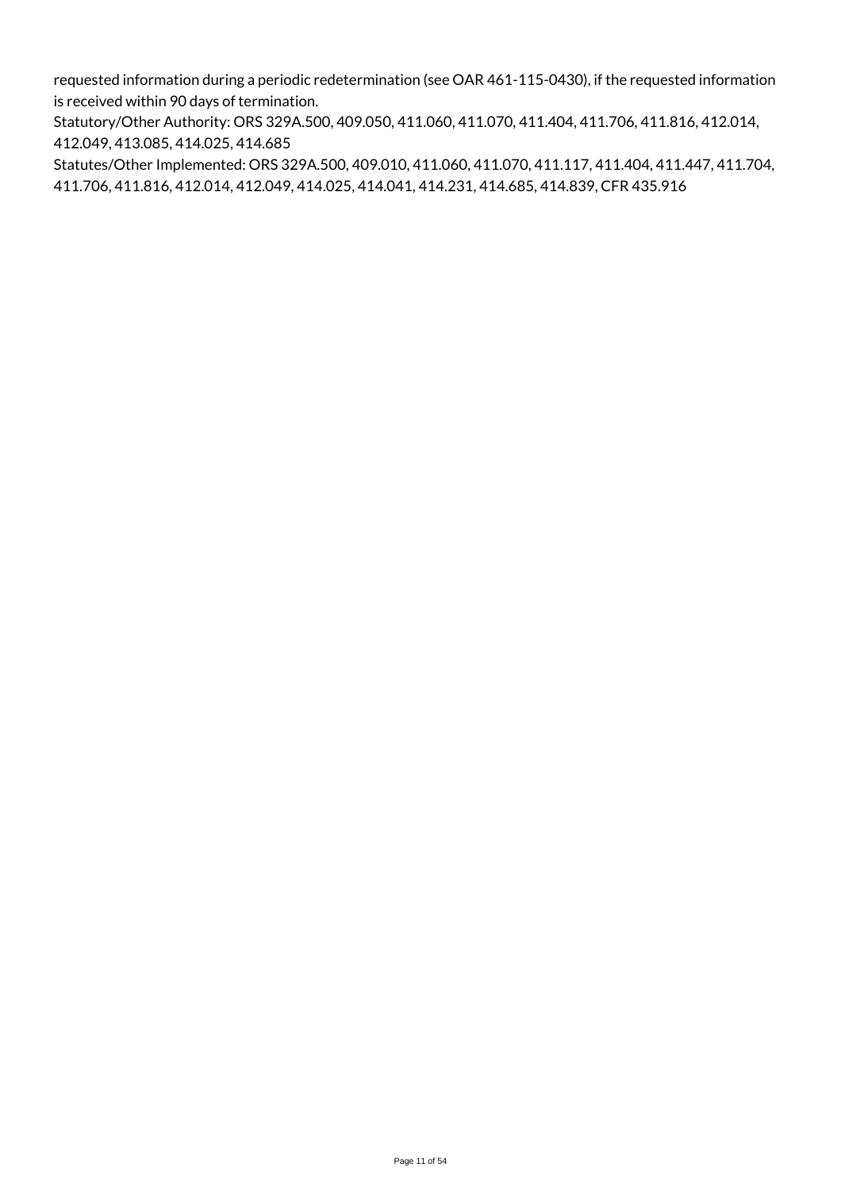requested information during a periodic redetermination (see OAR 461-115-0430), if the requested information is received within 90 days of termination.

Statutory/Other Authority: ORS 329A.500, 409.050, 411.060, 411.070, 411.404, 411.706, 411.816, 412.014, 412.049, 413.085, 414.025, 414.685

Statutes/Other Implemented: ORS 329A.500, 409.010, 411.060, 411.070, 411.117, 411.404, 411.447, 411.704, 411.706, 411.816, 412.014, 412.049, 414.025, 414.041, 414.231, 414.685, 414.839, CFR 435.916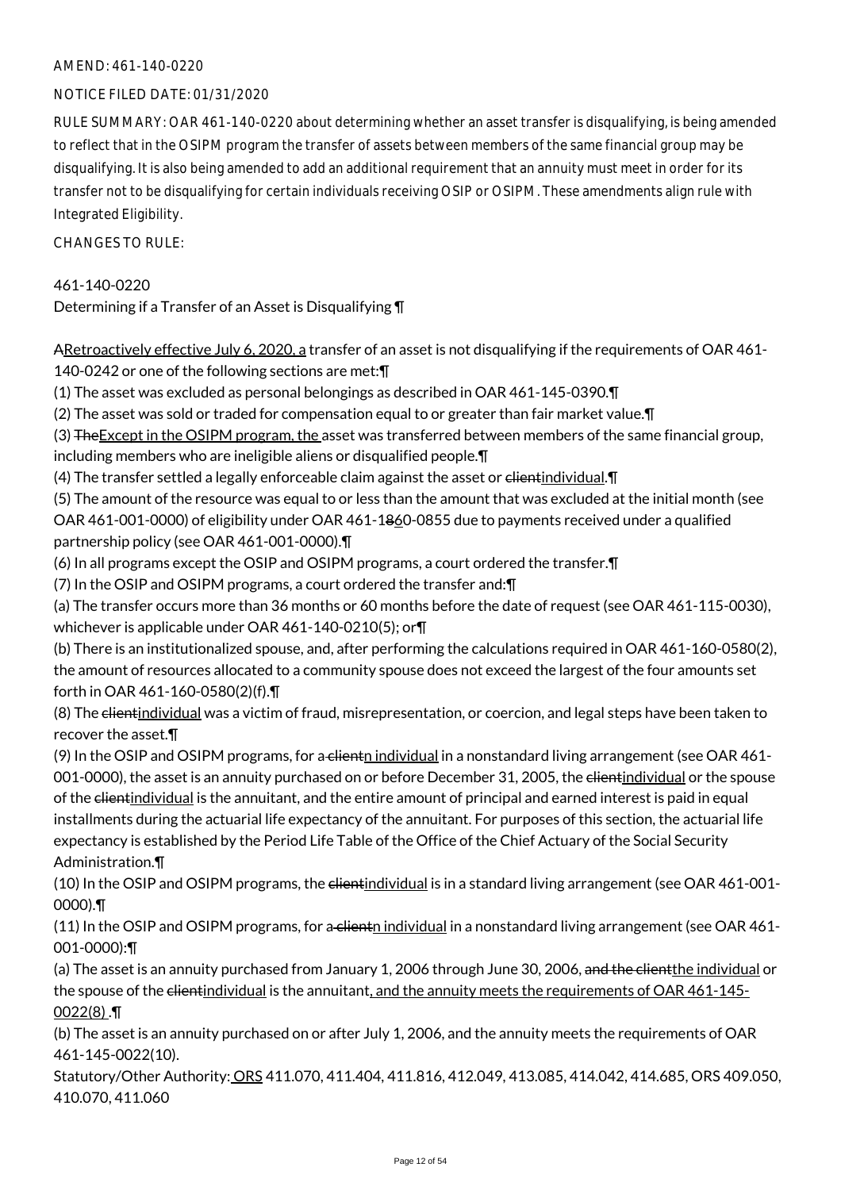### NOTICE FILED DATE: 01/31/2020

RULE SUMMARY: OAR 461-140-0220 about determining whether an asset transfer is disqualifying, is being amended to reflect that in the OSIPM program the transfer of assets between members of the same financial group may be disqualifying. It is also being amended to add an additional requirement that an annuity must meet in order for its transfer not to be disqualifying for certain individuals receiving OSIP or OSIPM. These amendments align rule with Integrated Eligibility.

 $CHANGESTORUIF$ 

### 461-140-0220

Determining if a Transfer of an Asset is Disqualifying ¶

ARetroactively effective July 6, 2020, a transfer of an asset is not disqualifying if the requirements of OAR 461-140-0242 or one of the following sections are met:¶

(1) The asset was excluded as personal belongings as described in OAR 461-145-0390.¶

(2) The asset was sold or traded for compensation equal to or greater than fair market value.¶

(3) The Except in the OSIPM program, the asset was transferred between members of the same financial group, including members who are ineligible aliens or disqualified people.¶

(4) The transfer settled a legally enforceable claim against the asset or elientindividual. I

(5) The amount of the resource was equal to or less than the amount that was excluded at the initial month (see OAR 461-001-0000) of eligibility under OAR 461-1860-0855 due to payments received under a qualified partnership policy (see OAR 461-001-0000).¶

(6) In all programs except the OSIP and OSIPM programs, a court ordered the transfer.¶

(7) In the OSIP and OSIPM programs, a court ordered the transfer and:¶

(a) The transfer occurs more than 36 months or 60 months before the date of request (see OAR 461-115-0030), whichever is applicable under OAR 461-140-0210(5); or¶

(b) There is an institutionalized spouse, and, after performing the calculations required in OAR 461-160-0580(2), the amount of resources allocated to a community spouse does not exceed the largest of the four amounts set forth in OAR 461-160-0580(2)(f).¶

(8) The <del>client</del>individual was a victim of fraud, misrepresentation, or coercion, and legal steps have been taken to recover the asset.¶

(9) In the OSIP and OSIPM programs, for a client individual in a nonstandard living arrangement (see OAR  $461$ -001-0000), the asset is an annuity purchased on or before December 31, 2005, the elientindividual or the spouse of the clientindividual is the annuitant, and the entire amount of principal and earned interest is paid in equal installments during the actuarial life expectancy of the annuitant. For purposes of this section, the actuarial life expectancy is established by the Period Life Table of the Office of the Chief Actuary of the Social Security Administration.¶

(10) In the OSIP and OSIPM programs, the elientindividual is in a standard living arrangement (see OAR 461-001-0000).¶

(11) In the OSIP and OSIPM programs, for a client individual in a nonstandard living arrangement (see OAR 461-001-0000):¶

(a) The asset is an annuity purchased from January 1, 2006 through June 30, 2006, and the clientthe individual or the spouse of the client individual is the annuitant, and the annuity meets the requirements of OAR 461-145- $0022(8)$ .

(b) The asset is an annuity purchased on or after July 1, 2006, and the annuity meets the requirements of OAR 461-145-0022(10).

Statutory/Other Authority: ORS 411.070, 411.404, 411.816, 412.049, 413.085, 414.042, 414.685, ORS 409.050, 410.070, 411.060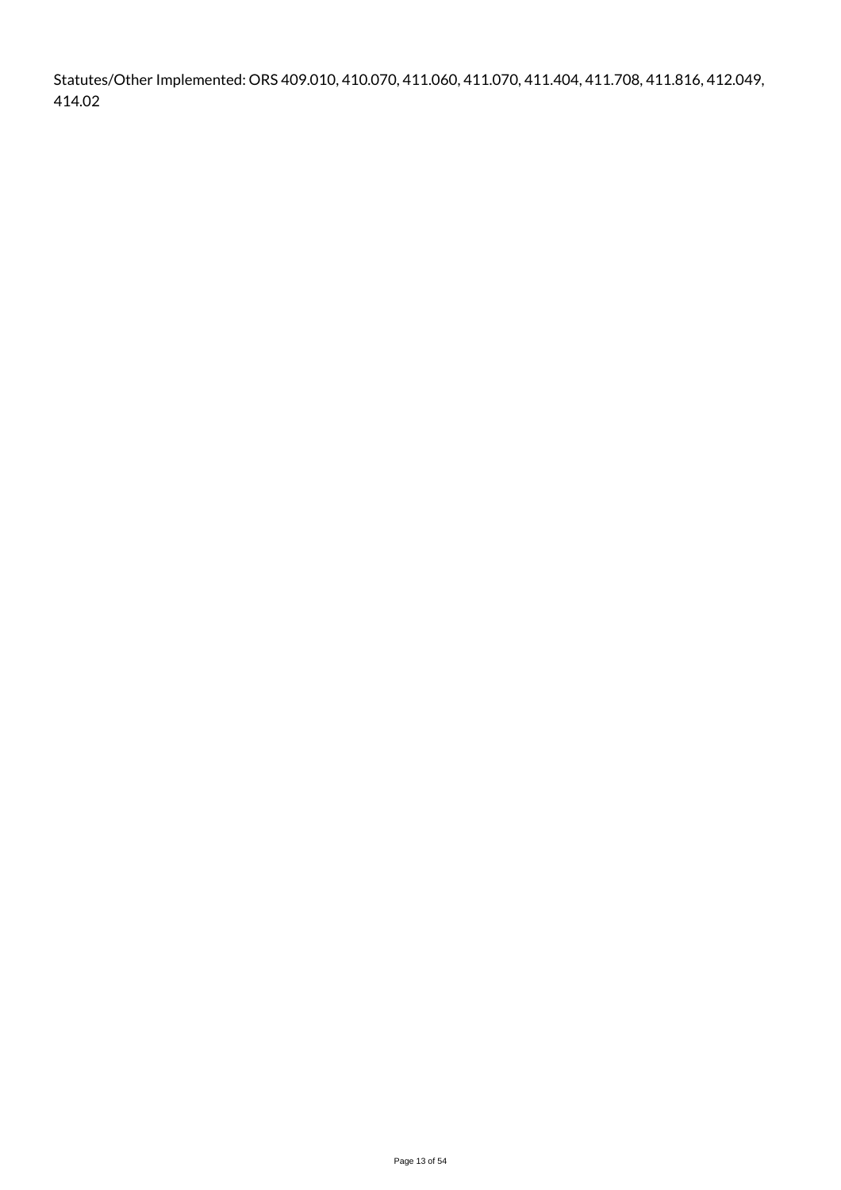Statutes/Other Implemented: ORS 409.010, 410.070, 411.060, 411.070, 411.404, 411.708, 411.816, 412.049, 414.02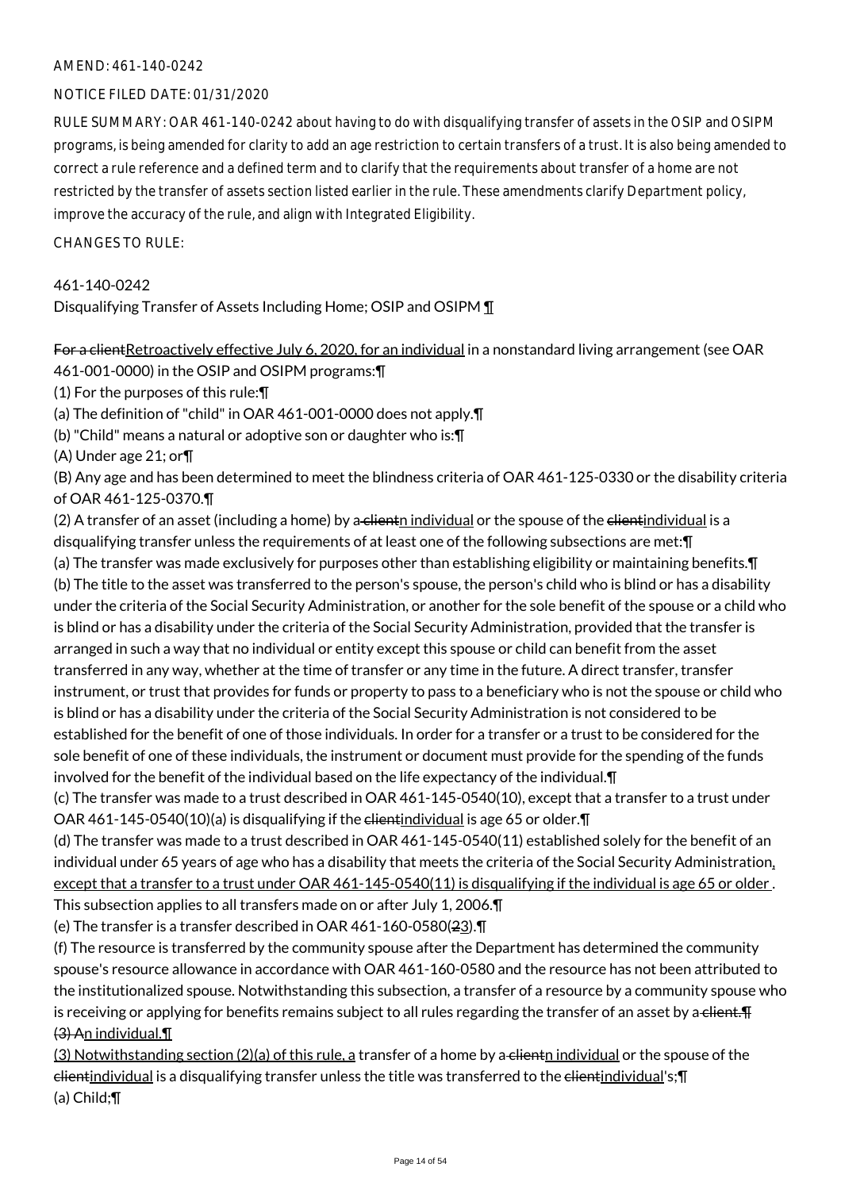### NOTICE FILED DATE: 01/31/2020

RULE SUMMARY: OAR 461-140-0242 about having to do with disqualifying transfer of assets in the OSIP and OSIPM programs, is being amended for clarity to add an age restriction to certain transfers of a trust. It is also being amended to correct a rule reference and a defined term and to clarify that the requirements about transfer of a home are not restricted by the transfer of assets section listed earlier in the rule. These amendments clarify Department policy, improve the accuracy of the rule, and align with Integrated Eligibility.

 $CHANGESTORUIF$ 

### 461-140-0242

Disqualifying Transfer of Assets Including Home; OSIP and OSIPM ¶

For a client Retroactively effective July 6, 2020, for an individual in a nonstandard living arrangement (see OAR

461-001-0000) in the OSIP and OSIPM programs:¶

(1) For the purposes of this rule:¶

(a) The definition of "child" in OAR 461-001-0000 does not apply.¶

(b) "Child" means a natural or adoptive son or daughter who is:¶

(A) Under age 21; or¶

(B) Any age and has been determined to meet the blindness criteria of OAR 461-125-0330 or the disability criteria of OAR 461-125-0370.¶

(2) A transfer of an asset (including a home) by a clientn individual or the spouse of the clientindividual is a disqualifying transfer unless the requirements of at least one of the following subsections are met:¶

(a) The transfer was made exclusively for purposes other than establishing eligibility or maintaining benefits.¶ (b) The title to the asset was transferred to the person's spouse, the person's child who is blind or has a disability under the criteria of the Social Security Administration, or another for the sole benefit of the spouse or a child who is blind or has a disability under the criteria of the Social Security Administration, provided that the transfer is arranged in such a way that no individual or entity except this spouse or child can benefit from the asset transferred in any way, whether at the time of transfer or any time in the future. A direct transfer, transfer instrument, or trust that provides for funds or property to pass to a beneficiary who is not the spouse or child who is blind or has a disability under the criteria of the Social Security Administration is not considered to be established for the benefit of one of those individuals. In order for a transfer or a trust to be considered for the sole benefit of one of these individuals, the instrument or document must provide for the spending of the funds involved for the benefit of the individual based on the life expectancy of the individual.¶

(c) The transfer was made to a trust described in OAR 461-145-0540(10), except that a transfer to a trust under OAR 461-145-0540(10)(a) is disqualifying if the clientindividual is age 65 or older.¶

(d) The transfer was made to a trust described in OAR 461-145-0540(11) established solely for the benefit of an individual under 65 years of age who has a disability that meets the criteria of the Social Security Administration, except that a transfer to a trust under OAR 461-145-0540(11) is disqualifying if the individual is age 65 or older. This subsection applies to all transfers made on or after July 1, 2006.¶

(e) The transfer is a transfer described in OAR 461-160-0580(23).¶

(f) The resource is transferred by the community spouse after the Department has determined the community spouse's resource allowance in accordance with OAR 461-160-0580 and the resource has not been attributed to the institutionalized spouse. Notwithstanding this subsection, a transfer of a resource by a community spouse who is receiving or applying for benefits remains subject to all rules regarding the transfer of an asset by a client. (3) An individual.¶

 $(3)$  Notwithstanding section  $(2)(a)$  of this rule, a transfer of a home by a clientn individual or the spouse of the elientindividual is a disqualifying transfer unless the title was transferred to the elientindividual's;¶ (a) Child;¶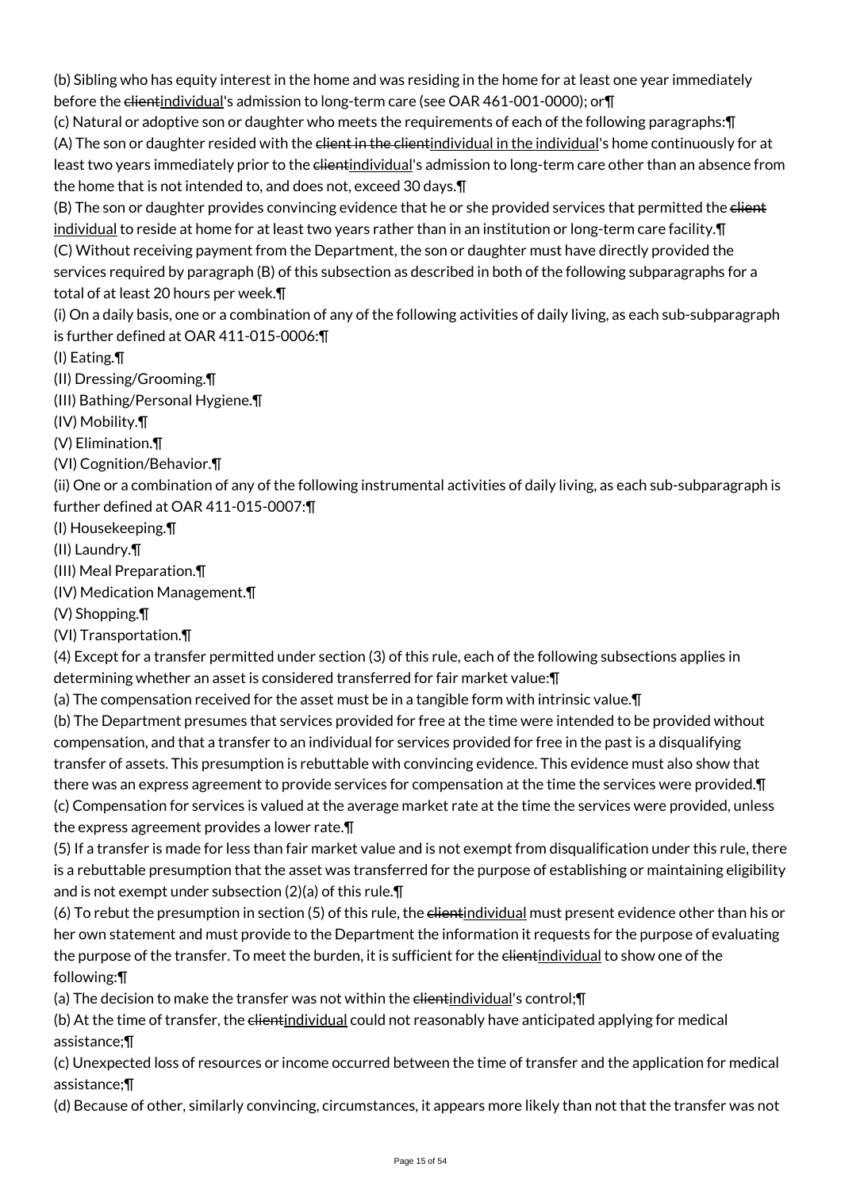(b) Sibling who has equity interest in the home and was residing in the home for at least one year immediately before the clientindividual's admission to long-term care (see OAR 461-001-0000); or T

(c) Natural or adoptive son or daughter who meets the requirements of each of the following paragraphs:¶ (A) The son or daughter resided with the client in the client individual in the individual's home continuously for at least two years immediately prior to the <del>client</del>individual's admission to long-term care other than an absence from the home that is not intended to, and does not, exceed 30 days.¶

(B) The son or daughter provides convincing evidence that he or she provided services that permitted the elient individual to reside at home for at least two years rather than in an institution or long-term care facility.¶ (C) Without receiving payment from the Department, the son or daughter must have directly provided the services required by paragraph (B) of this subsection as described in both of the following subparagraphs for a total of at least 20 hours per week.¶

(i) On a daily basis, one or a combination of any of the following activities of daily living, as each sub-subparagraph is further defined at OAR 411-015-0006:¶

(I) Eating.¶

(II) Dressing/Grooming.¶

(III) Bathing/Personal Hygiene.¶

(IV) Mobility.¶

(V) Elimination.¶

(VI) Cognition/Behavior.¶

(ii) One or a combination of any of the following instrumental activities of daily living, as each sub-subparagraph is further defined at OAR 411-015-0007:¶

(I) Housekeeping.¶

(II) Laundry.¶

(III) Meal Preparation.¶

(IV) Medication Management.¶

(V) Shopping.¶

(VI) Transportation.¶

(4) Except for a transfer permitted under section (3) of this rule, each of the following subsections applies in determining whether an asset is considered transferred for fair market value:¶

(a) The compensation received for the asset must be in a tangible form with intrinsic value.¶

(b) The Department presumes that services provided for free at the time were intended to be provided without compensation, and that a transfer to an individual for services provided for free in the past is a disqualifying transfer of assets. This presumption is rebuttable with convincing evidence. This evidence must also show that there was an express agreement to provide services for compensation at the time the services were provided.¶ (c) Compensation for services is valued at the average market rate at the time the services were provided, unless the express agreement provides a lower rate.¶

(5) If a transfer is made for less than fair market value and is not exempt from disqualification under this rule, there is a rebuttable presumption that the asset was transferred for the purpose of establishing or maintaining eligibility and is not exempt under subsection (2)(a) of this rule.¶

(6) To rebut the presumption in section (5) of this rule, the elientindividual must present evidence other than his or her own statement and must provide to the Department the information it requests for the purpose of evaluating the purpose of the transfer. To meet the burden, it is sufficient for the elientindividual to show one of the following:¶

(a) The decision to make the transfer was not within the clientindividual's control;¶

(b) At the time of transfer, the elientindividual could not reasonably have anticipated applying for medical assistance;¶

(c) Unexpected loss of resources or income occurred between the time of transfer and the application for medical assistance;¶

(d) Because of other, similarly convincing, circumstances, it appears more likely than not that the transfer was not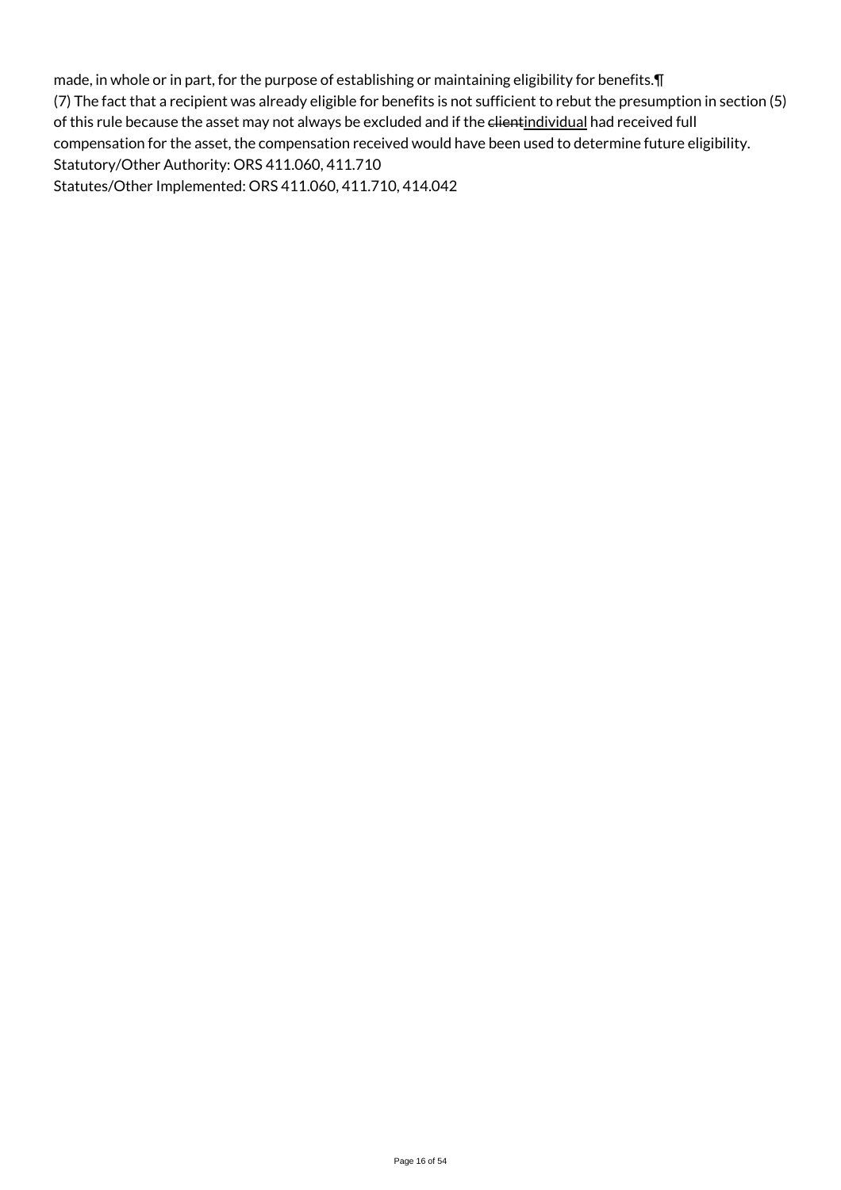made, in whole or in part, for the purpose of establishing or maintaining eligibility for benefits.¶ (7) The fact that a recipient was already eligible for benefits is not sufficient to rebut the presumption in section (5) of this rule because the asset may not always be excluded and if the elientindividual had received full compensation for the asset, the compensation received would have been used to determine future eligibility. Statutory/Other Authority: ORS 411.060, 411.710 Statutes/Other Implemented: ORS 411.060, 411.710, 414.042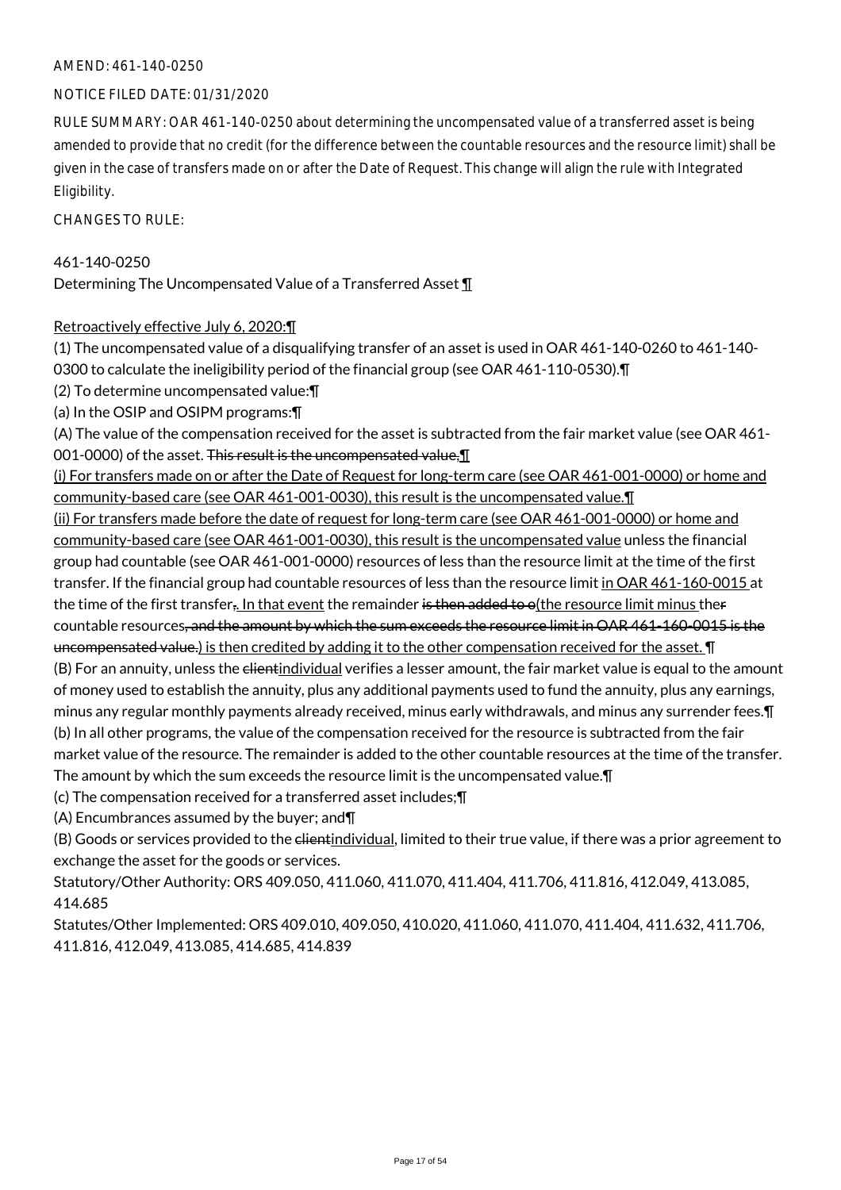### NOTICE FILED DATE: 01/31/2020

RULE SUMMARY: OAR 461-140-0250 about determining the uncompensated value of a transferred asset is being amended to provide that no credit (for the difference between the countable resources and the resource limit) shall be given in the case of transfers made on or after the Date of Request. This change will align the rule with Integrated Eligibility.

CHANGES TO RULE:

### 461-140-0250

Determining The Uncompensated Value of a Transferred Asset ¶

### Retroactively effective July 6, 2020:¶

(1) The uncompensated value of a disqualifying transfer of an asset is used in OAR 461-140-0260 to 461-140- 0300 to calculate the ineligibility period of the financial group (see OAR 461-110-0530).¶

(2) To determine uncompensated value:¶

(a) In the OSIP and OSIPM programs:¶

(A) The value of the compensation received for the asset is subtracted from the fair market value (see OAR 461- 001-0000) of the asset. This result is the uncompensated value, 1

(i) For transfers made on or after the Date of Request for long-term care (see OAR 461-001-0000) or home and community-based care (see OAR 461-001-0030), this result is the uncompensated value.¶

(ii) For transfers made before the date of request for long-term care (see OAR 461-001-0000) or home and community-based care (see OAR 461-001-0030), this result is the uncompensated value unless the financial group had countable (see OAR 461-001-0000) resources of less than the resource limit at the time of the first transfer. If the financial group had countable resources of less than the resource limit in OAR 461-160-0015 at the time of the first transfer,. In that event the remainder is then added to o(the resource limit minus ther countable resources, and the amount by which the sum exceeds the resource limit in OAR 461-160-0015 is the uncompensated value.) is then credited by adding it to the other compensation received for the asset. In (B) For an annuity, unless the client individual verifies a lesser amount, the fair market value is equal to the amount of money used to establish the annuity, plus any additional payments used to fund the annuity, plus any earnings, minus any regular monthly payments already received, minus early withdrawals, and minus any surrender fees.¶ (b) In all other programs, the value of the compensation received for the resource is subtracted from the fair market value of the resource. The remainder is added to the other countable resources at the time of the transfer. The amount by which the sum exceeds the resource limit is the uncompensated value.¶

(c) The compensation received for a transferred asset includes;¶

(A) Encumbrances assumed by the buyer; and¶

(B) Goods or services provided to the elientindividual, limited to their true value, if there was a prior agreement to exchange the asset for the goods or services.

Statutory/Other Authority: ORS 409.050, 411.060, 411.070, 411.404, 411.706, 411.816, 412.049, 413.085, 414.685

Statutes/Other Implemented: ORS 409.010, 409.050, 410.020, 411.060, 411.070, 411.404, 411.632, 411.706, 411.816, 412.049, 413.085, 414.685, 414.839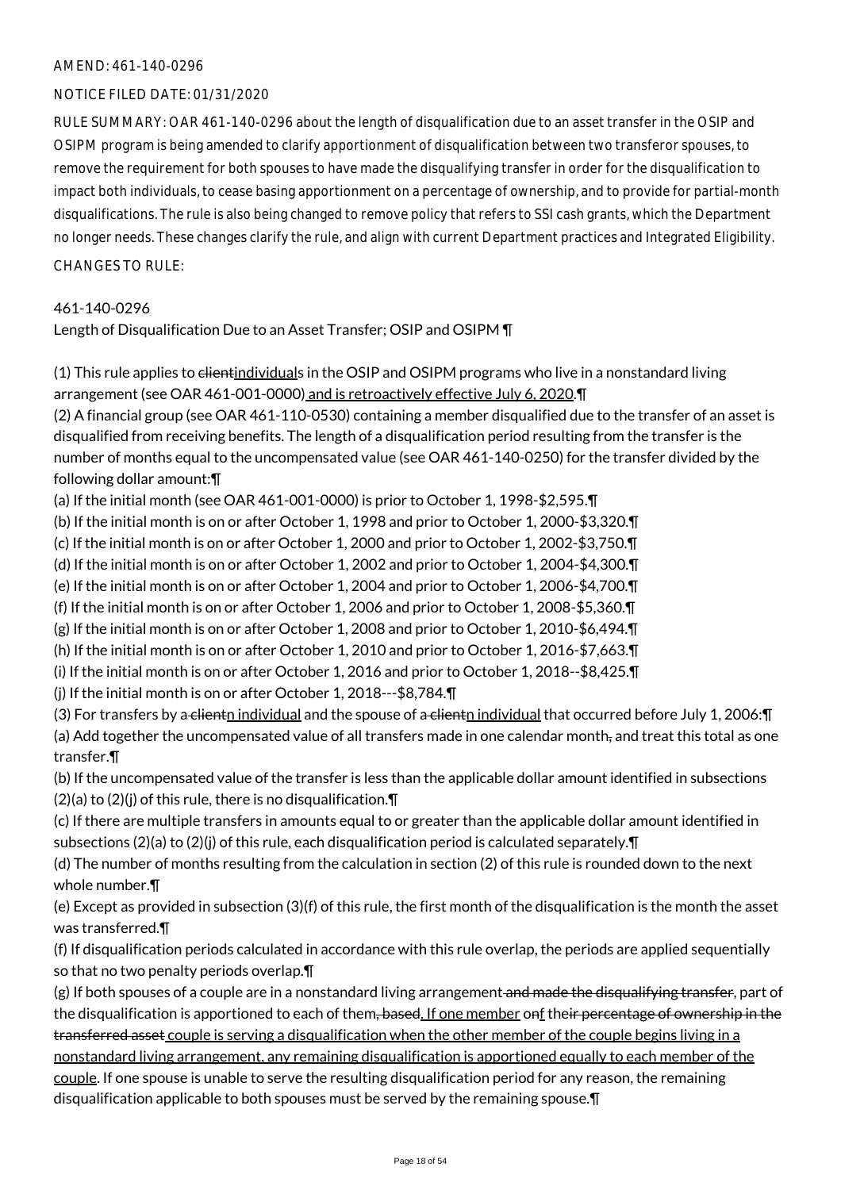### NOTICE FILED DATE: 01/31/2020

RULE SUMMARY: OAR 461-140-0296 about the length of disqualification due to an asset transfer in the OSIP and OSIPM program is being amended to clarify apportionment of disqualification between two transferor spouses, to remove the requirement for both spouses to have made the disqualifying transfer in order for the disqualification to impact both individuals, to cease basing apportionment on a percentage of ownership, and to provide for partial-month disqualifications. The rule is also being changed to remove policy that refers to SSI cash grants, which the Department no longer needs. These changes clarify the rule, and align with current Department practices and Integrated Eligibility. CHANGES TO RULE:

### 461-140-0296

Length of Disqualification Due to an Asset Transfer; OSIP and OSIPM ¶

(1) This rule applies to clientindividuals in the OSIP and OSIPM programs who live in a nonstandard living arrangement (see OAR 461-001-0000) and is retroactively effective July 6, 2020.¶

(2) A financial group (see OAR 461-110-0530) containing a member disqualified due to the transfer of an asset is disqualified from receiving benefits. The length of a disqualification period resulting from the transfer is the number of months equal to the uncompensated value (see OAR 461-140-0250) for the transfer divided by the following dollar amount:¶

(a) If the initial month (see OAR 461-001-0000) is prior to October 1, 1998-\$2,595.¶

(b) If the initial month is on or after October 1, 1998 and prior to October 1, 2000-\$3,320.¶

(c) If the initial month is on or after October 1, 2000 and prior to October 1, 2002-\$3,750.¶

(d) If the initial month is on or after October 1, 2002 and prior to October 1, 2004-\$4,300.¶

(e) If the initial month is on or after October 1, 2004 and prior to October 1, 2006-\$4,700.¶

(f) If the initial month is on or after October 1, 2006 and prior to October 1, 2008-\$5,360.¶

(g) If the initial month is on or after October 1, 2008 and prior to October 1, 2010-\$6,494.¶

(h) If the initial month is on or after October 1, 2010 and prior to October 1, 2016-\$7,663.¶

(i) If the initial month is on or after October 1, 2016 and prior to October 1, 2018--\$8,425.¶

(j) If the initial month is on or after October 1, 2018---\$8,784.¶

(3) For transfers by a clientn individual and the spouse of a clientn individual that occurred before July 1, 2006: $\P$ (a) Add together the uncompensated value of all transfers made in one calendar month, and treat this total as one transfer.¶

(b) If the uncompensated value of the transfer is less than the applicable dollar amount identified in subsections  $(2)(a)$  to  $(2)(i)$  of this rule, there is no disqualification. $\P$ 

(c) If there are multiple transfers in amounts equal to or greater than the applicable dollar amount identified in subsections  $(2)(a)$  to  $(2)(j)$  of this rule, each disqualification period is calculated separately. $\P$ 

(d) The number of months resulting from the calculation in section (2) of this rule is rounded down to the next whole number.¶

(e) Except as provided in subsection (3)(f) of this rule, the first month of the disqualification is the month the asset was transferred.¶

(f) If disqualification periods calculated in accordance with this rule overlap, the periods are applied sequentially so that no two penalty periods overlap.¶

 $(g)$  If both spouses of a couple are in a nonstandard living arrangement and made the disqualifying transfer, part of the disqualification is apportioned to each of them, based. If one member onf their percentage of ownership in the transferred asset couple is serving a disqualification when the other member of the couple begins living in a nonstandard living arrangement, any remaining disqualification is apportioned equally to each member of the couple. If one spouse is unable to serve the resulting disqualification period for any reason, the remaining disqualification applicable to both spouses must be served by the remaining spouse.¶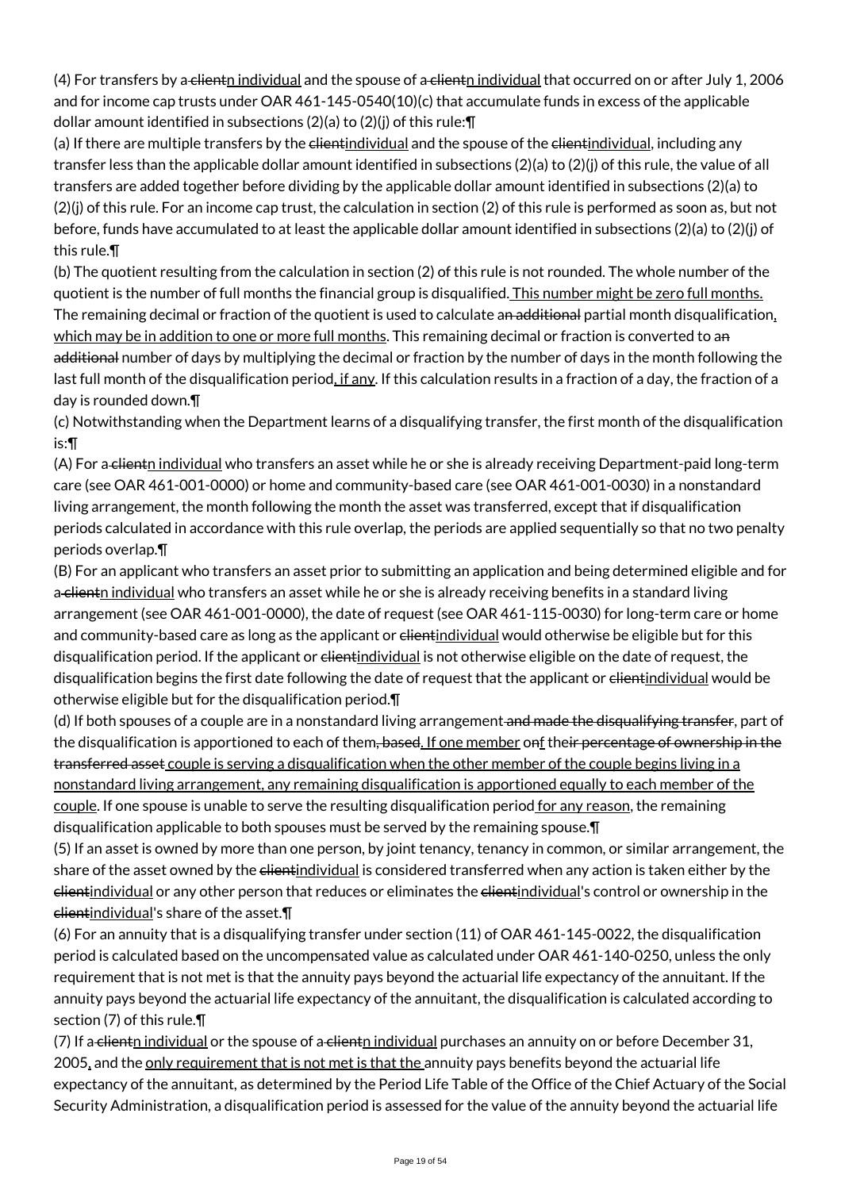(4) For transfers by a clientn individual and the spouse of a clientn individual that occurred on or after July 1, 2006 and for income cap trusts under OAR 461-145-0540(10)(c) that accumulate funds in excess of the applicable dollar amount identified in subsections (2)(a) to (2)(j) of this rule: $\P$ 

(a) If there are multiple transfers by the clientindividual and the spouse of the clientindividual, including any transfer less than the applicable dollar amount identified in subsections (2)(a) to (2)(j) of this rule, the value of all transfers are added together before dividing by the applicable dollar amount identified in subsections (2)(a) to (2)(j) of this rule. For an income cap trust, the calculation in section (2) of this rule is performed as soon as, but not before, funds have accumulated to at least the applicable dollar amount identified in subsections (2)(a) to (2)(j) of this rule.¶

(b) The quotient resulting from the calculation in section (2) of this rule is not rounded. The whole number of the quotient is the number of full months the financial group is disqualified. This number might be zero full months. The remaining decimal or fraction of the quotient is used to calculate an additional partial month disqualification, which may be in addition to one or more full months. This remaining decimal or fraction is converted to an additional number of days by multiplying the decimal or fraction by the number of days in the month following the last full month of the disqualification period, if any. If this calculation results in a fraction of a day, the fraction of a day is rounded down.¶

(c) Notwithstanding when the Department learns of a disqualifying transfer, the first month of the disqualification is:¶

(A) For a clientn individual who transfers an asset while he or she is already receiving Department-paid long-term care (see OAR 461-001-0000) or home and community-based care (see OAR 461-001-0030) in a nonstandard living arrangement, the month following the month the asset was transferred, except that if disqualification periods calculated in accordance with this rule overlap, the periods are applied sequentially so that no two penalty periods overlap.¶

(B) For an applicant who transfers an asset prior to submitting an application and being determined eligible and for a client<sub>n</sub> individual who transfers an asset while he or she is already receiving benefits in a standard living arrangement (see OAR 461-001-0000), the date of request (see OAR 461-115-0030) for long-term care or home and community-based care as long as the applicant or elientindividual would otherwise be eligible but for this disqualification period. If the applicant or elientindividual is not otherwise eligible on the date of request, the disqualification begins the first date following the date of request that the applicant or clientindividual would be otherwise eligible but for the disqualification period.¶

(d) If both spouses of a couple are in a nonstandard living arrangement and made the disqualifying transfer, part of the disqualification is apportioned to each of them, based. If one member onf their percentage of ownership in the transferred asset couple is serving a disqualification when the other member of the couple begins living in a nonstandard living arrangement, any remaining disqualification is apportioned equally to each member of the couple. If one spouse is unable to serve the resulting disqualification period for any reason, the remaining disqualification applicable to both spouses must be served by the remaining spouse.¶

(5) If an asset is owned by more than one person, by joint tenancy, tenancy in common, or similar arrangement, the share of the asset owned by the elientindividual is considered transferred when any action is taken either by the clientindividual or any other person that reduces or eliminates the clientindividual's control or ownership in the clientindividual's share of the asset.¶

(6) For an annuity that is a disqualifying transfer under section (11) of OAR 461-145-0022, the disqualification period is calculated based on the uncompensated value as calculated under OAR 461-140-0250, unless the only requirement that is not met is that the annuity pays beyond the actuarial life expectancy of the annuitant. If the annuity pays beyond the actuarial life expectancy of the annuitant, the disqualification is calculated according to section (7) of this rule.¶

(7) If a clientn individual or the spouse of a clientn individual purchases an annuity on or before December 31, 2005, and the only requirement that is not met is that the annuity pays benefits beyond the actuarial life expectancy of the annuitant, as determined by the Period Life Table of the Office of the Chief Actuary of the Social Security Administration, a disqualification period is assessed for the value of the annuity beyond the actuarial life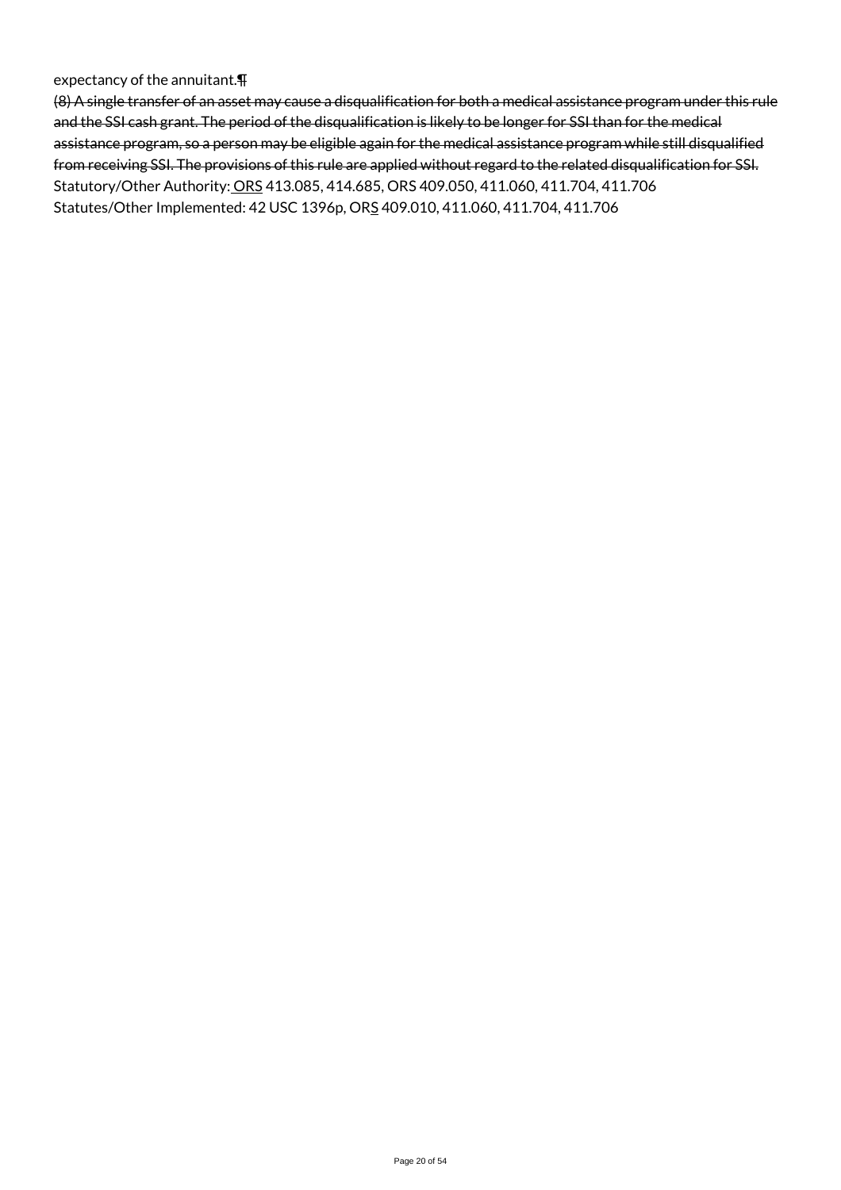#### expectancy of the annuitant.¶

(8) A single transfer of an asset may cause a disqualification for both a medical assistance program under this rule and the SSI cash grant. The period of the disqualification is likely to be longer for SSI than for the medical assistance program, so a person may be eligible again for the medical assistance program while still disqualified from receiving SSI. The provisions of this rule are applied without regard to the related disqualification for SSI. Statutory/Other Authority: ORS 413.085, 414.685, ORS 409.050, 411.060, 411.704, 411.706 Statutes/Other Implemented: 42 USC 1396p, ORS 409.010, 411.060, 411.704, 411.706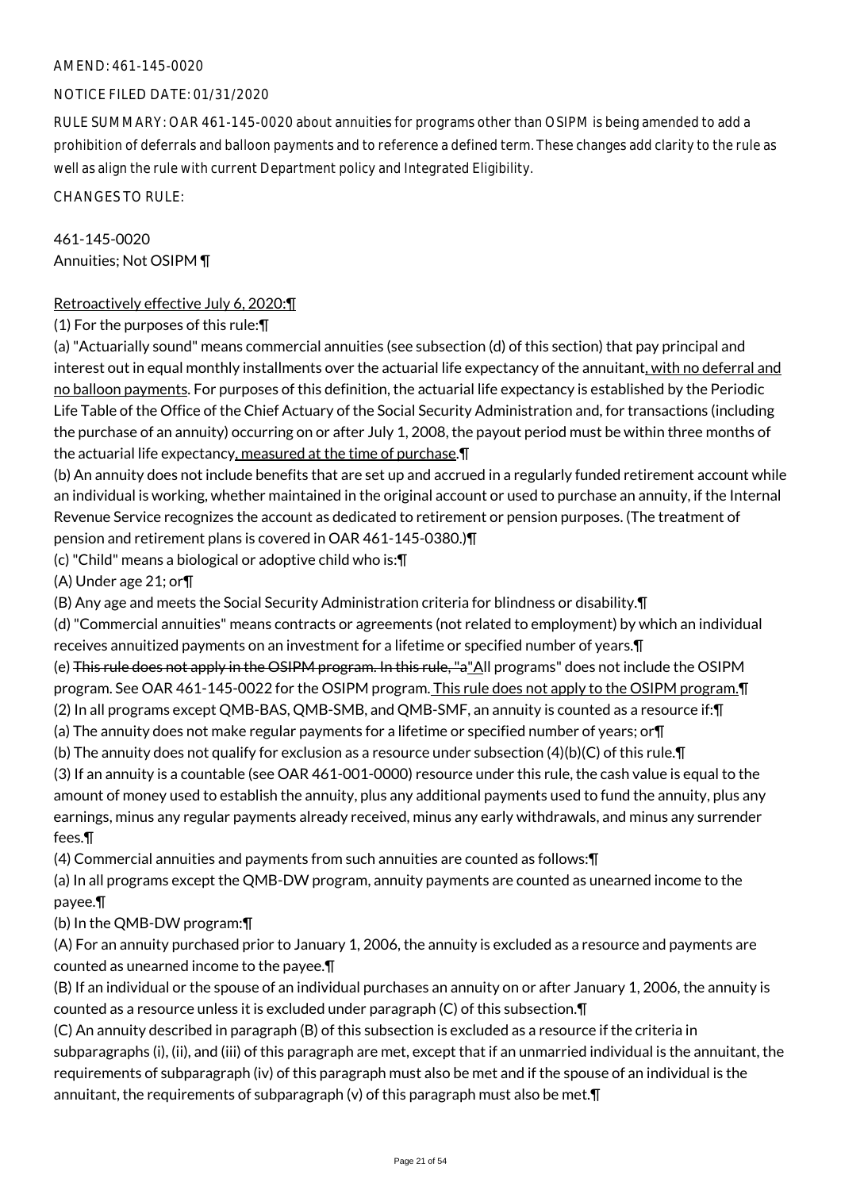### NOTICE FILED DATE: 01/31/2020

RULE SUMMARY: OAR 461-145-0020 about annuities for programs other than OSIPM is being amended to add a prohibition of deferrals and balloon payments and to reference a defined term. These changes add clarity to the rule as well as align the rule with current Department policy and Integrated Eligibility.

CHANGES TO RULE:

461-145-0020 Annuities; Not OSIPM ¶

### Retroactively effective July 6, 2020:¶

(1) For the purposes of this rule:¶

(a) "Actuarially sound" means commercial annuities (see subsection (d) of this section) that pay principal and interest out in equal monthly installments over the actuarial life expectancy of the annuitant, with no deferral and no balloon payments. For purposes of this definition, the actuarial life expectancy is established by the Periodic Life Table of the Office of the Chief Actuary of the Social Security Administration and, for transactions (including the purchase of an annuity) occurring on or after July 1, 2008, the payout period must be within three months of the actuarial life expectancy, measured at the time of purchase.¶

(b) An annuity does not include benefits that are set up and accrued in a regularly funded retirement account while an individual is working, whether maintained in the original account or used to purchase an annuity, if the Internal Revenue Service recognizes the account as dedicated to retirement or pension purposes. (The treatment of pension and retirement plans is covered in OAR 461-145-0380.)¶

(c) "Child" means a biological or adoptive child who is:¶

(A) Under age 21; or¶

(B) Any age and meets the Social Security Administration criteria for blindness or disability.¶

(d) "Commercial annuities" means contracts or agreements (not related to employment) by which an individual receives annuitized payments on an investment for a lifetime or specified number of years.¶

(e) This rule does not apply in the OSIPM program. In this rule, "a"All programs" does not include the OSIPM

program. See OAR 461-145-0022 for the OSIPM program. This rule does not apply to the OSIPM program.¶

(2) In all programs except QMB-BAS, QMB-SMB, and QMB-SMF, an annuity is counted as a resource if:¶

(a) The annuity does not make regular payments for a lifetime or specified number of years; or¶

(b) The annuity does not qualify for exclusion as a resource under subsection  $(4)(b)(C)$  of this rule. If

(3) If an annuity is a countable (see OAR 461-001-0000) resource under this rule, the cash value is equal to the amount of money used to establish the annuity, plus any additional payments used to fund the annuity, plus any earnings, minus any regular payments already received, minus any early withdrawals, and minus any surrender fees.¶

(4) Commercial annuities and payments from such annuities are counted as follows:¶

(a) In all programs except the QMB-DW program, annuity payments are counted as unearned income to the payee.¶

### (b) In the QMB-DW program:¶

(A) For an annuity purchased prior to January 1, 2006, the annuity is excluded as a resource and payments are counted as unearned income to the payee.¶

(B) If an individual or the spouse of an individual purchases an annuity on or after January 1, 2006, the annuity is counted as a resource unless it is excluded under paragraph (C) of this subsection.¶

(C) An annuity described in paragraph (B) of this subsection is excluded as a resource if the criteria in subparagraphs (i), (ii), and (iii) of this paragraph are met, except that if an unmarried individual is the annuitant, the requirements of subparagraph (iv) of this paragraph must also be met and if the spouse of an individual is the annuitant, the requirements of subparagraph (v) of this paragraph must also be met. $\P$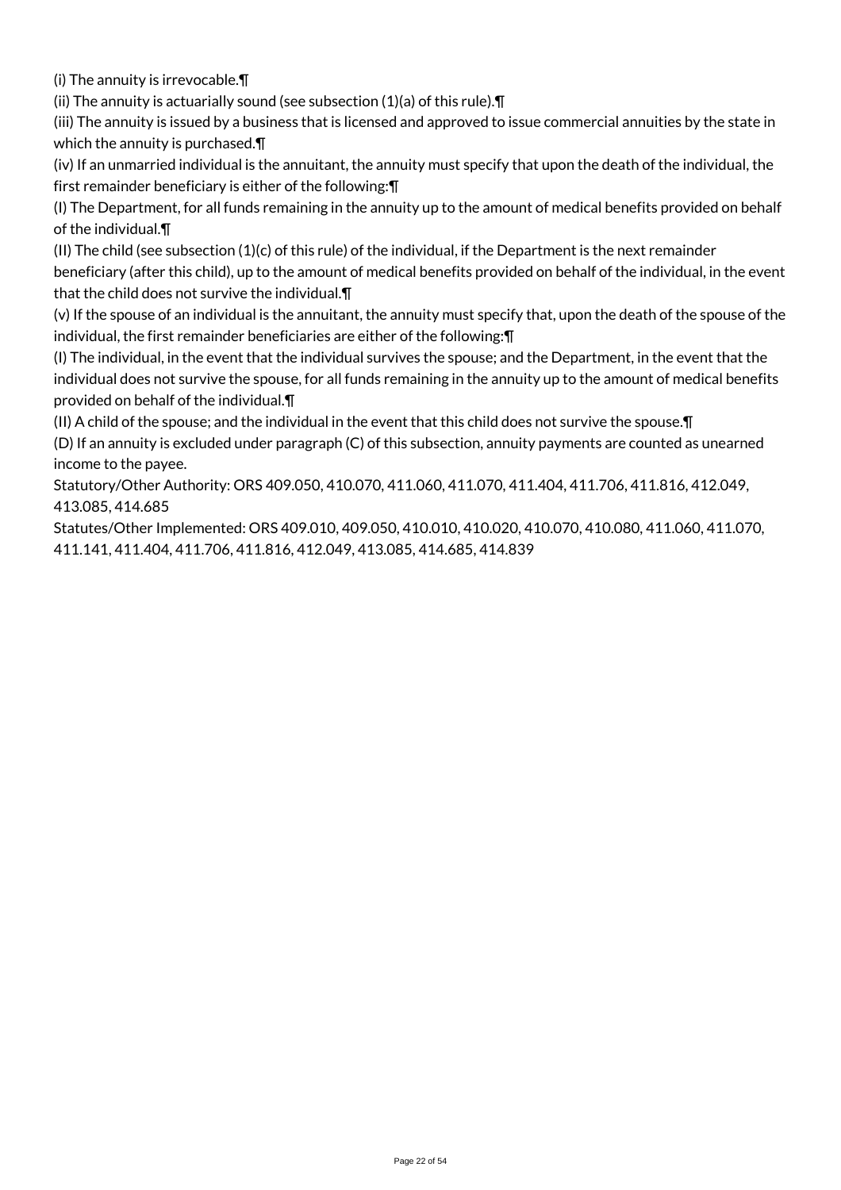(i) The annuity is irrevocable.¶

(ii) The annuity is actuarially sound (see subsection (1)(a) of this rule).¶

(iii) The annuity is issued by a business that is licensed and approved to issue commercial annuities by the state in which the annuity is purchased.¶

(iv) If an unmarried individual is the annuitant, the annuity must specify that upon the death of the individual, the first remainder beneficiary is either of the following:¶

(I) The Department, for all funds remaining in the annuity up to the amount of medical benefits provided on behalf of the individual.¶

(II) The child (see subsection (1)(c) of this rule) of the individual, if the Department is the next remainder beneficiary (after this child), up to the amount of medical benefits provided on behalf of the individual, in the event that the child does not survive the individual.¶

(v) If the spouse of an individual is the annuitant, the annuity must specify that, upon the death of the spouse of the individual, the first remainder beneficiaries are either of the following:¶

(I) The individual, in the event that the individual survives the spouse; and the Department, in the event that the individual does not survive the spouse, for all funds remaining in the annuity up to the amount of medical benefits provided on behalf of the individual.¶

(II) A child of the spouse; and the individual in the event that this child does not survive the spouse.¶

(D) If an annuity is excluded under paragraph (C) of this subsection, annuity payments are counted as unearned income to the payee.

Statutory/Other Authority: ORS 409.050, 410.070, 411.060, 411.070, 411.404, 411.706, 411.816, 412.049, 413.085, 414.685

Statutes/Other Implemented: ORS 409.010, 409.050, 410.010, 410.020, 410.070, 410.080, 411.060, 411.070, 411.141, 411.404, 411.706, 411.816, 412.049, 413.085, 414.685, 414.839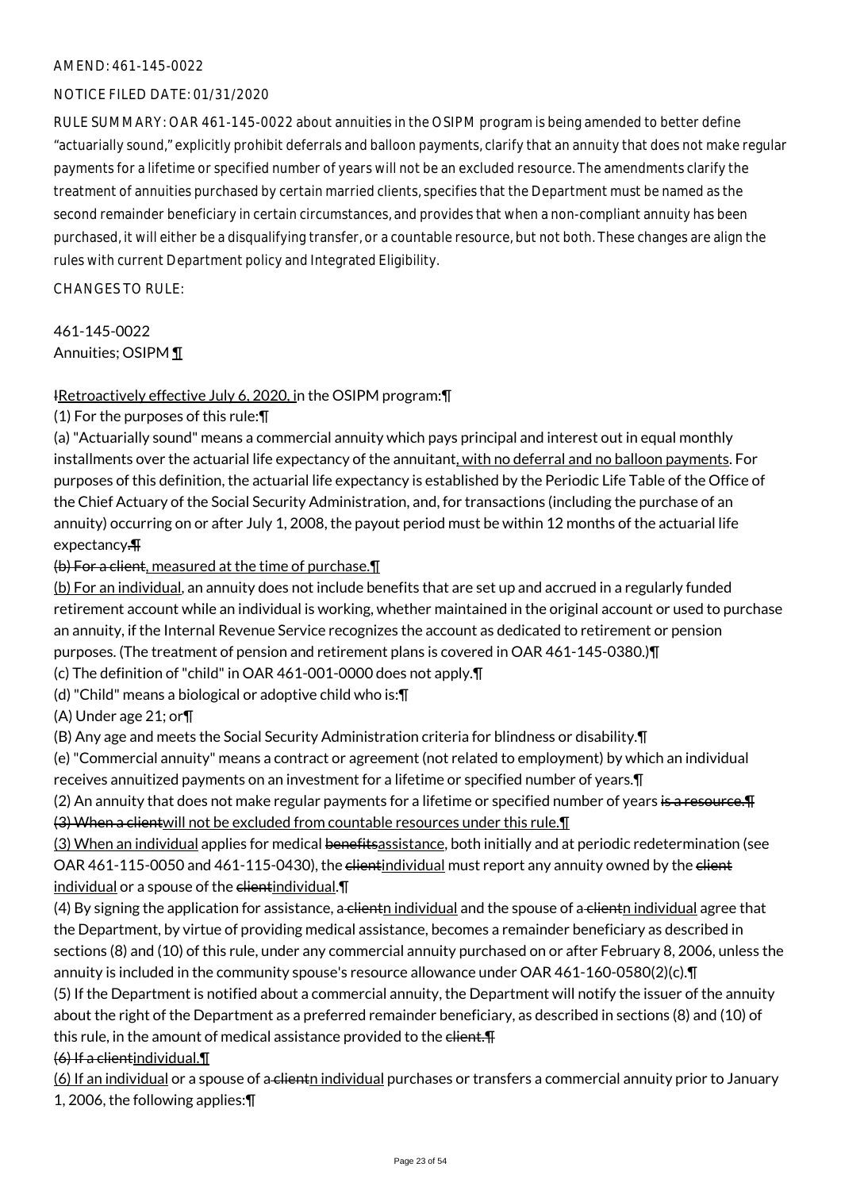### NOTICE FILED DATE: 01/31/2020

RULE SUMMARY: OAR 461-145-0022 about annuities in the OSIPM program is being amended to better define "actuarially sound," explicitly prohibit deferrals and balloon payments, clarify that an annuity that does not make regular payments for a lifetime or specified number of years will not be an excluded resource. The amendments clarify the treatment of annuities purchased by certain married clients, specifies that the Department must be named as the second remainder beneficiary in certain circumstances, and provides that when a non-compliant annuity has been purchased, it will either be a disqualifying transfer, or a countable resource, but not both. These changes are align the rules with current Department policy and Integrated Eligibility.

CHANGES TO RULE:

461-145-0022 Annuities; OSIPM ¶

### IRetroactively effective July 6, 2020, in the OSIPM program:¶

(1) For the purposes of this rule:¶

(a) "Actuarially sound" means a commercial annuity which pays principal and interest out in equal monthly installments over the actuarial life expectancy of the annuitant, with no deferral and no balloon payments. For purposes of this definition, the actuarial life expectancy is established by the Periodic Life Table of the Office of the Chief Actuary of the Social Security Administration, and, for transactions (including the purchase of an annuity) occurring on or after July 1, 2008, the payout period must be within 12 months of the actuarial life expectancy.¶

(b) For a client, measured at the time of purchase.¶

(b) For an individual, an annuity does not include benefits that are set up and accrued in a regularly funded retirement account while an individual is working, whether maintained in the original account or used to purchase an annuity, if the Internal Revenue Service recognizes the account as dedicated to retirement or pension purposes. (The treatment of pension and retirement plans is covered in OAR 461-145-0380.)¶

(c) The definition of "child" in OAR 461-001-0000 does not apply.¶

(d) "Child" means a biological or adoptive child who is:¶

(A) Under age 21; or¶

(B) Any age and meets the Social Security Administration criteria for blindness or disability.¶

(e) "Commercial annuity" means a contract or agreement (not related to employment) by which an individual receives annuitized payments on an investment for a lifetime or specified number of years.¶

(2) An annuity that does not make regular payments for a lifetime or specified number of years is a resource. T (3) When a clientwill not be excluded from countable resources under this rule.¶

(3) When an individual applies for medical benefitsassistance, both initially and at periodic redetermination (see OAR 461-115-0050 and 461-115-0430), the elientindividual must report any annuity owned by the elient individual or a spouse of the elientindividual. \[

 $(4)$  By signing the application for assistance, a clienth individual and the spouse of a clienth individual agree that the Department, by virtue of providing medical assistance, becomes a remainder beneficiary as described in sections (8) and (10) of this rule, under any commercial annuity purchased on or after February 8, 2006, unless the annuity is included in the community spouse's resource allowance under OAR 461-160-0580(2)(c).¶ (5) If the Department is notified about a commercial annuity, the Department will notify the issuer of the annuity about the right of the Department as a preferred remainder beneficiary, as described in sections (8) and (10) of this rule, in the amount of medical assistance provided to the elient. F

(6) If a clientindividual.¶

(6) If an individual or a spouse of a clientn individual purchases or transfers a commercial annuity prior to January 1, 2006, the following applies:¶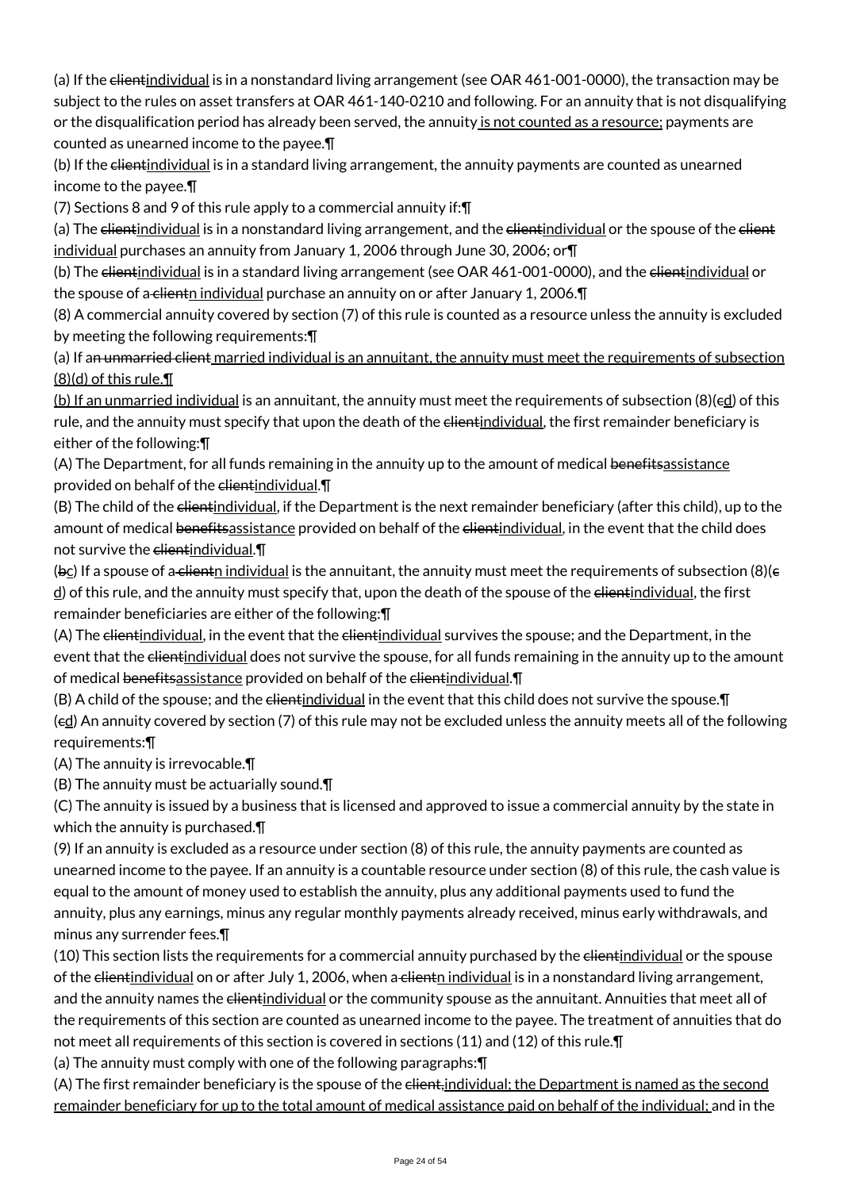(a) If the clientindividual is in a nonstandard living arrangement (see OAR 461-001-0000), the transaction may be subject to the rules on asset transfers at OAR 461-140-0210 and following. For an annuity that is not disqualifying or the disqualification period has already been served, the annuity is not counted as a resource; payments are counted as unearned income to the payee.¶

(b) If the clientindividual is in a standard living arrangement, the annuity payments are counted as unearned income to the payee.¶

(7) Sections 8 and 9 of this rule apply to a commercial annuity if:¶

(a) The clientindividual is in a nonstandard living arrangement, and the clientindividual or the spouse of the client individual purchases an annuity from January 1, 2006 through June 30, 2006; or¶

(b) The clientindividual is in a standard living arrangement (see OAR 461-001-0000), and the clientindividual or the spouse of a-clienth individual purchase an annuity on or after January 1, 2006.

(8) A commercial annuity covered by section (7) of this rule is counted as a resource unless the annuity is excluded by meeting the following requirements:¶

(a) If an unmarried client married individual is an annuitant, the annuity must meet the requirements of subsection (8)(d) of this rule.¶

(b) If an unmarried individual is an annuitant, the annuity must meet the requirements of subsection (8)(ed) of this rule, and the annuity must specify that upon the death of the elientindividual, the first remainder beneficiary is either of the following:¶

(A) The Department, for all funds remaining in the annuity up to the amount of medical benefitsassistance provided on behalf of the clientindividual. \[

(B) The child of the elientindividual, if the Department is the next remainder beneficiary (after this child), up to the amount of medical benefitsassistance provided on behalf of the elientindividual, in the event that the child does not survive the elientindividual. $\P$ 

(bc) If a spouse of a clienth individual is the annuitant, the annuity must meet the requirements of subsection (8)( $\epsilon$  $\frac{d}{dt}$  of this rule, and the annuity must specify that, upon the death of the spouse of the <del>client</del>individual, the first remainder beneficiaries are either of the following:¶

(A) The elientindividual, in the event that the elientindividual survives the spouse; and the Department, in the event that the elientindividual does not survive the spouse, for all funds remaining in the annuity up to the amount of medical benefitsassistance provided on behalf of the clientindividual. I

(B) A child of the spouse; and the elientindividual in the event that this child does not survive the spouse. T (ed) An annuity covered by section (7) of this rule may not be excluded unless the annuity meets all of the following requirements:¶

(A) The annuity is irrevocable.¶

(B) The annuity must be actuarially sound.¶

(C) The annuity is issued by a business that is licensed and approved to issue a commercial annuity by the state in which the annuity is purchased.¶

(9) If an annuity is excluded as a resource under section (8) of this rule, the annuity payments are counted as unearned income to the payee. If an annuity is a countable resource under section (8) of this rule, the cash value is equal to the amount of money used to establish the annuity, plus any additional payments used to fund the annuity, plus any earnings, minus any regular monthly payments already received, minus early withdrawals, and minus any surrender fees.¶

(10) This section lists the requirements for a commercial annuity purchased by the elientindividual or the spouse of the clientindividual on or after July 1, 2006, when a clienth individual is in a nonstandard living arrangement, and the annuity names the <del>client</del>individual or the community spouse as the annuitant. Annuities that meet all of the requirements of this section are counted as unearned income to the payee. The treatment of annuities that do not meet all requirements of this section is covered in sections (11) and (12) of this rule.¶

(a) The annuity must comply with one of the following paragraphs:¶

(A) The first remainder beneficiary is the spouse of the client, individual; the Department is named as the second remainder beneficiary for up to the total amount of medical assistance paid on behalf of the individual; and in the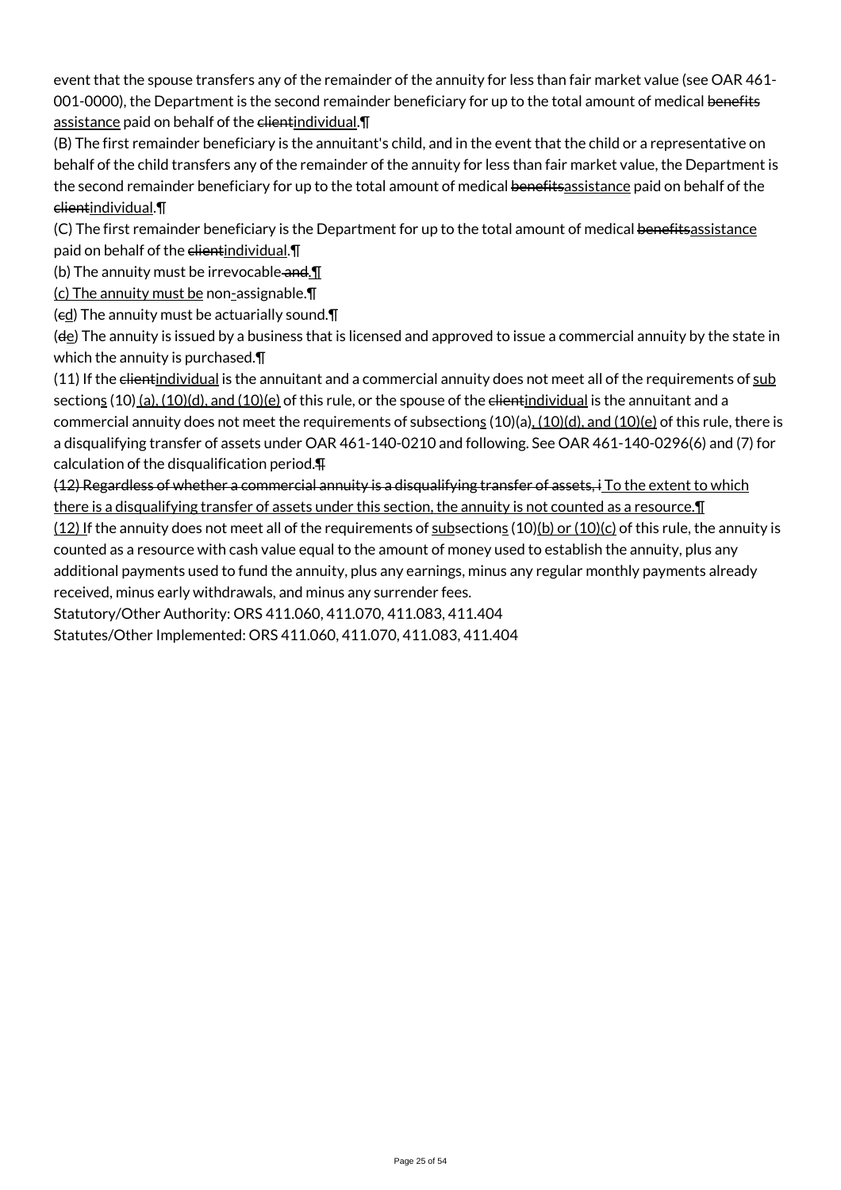event that the spouse transfers any of the remainder of the annuity for less than fair market value (see OAR 461- 001-0000), the Department is the second remainder beneficiary for up to the total amount of medical benefits assistance paid on behalf of the elientindividual. T

(B) The first remainder beneficiary is the annuitant's child, and in the event that the child or a representative on behalf of the child transfers any of the remainder of the annuity for less than fair market value, the Department is the second remainder beneficiary for up to the total amount of medical benefitsassistance paid on behalf of the clientindividual.¶

(C) The first remainder beneficiary is the Department for up to the total amount of medical benefitsassistance paid on behalf of the clientindividual. \[

(b) The annuity must be irrevocable and  $\P$ 

(c) The annuity must be non-assignable.¶

 $(\epsilon \underline{d})$  The annuity must be actuarially sound. $\P$ 

(de) The annuity is issued by a business that is licensed and approved to issue a commercial annuity by the state in which the annuity is purchased.¶

(11) If the elientindividual is the annuitant and a commercial annuity does not meet all of the requirements of sub sections  $(10)$  (a),  $(10)(d)$ , and  $(10)(e)$  of this rule, or the spouse of the elientindividual is the annuitant and a commercial annuity does not meet the requirements of subsections  $(10)(a)$ ,  $(10)(d)$ , and  $(10)(e)$  of this rule, there is a disqualifying transfer of assets under OAR 461-140-0210 and following. See OAR 461-140-0296(6) and (7) for calculation of the disqualification period.¶

(12) Regardless of whether a commercial annuity is a disqualifying transfer of assets, i To the extent to which there is a disqualifying transfer of assets under this section, the annuity is not counted as a resource. In

 $(12)$  If the annuity does not meet all of the requirements of subsections  $(10)(b)$  or  $(10)(c)$  of this rule, the annuity is counted as a resource with cash value equal to the amount of money used to establish the annuity, plus any additional payments used to fund the annuity, plus any earnings, minus any regular monthly payments already received, minus early withdrawals, and minus any surrender fees.

Statutory/Other Authority: ORS 411.060, 411.070, 411.083, 411.404

Statutes/Other Implemented: ORS 411.060, 411.070, 411.083, 411.404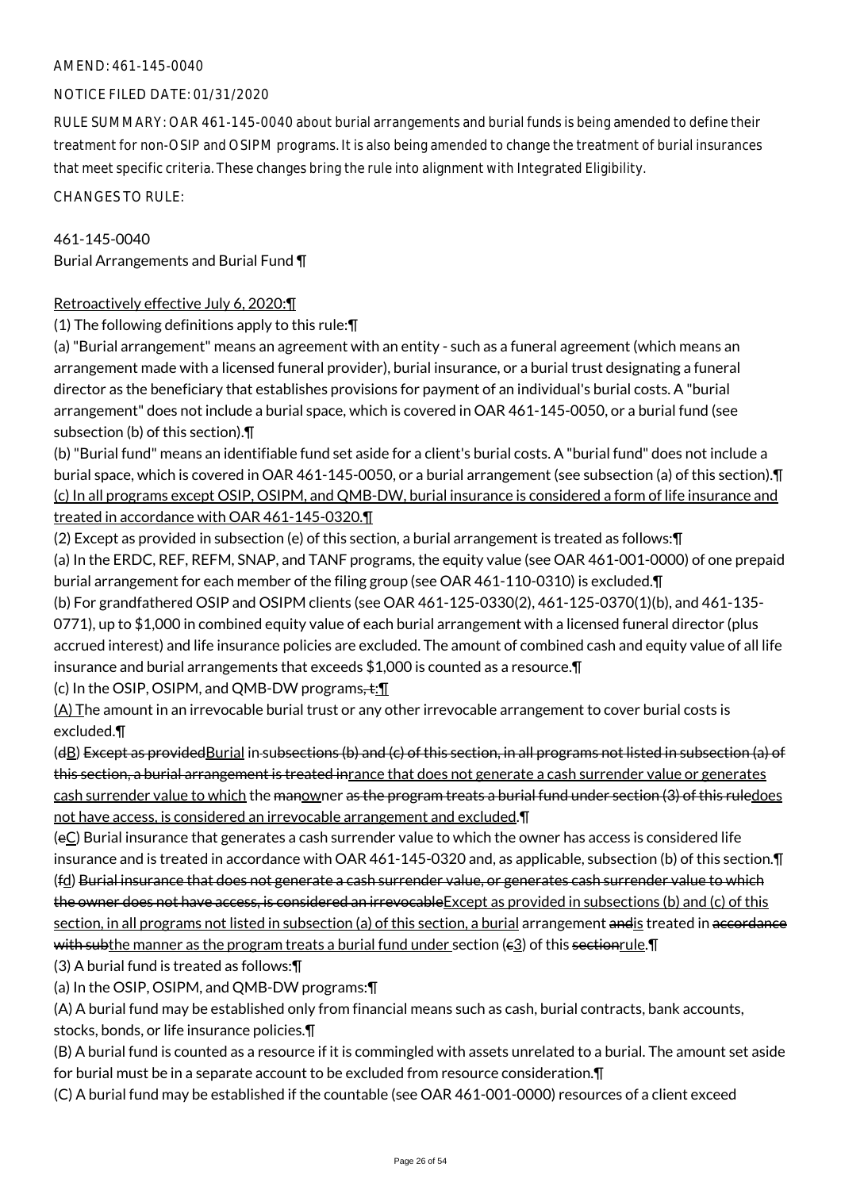### NOTICE FILED DATE: 01/31/2020

RULE SUMMARY: OAR 461-145-0040 about burial arrangements and burial funds is being amended to define their treatment for non-OSIP and OSIPM programs. It is also being amended to change the treatment of burial insurances that meet specific criteria. These changes bring the rule into alignment with Integrated Eligibility.

CHANGES TO RULE:

### 461-145-0040

Burial Arrangements and Burial Fund ¶

### Retroactively effective July 6, 2020:¶

(1) The following definitions apply to this rule:¶

(a) "Burial arrangement" means an agreement with an entity - such as a funeral agreement (which means an arrangement made with a licensed funeral provider), burial insurance, or a burial trust designating a funeral director as the beneficiary that establishes provisions for payment of an individual's burial costs. A "burial arrangement" does not include a burial space, which is covered in OAR 461-145-0050, or a burial fund (see subsection (b) of this section).¶

(b) "Burial fund" means an identifiable fund set aside for a client's burial costs. A "burial fund" does not include a burial space, which is covered in OAR 461-145-0050, or a burial arrangement (see subsection (a) of this section).¶ (c) In all programs except OSIP, OSIPM, and QMB-DW, burial insurance is considered a form of life insurance and treated in accordance with OAR 461-145-0320.¶

(2) Except as provided in subsection (e) of this section, a burial arrangement is treated as follows:¶ (a) In the ERDC, REF, REFM, SNAP, and TANF programs, the equity value (see OAR 461-001-0000) of one prepaid burial arrangement for each member of the filing group (see OAR 461-110-0310) is excluded.¶

(b) For grandfathered OSIP and OSIPM clients (see OAR 461-125-0330(2), 461-125-0370(1)(b), and 461-135- 0771), up to \$1,000 in combined equity value of each burial arrangement with a licensed funeral director (plus accrued interest) and life insurance policies are excluded. The amount of combined cash and equity value of all life insurance and burial arrangements that exceeds \$1,000 is counted as a resource.¶

(c) In the OSIP, OSIPM, and QMB-DW programs, $\pm$ : $\P$ 

(A) The amount in an irrevocable burial trust or any other irrevocable arrangement to cover burial costs is excluded.¶

(dB) Except as providedBurial in subsections (b) and (c) of this section, in all programs not listed in subsection (a) of this section, a burial arrangement is treated inrance that does not generate a cash surrender value or generates cash surrender value to which the manowner as the program treats a burial fund under section (3) of this ruledoes not have access, is considered an irrevocable arrangement and excluded.¶

(eC) Burial insurance that generates a cash surrender value to which the owner has access is considered life insurance and is treated in accordance with OAR 461-145-0320 and, as applicable, subsection (b) of this section.¶ (fd) Burial insurance that does not generate a cash surrender value, or generates cash surrender value to which the owner does not have access, is considered an irrevocable Except as provided in subsections (b) and (c) of this section, in all programs not listed in subsection (a) of this section, a burial arrangement andis treated in accordance with subthe manner as the program treats a burial fund under section ( $\varepsilon$ 3) of this sectionrule. The subsetion (3) A burial fund is treated as follows:¶

(a) In the OSIP, OSIPM, and QMB-DW programs:¶

(A) A burial fund may be established only from financial means such as cash, burial contracts, bank accounts, stocks, bonds, or life insurance policies.¶

(B) A burial fund is counted as a resource if it is commingled with assets unrelated to a burial. The amount set aside for burial must be in a separate account to be excluded from resource consideration.¶

(C) A burial fund may be established if the countable (see OAR 461-001-0000) resources of a client exceed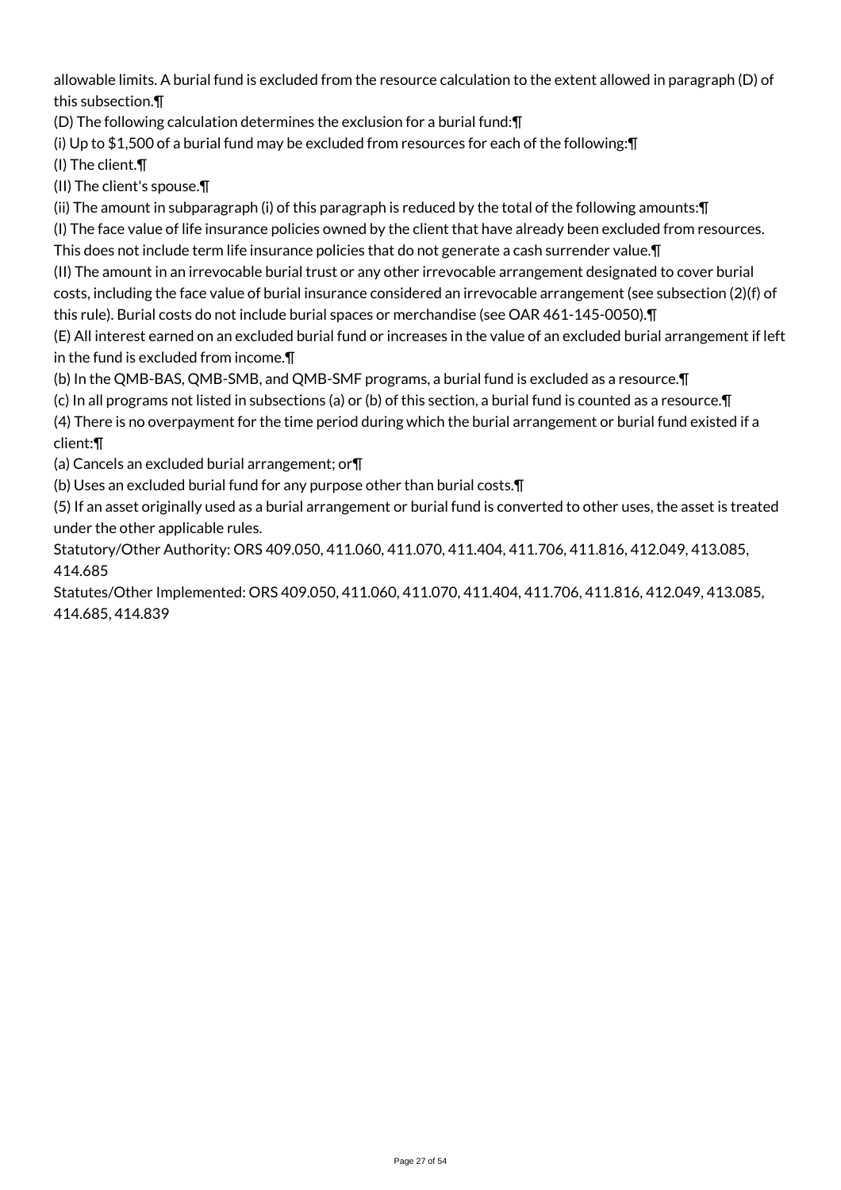allowable limits. A burial fund is excluded from the resource calculation to the extent allowed in paragraph (D) of this subsection.¶

(D) The following calculation determines the exclusion for a burial fund:¶

(i) Up to \$1,500 of a burial fund may be excluded from resources for each of the following:¶

(I) The client.¶

(II) The client's spouse.¶

(ii) The amount in subparagraph (i) of this paragraph is reduced by the total of the following amounts:¶

(I) The face value of life insurance policies owned by the client that have already been excluded from resources.

This does not include term life insurance policies that do not generate a cash surrender value.¶

(II) The amount in an irrevocable burial trust or any other irrevocable arrangement designated to cover burial costs, including the face value of burial insurance considered an irrevocable arrangement (see subsection (2)(f) of this rule). Burial costs do not include burial spaces or merchandise (see OAR 461-145-0050).¶

(E) All interest earned on an excluded burial fund or increases in the value of an excluded burial arrangement if left in the fund is excluded from income.¶

(b) In the QMB-BAS, QMB-SMB, and QMB-SMF programs, a burial fund is excluded as a resource.¶

(c) In all programs not listed in subsections (a) or (b) of this section, a burial fund is counted as a resource.¶

(4) There is no overpayment for the time period during which the burial arrangement or burial fund existed if a client:¶

(a) Cancels an excluded burial arrangement; or¶

(b) Uses an excluded burial fund for any purpose other than burial costs.¶

(5) If an asset originally used as a burial arrangement or burial fund is converted to other uses, the asset is treated under the other applicable rules.

Statutory/Other Authority: ORS 409.050, 411.060, 411.070, 411.404, 411.706, 411.816, 412.049, 413.085, 414.685

Statutes/Other Implemented: ORS 409.050, 411.060, 411.070, 411.404, 411.706, 411.816, 412.049, 413.085, 414.685, 414.839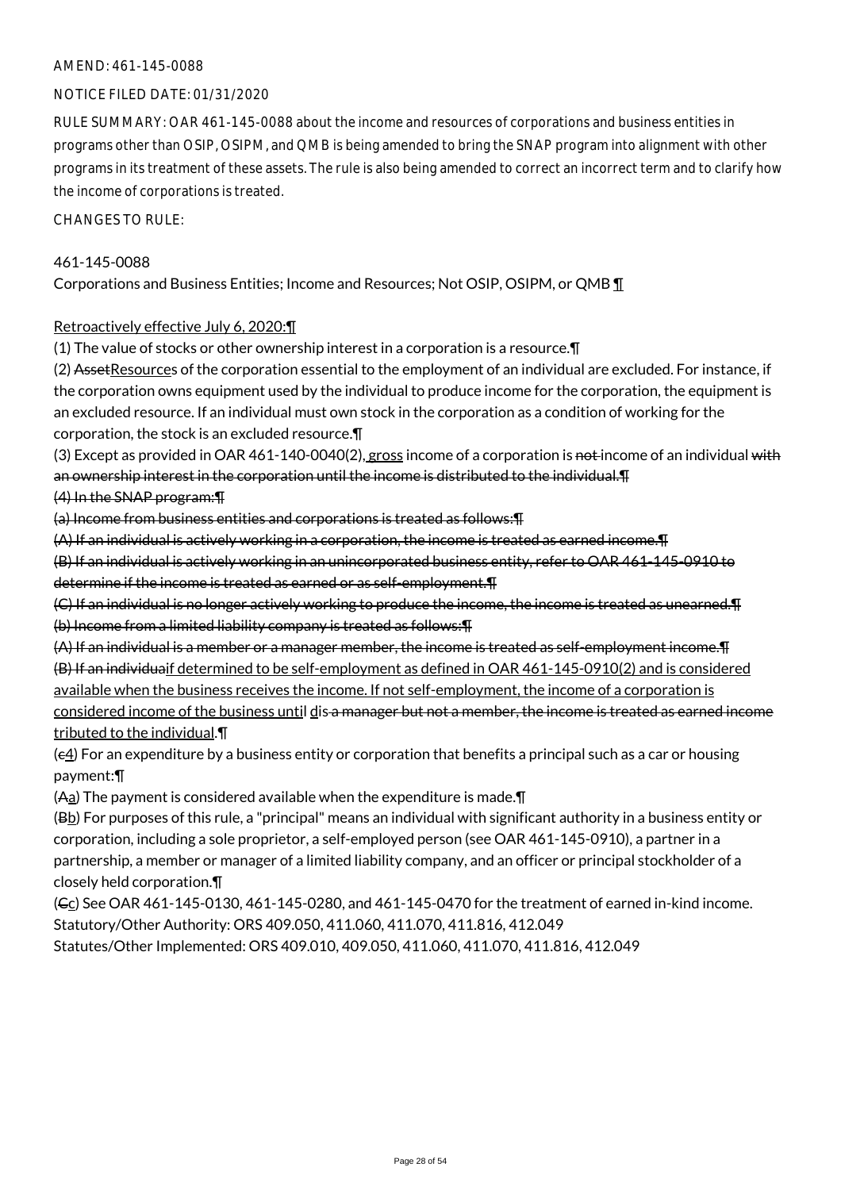### NOTICE FILED DATE: 01/31/2020

RULE SUMMARY: OAR 461-145-0088 about the income and resources of corporations and business entities in programs other than OSIP, OSIPM, and QMB is being amended to bring the SNAP program into alignment with other programs in its treatment of these assets. The rule is also being amended to correct an incorrect term and to clarify how the income of corporations is treated.

CHANGES TO RULE:

### 461-145-0088

Corporations and Business Entities; Income and Resources; Not OSIP, OSIPM, or QMB ¶

### Retroactively effective July 6, 2020:¶

(1) The value of stocks or other ownership interest in a corporation is a resource.¶

(2) Asset Resources of the corporation essential to the employment of an individual are excluded. For instance, if the corporation owns equipment used by the individual to produce income for the corporation, the equipment is an excluded resource. If an individual must own stock in the corporation as a condition of working for the corporation, the stock is an excluded resource.¶

(3) Except as provided in OAR 461-140-0040(2), gross income of a corporation is not income of an individual with an ownership interest in the corporation until the income is distributed to the individual.¶

### (4) In the SNAP program:¶

(a) Income from business entities and corporations is treated as follows:¶

(A) If an individual is actively working in a corporation, the income is treated as earned income.¶

(B) If an individual is actively working in an unincorporated business entity, refer to OAR 461-145-0910 to determine if the income is treated as earned or as self-employment.¶

(C) If an individual is no longer actively working to produce the income, the income is treated as unearned.¶ (b) Income from a limited liability company is treated as follows:¶

(A) If an individual is a member or a manager member, the income is treated as self-employment income.¶ (B) If an individuaif determined to be self-employment as defined in OAR 461-145-0910(2) and is considered available when the business receives the income. If not self-employment, the income of a corporation is considered income of the business until dis a manager but not a member, the income is treated as earned income tributed to the individual.¶

 $(e_4)$  For an expenditure by a business entity or corporation that benefits a principal such as a car or housing payment:¶

(Aa) The payment is considered available when the expenditure is made.¶

 $(B<sub>b</sub>)$  For purposes of this rule, a "principal" means an individual with significant authority in a business entity or corporation, including a sole proprietor, a self-employed person (see OAR 461-145-0910), a partner in a partnership, a member or manager of a limited liability company, and an officer or principal stockholder of a closely held corporation.¶

 $(GC)$  See OAR 461-145-0130, 461-145-0280, and 461-145-0470 for the treatment of earned in-kind income. Statutory/Other Authority: ORS 409.050, 411.060, 411.070, 411.816, 412.049 Statutes/Other Implemented: ORS 409.010, 409.050, 411.060, 411.070, 411.816, 412.049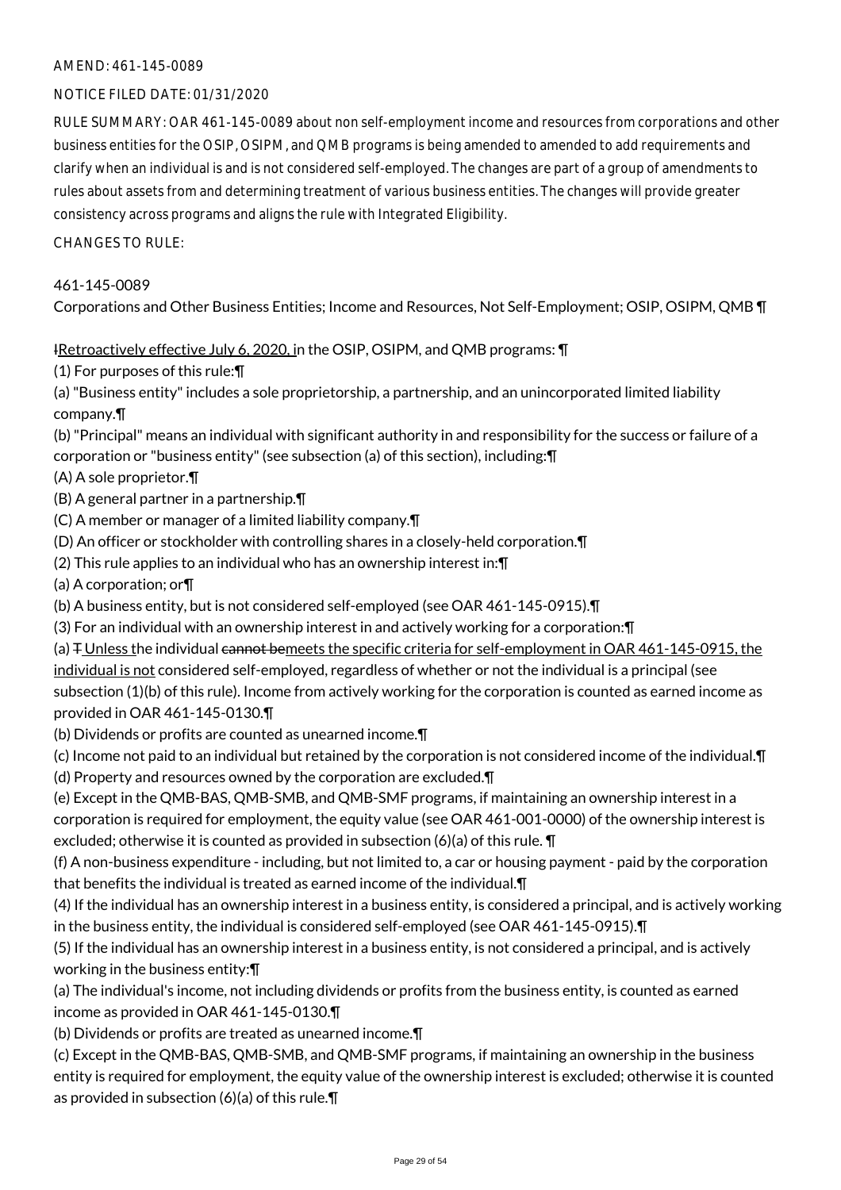### NOTICE FILED DATE: 01/31/2020

RULE SUMMARY: OAR 461-145-0089 about non self-employment income and resources from corporations and other business entities for the OSIP, OSIPM, and QMB programs is being amended to amended to add requirements and clarify when an individual is and is not considered self-employed. The changes are part of a group of amendments to rules about assets from and determining treatment of various business entities. The changes will provide greater consistency across programs and aligns the rule with Integrated Eligibility.

CHANGES TO RULE:

### 461-145-0089

Corporations and Other Business Entities; Income and Resources, Not Self-Employment; OSIP, OSIPM, QMB ¶

### IRetroactively effective July 6, 2020, in the OSIP, OSIPM, and QMB programs: \[

(1) For purposes of this rule:¶

(a) "Business entity" includes a sole proprietorship, a partnership, and an unincorporated limited liability company.¶

(b) "Principal" means an individual with significant authority in and responsibility for the success or failure of a corporation or "business entity" (see subsection (a) of this section), including:¶

- (A) A sole proprietor.¶
- (B) A general partner in a partnership.¶
- (C) A member or manager of a limited liability company.¶
- (D) An officer or stockholder with controlling shares in a closely-held corporation.¶
- (2) This rule applies to an individual who has an ownership interest in:¶
- (a) A corporation; or¶
- (b) A business entity, but is not considered self-employed (see OAR 461-145-0915).¶
- (3) For an individual with an ownership interest in and actively working for a corporation:¶
- (a)  $\mp$  Unless the individual cannot bemeets the specific criteria for self-employment in OAR 461-145-0915, the individual is not considered self-employed, regardless of whether or not the individual is a principal (see subsection (1)(b) of this rule). Income from actively working for the corporation is counted as earned income as provided in OAR 461-145-0130.¶
- (b) Dividends or profits are counted as unearned income.¶
- (c) Income not paid to an individual but retained by the corporation is not considered income of the individual.¶
- (d) Property and resources owned by the corporation are excluded.¶

(e) Except in the QMB-BAS, QMB-SMB, and QMB-SMF programs, if maintaining an ownership interest in a corporation is required for employment, the equity value (see OAR 461-001-0000) of the ownership interest is excluded; otherwise it is counted as provided in subsection (6)(a) of this rule. ¶

(f) A non-business expenditure - including, but not limited to, a car or housing payment - paid by the corporation that benefits the individual is treated as earned income of the individual.¶

(4) If the individual has an ownership interest in a business entity, is considered a principal, and is actively working in the business entity, the individual is considered self-employed (see OAR 461-145-0915).¶

(5) If the individual has an ownership interest in a business entity, is not considered a principal, and is actively working in the business entity:¶

(a) The individual's income, not including dividends or profits from the business entity, is counted as earned income as provided in OAR 461-145-0130.¶

(b) Dividends or profits are treated as unearned income.¶

(c) Except in the QMB-BAS, QMB-SMB, and QMB-SMF programs, if maintaining an ownership in the business entity is required for employment, the equity value of the ownership interest is excluded; otherwise it is counted as provided in subsection (6)(a) of this rule.¶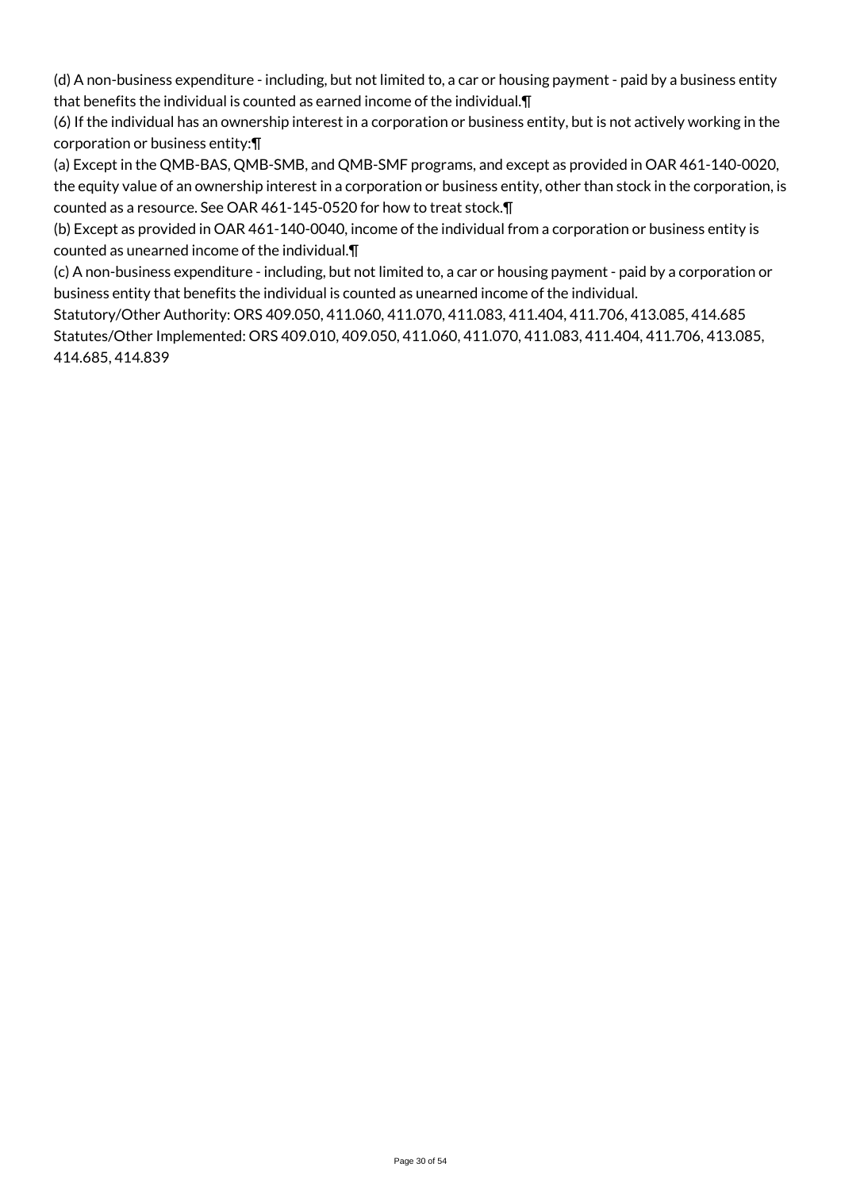(d) A non-business expenditure - including, but not limited to, a car or housing payment - paid by a business entity that benefits the individual is counted as earned income of the individual.¶

(6) If the individual has an ownership interest in a corporation or business entity, but is not actively working in the corporation or business entity:¶

(a) Except in the QMB-BAS, QMB-SMB, and QMB-SMF programs, and except as provided in OAR 461-140-0020, the equity value of an ownership interest in a corporation or business entity, other than stock in the corporation, is counted as a resource. See OAR 461-145-0520 for how to treat stock.¶

(b) Except as provided in OAR 461-140-0040, income of the individual from a corporation or business entity is counted as unearned income of the individual.¶

(c) A non-business expenditure - including, but not limited to, a car or housing payment - paid by a corporation or business entity that benefits the individual is counted as unearned income of the individual.

Statutory/Other Authority: ORS 409.050, 411.060, 411.070, 411.083, 411.404, 411.706, 413.085, 414.685 Statutes/Other Implemented: ORS 409.010, 409.050, 411.060, 411.070, 411.083, 411.404, 411.706, 413.085, 414.685, 414.839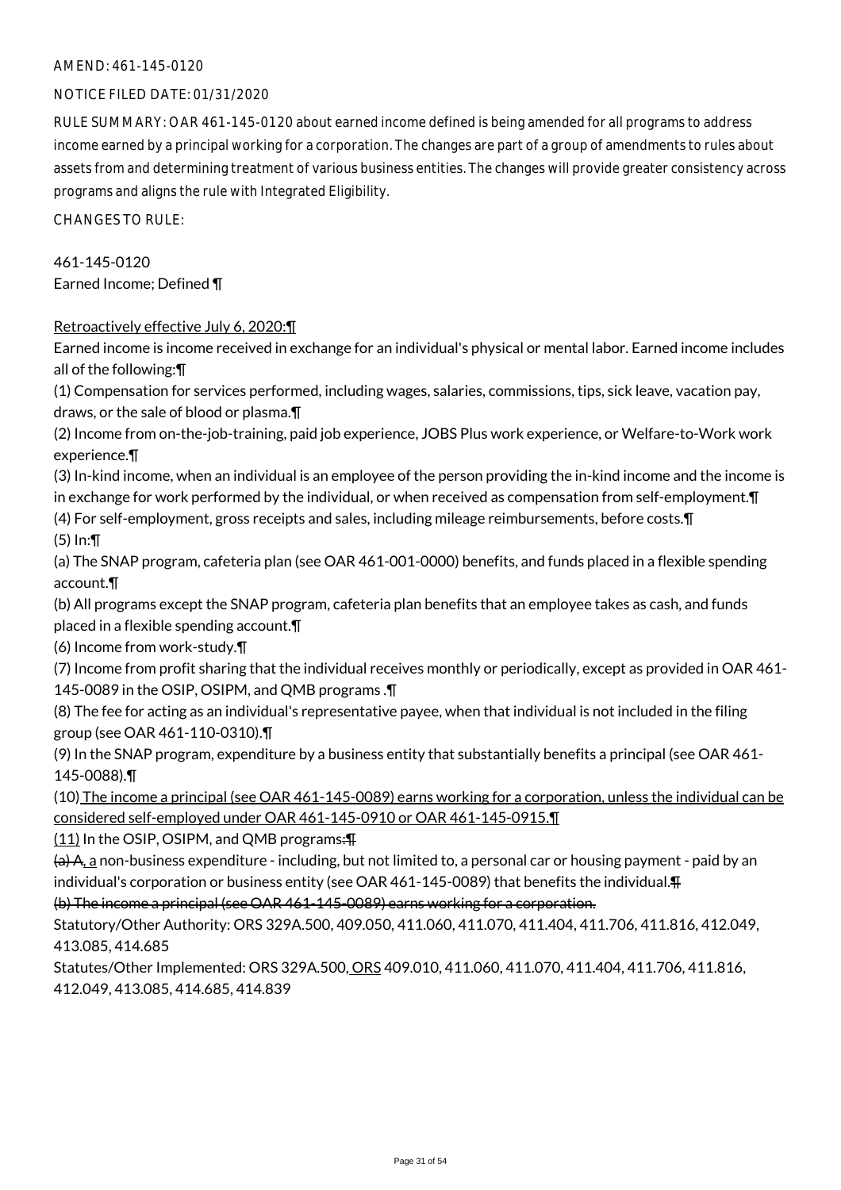### NOTICE FILED DATE: 01/31/2020

RULE SUMMARY: OAR 461-145-0120 about earned income defined is being amended for all programs to address income earned by a principal working for a corporation. The changes are part of a group of amendments to rules about assets from and determining treatment of various business entities. The changes will provide greater consistency across programs and aligns the rule with Integrated Eligibility.

CHANGES TO RULE:

461-145-0120 Earned Income; Defined ¶

### Retroactively effective July 6, 2020:¶

Earned income is income received in exchange for an individual's physical or mental labor. Earned income includes all of the following:¶

(1) Compensation for services performed, including wages, salaries, commissions, tips, sick leave, vacation pay, draws, or the sale of blood or plasma.¶

(2) Income from on-the-job-training, paid job experience, JOBS Plus work experience, or Welfare-to-Work work experience.¶

(3) In-kind income, when an individual is an employee of the person providing the in-kind income and the income is in exchange for work performed by the individual, or when received as compensation from self-employment.¶ (4) For self-employment, gross receipts and sales, including mileage reimbursements, before costs.¶

(5) In:¶

(a) The SNAP program, cafeteria plan (see OAR 461-001-0000) benefits, and funds placed in a flexible spending account.¶

(b) All programs except the SNAP program, cafeteria plan benefits that an employee takes as cash, and funds placed in a flexible spending account.¶

(6) Income from work-study.¶

(7) Income from profit sharing that the individual receives monthly or periodically, except as provided in OAR 461- 145-0089 in the OSIP, OSIPM, and QMB programs .¶

(8) The fee for acting as an individual's representative payee, when that individual is not included in the filing group (see OAR 461-110-0310).¶

(9) In the SNAP program, expenditure by a business entity that substantially benefits a principal (see OAR 461- 145-0088).¶

(10) The income a principal (see OAR 461-145-0089) earns working for a corporation, unless the individual can be considered self-employed under OAR 461-145-0910 or OAR 461-145-0915.¶

 $(11)$  In the OSIP, OSIPM, and QMB programs: $\overline{H}$ 

 $(a)$  A, a non-business expenditure - including, but not limited to, a personal car or housing payment - paid by an individual's corporation or business entity (see OAR 461-145-0089) that benefits the individual.¶

(b) The income a principal (see OAR 461-145-0089) earns working for a corporation.

Statutory/Other Authority: ORS 329A.500, 409.050, 411.060, 411.070, 411.404, 411.706, 411.816, 412.049, 413.085, 414.685

Statutes/Other Implemented: ORS 329A.500, ORS 409.010, 411.060, 411.070, 411.404, 411.706, 411.816, 412.049, 413.085, 414.685, 414.839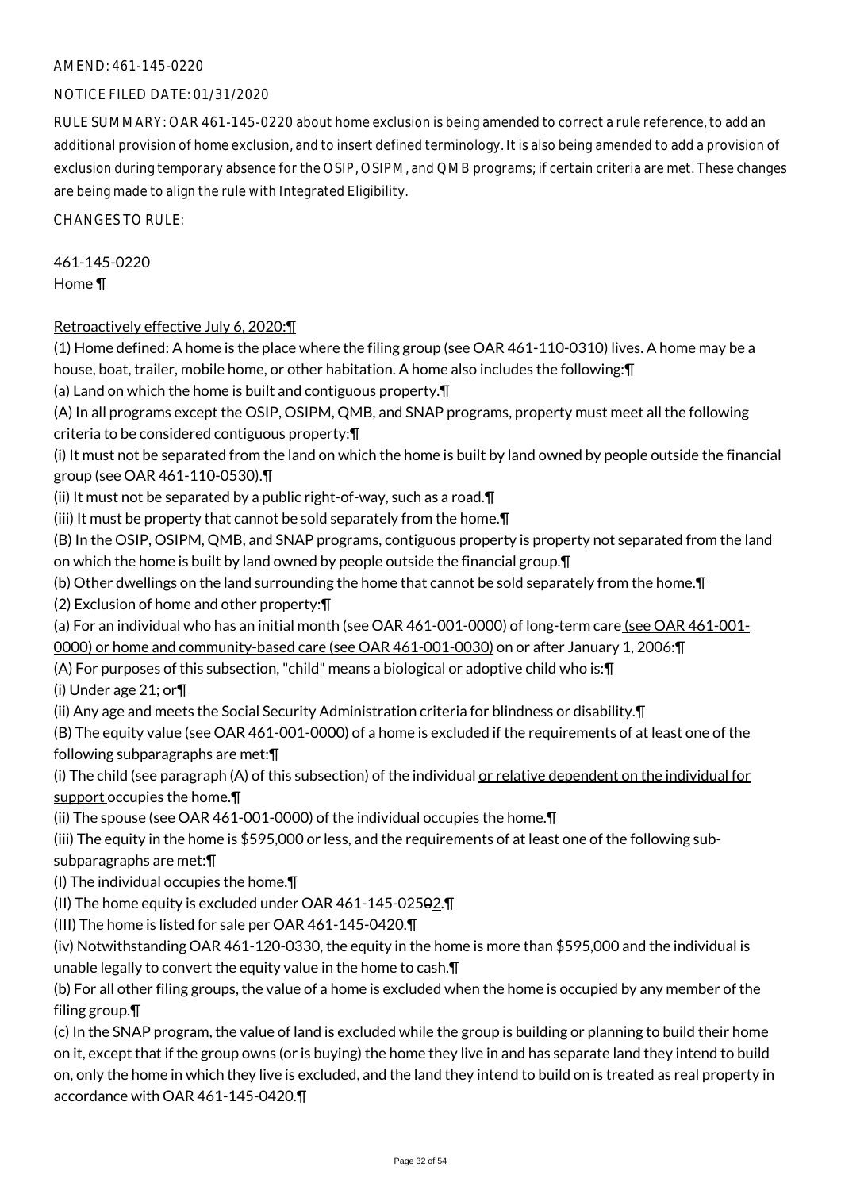### NOTICE FILED DATE: 01/31/2020

RULE SUMMARY: OAR 461-145-0220 about home exclusion is being amended to correct a rule reference, to add an additional provision of home exclusion, and to insert defined terminology. It is also being amended to add a provision of exclusion during temporary absence for the OSIP, OSIPM, and QMB programs; if certain criteria are met. These changes are being made to align the rule with Integrated Eligibility.

CHANGES TO RULE:

# 461-145-0220

Home ¶

### Retroactively effective July 6, 2020:¶

(1) Home defined: A home is the place where the filing group (see OAR 461-110-0310) lives. A home may be a house, boat, trailer, mobile home, or other habitation. A home also includes the following:¶

(a) Land on which the home is built and contiguous property.¶

(A) In all programs except the OSIP, OSIPM, QMB, and SNAP programs, property must meet all the following criteria to be considered contiguous property:¶

(i) It must not be separated from the land on which the home is built by land owned by people outside the financial group (see OAR 461-110-0530).¶

(ii) It must not be separated by a public right-of-way, such as a road.¶

(iii) It must be property that cannot be sold separately from the home.¶

(B) In the OSIP, OSIPM, QMB, and SNAP programs, contiguous property is property not separated from the land on which the home is built by land owned by people outside the financial group.¶

(b) Other dwellings on the land surrounding the home that cannot be sold separately from the home.¶

(2) Exclusion of home and other property:¶

(a) For an individual who has an initial month (see OAR 461-001-0000) of long-term care (see OAR 461-001-0000) or home and community-based care (see OAR 461-001-0030) on or after January 1, 2006:¶

(A) For purposes of this subsection, "child" means a biological or adoptive child who is:¶

(i) Under age 21; or¶

(ii) Any age and meets the Social Security Administration criteria for blindness or disability.¶

(B) The equity value (see OAR 461-001-0000) of a home is excluded if the requirements of at least one of the following subparagraphs are met:¶

(i) The child (see paragraph  $(A)$  of this subsection) of the individual or relative dependent on the individual for support occupies the home.¶

(ii) The spouse (see OAR 461-001-0000) of the individual occupies the home.¶

(iii) The equity in the home is \$595,000 or less, and the requirements of at least one of the following sub-

subparagraphs are met:¶

(I) The individual occupies the home.¶

(II) The home equity is excluded under OAR 461-145-02502.¶

(III) The home is listed for sale per OAR 461-145-0420.¶

(iv) Notwithstanding OAR 461-120-0330, the equity in the home is more than \$595,000 and the individual is unable legally to convert the equity value in the home to cash.¶

(b) For all other filing groups, the value of a home is excluded when the home is occupied by any member of the filing group.¶

(c) In the SNAP program, the value of land is excluded while the group is building or planning to build their home on it, except that if the group owns (or is buying) the home they live in and has separate land they intend to build on, only the home in which they live is excluded, and the land they intend to build on is treated as real property in accordance with OAR 461-145-0420.¶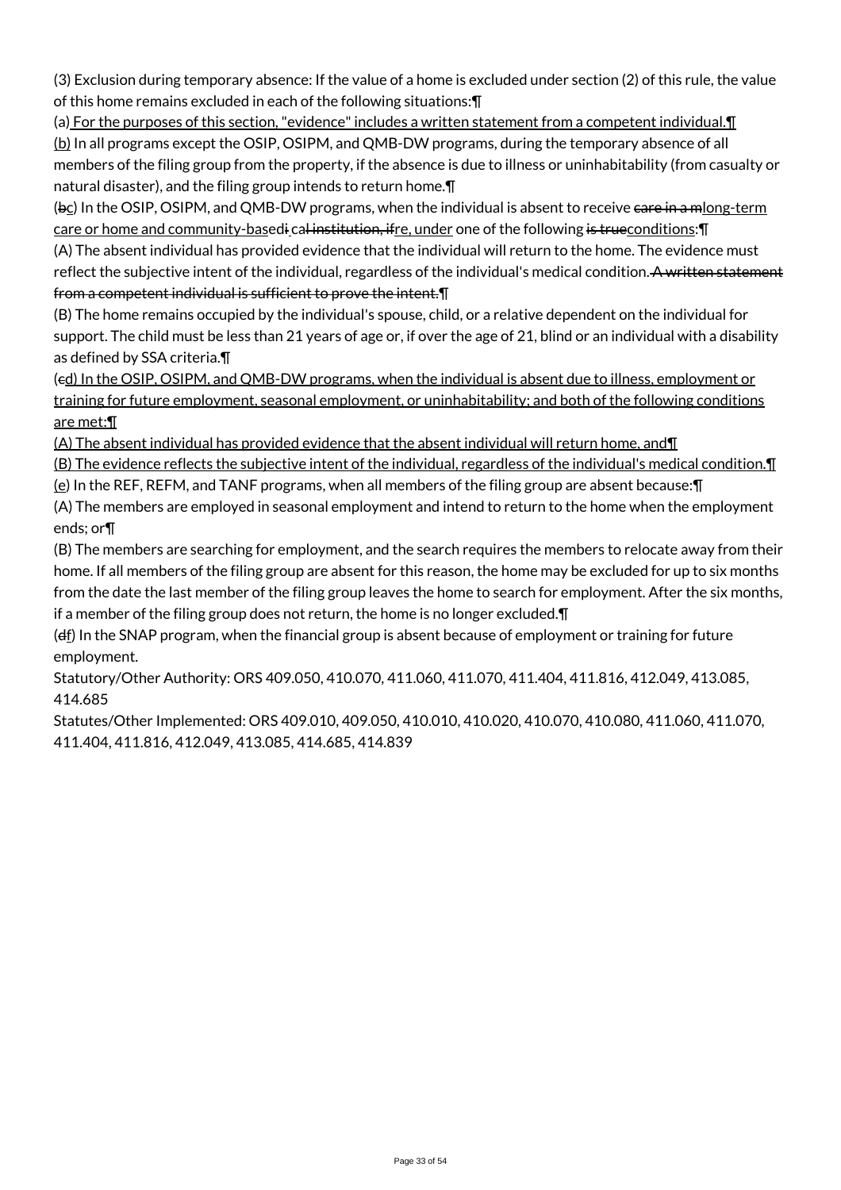(3) Exclusion during temporary absence: If the value of a home is excluded under section (2) of this rule, the value of this home remains excluded in each of the following situations:¶

(a) For the purposes of this section, "evidence" includes a written statement from a competent individual.¶ (b) In all programs except the OSIP, OSIPM, and QMB-DW programs, during the temporary absence of all members of the filing group from the property, if the absence is due to illness or uninhabitability (from casualty or natural disaster), and the filing group intends to return home.¶

(bc) In the OSIP, OSIPM, and QMB-DW programs, when the individual is absent to receive care in a mlong-term care or home and community-basedi cal institution, ifre, under one of the following is trueconditions: [[1]

(A) The absent individual has provided evidence that the individual will return to the home. The evidence must reflect the subjective intent of the individual, regardless of the individual's medical condition. A written statement from a competent individual is sufficient to prove the intent.¶

(B) The home remains occupied by the individual's spouse, child, or a relative dependent on the individual for support. The child must be less than 21 years of age or, if over the age of 21, blind or an individual with a disability as defined by SSA criteria.¶

(cd) In the OSIP, OSIPM, and QMB-DW programs, when the individual is absent due to illness, employment or training for future employment, seasonal employment, or uninhabitability; and both of the following conditions are met:¶

(A) The absent individual has provided evidence that the absent individual will return home, and¶

(B) The evidence reflects the subjective intent of the individual, regardless of the individual's medical condition.¶

(e) In the REF, REFM, and TANF programs, when all members of the filing group are absent because:¶

(A) The members are employed in seasonal employment and intend to return to the home when the employment ends; or¶

(B) The members are searching for employment, and the search requires the members to relocate away from their home. If all members of the filing group are absent for this reason, the home may be excluded for up to six months from the date the last member of the filing group leaves the home to search for employment. After the six months, if a member of the filing group does not return, the home is no longer excluded.¶

(df) In the SNAP program, when the financial group is absent because of employment or training for future employment.

Statutory/Other Authority: ORS 409.050, 410.070, 411.060, 411.070, 411.404, 411.816, 412.049, 413.085, 414.685

Statutes/Other Implemented: ORS 409.010, 409.050, 410.010, 410.020, 410.070, 410.080, 411.060, 411.070, 411.404, 411.816, 412.049, 413.085, 414.685, 414.839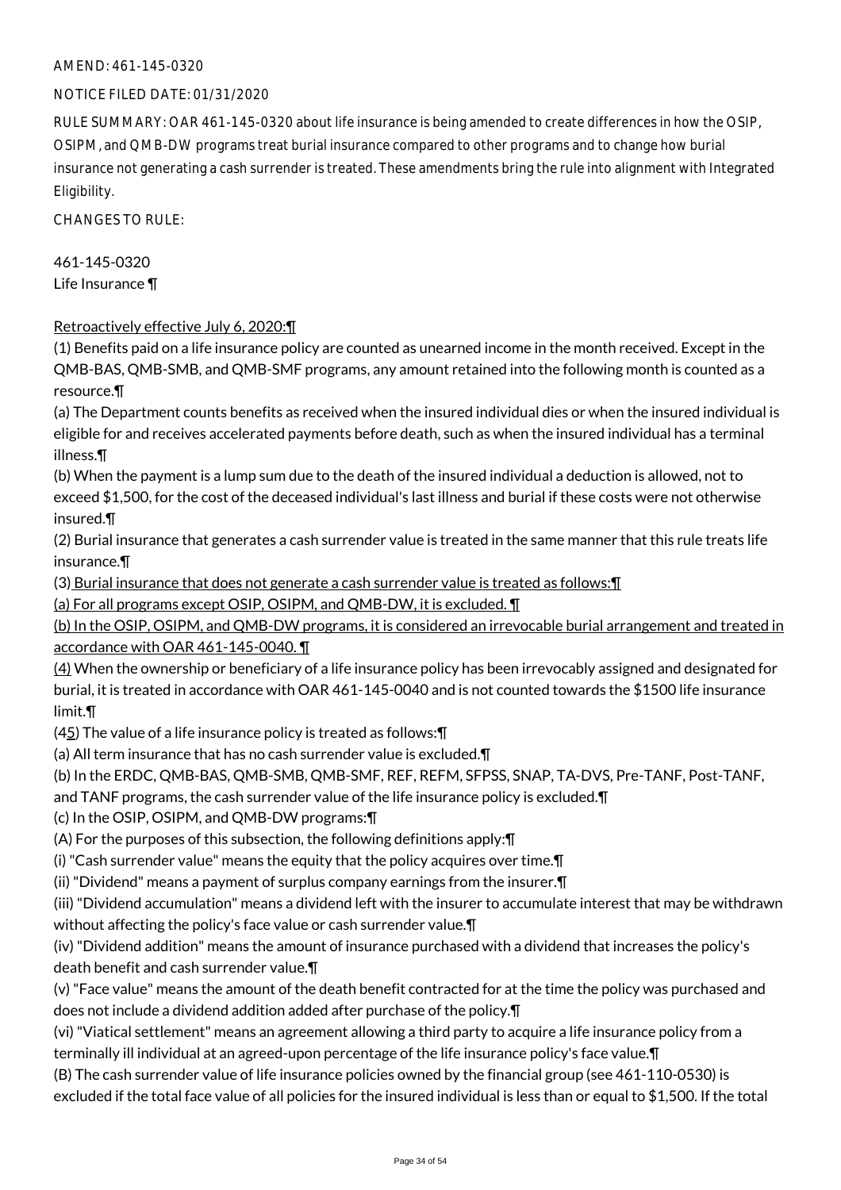### NOTICE FILED DATE: 01/31/2020

RULE SUMMARY: OAR 461-145-0320 about life insurance is being amended to create differences in how the OSIP, OSIPM, and QMB-DW programs treat burial insurance compared to other programs and to change how burial insurance not generating a cash surrender is treated. These amendments bring the rule into alignment with Integrated Eligibility.

CHANGES TO RULE:

461-145-0320 Life Insurance ¶

### Retroactively effective July 6, 2020:¶

(1) Benefits paid on a life insurance policy are counted as unearned income in the month received. Except in the QMB-BAS, QMB-SMB, and QMB-SMF programs, any amount retained into the following month is counted as a resource.¶

(a) The Department counts benefits as received when the insured individual dies or when the insured individual is eligible for and receives accelerated payments before death, such as when the insured individual has a terminal illness.¶

(b) When the payment is a lump sum due to the death of the insured individual a deduction is allowed, not to exceed \$1,500, for the cost of the deceased individual's last illness and burial if these costs were not otherwise insured.¶

(2) Burial insurance that generates a cash surrender value is treated in the same manner that this rule treats life insurance.¶

(3) Burial insurance that does not generate a cash surrender value is treated as follows:¶

(a) For all programs except OSIP, OSIPM, and QMB-DW, it is excluded. ¶

(b) In the OSIP, OSIPM, and QMB-DW programs, it is considered an irrevocable burial arrangement and treated in accordance with OAR 461-145-0040. ¶

 $(4)$  When the ownership or beneficiary of a life insurance policy has been irrevocably assigned and designated for burial, it is treated in accordance with OAR 461-145-0040 and is not counted towards the \$1500 life insurance limit.¶

(45) The value of a life insurance policy is treated as follows:¶

(a) All term insurance that has no cash surrender value is excluded.¶

(b) In the ERDC, QMB-BAS, QMB-SMB, QMB-SMF, REF, REFM, SFPSS, SNAP, TA-DVS, Pre-TANF, Post-TANF,

and TANF programs, the cash surrender value of the life insurance policy is excluded.¶

(c) In the OSIP, OSIPM, and QMB-DW programs:¶

(A) For the purposes of this subsection, the following definitions apply:¶

(i) "Cash surrender value" means the equity that the policy acquires over time.¶

(ii) "Dividend" means a payment of surplus company earnings from the insurer.¶

(iii) "Dividend accumulation" means a dividend left with the insurer to accumulate interest that may be withdrawn without affecting the policy's face value or cash surrender value.¶

(iv) "Dividend addition" means the amount of insurance purchased with a dividend that increases the policy's death benefit and cash surrender value.¶

(v) "Face value" means the amount of the death benefit contracted for at the time the policy was purchased and does not include a dividend addition added after purchase of the policy.¶

(vi) "Viatical settlement" means an agreement allowing a third party to acquire a life insurance policy from a terminally ill individual at an agreed-upon percentage of the life insurance policy's face value.¶

(B) The cash surrender value of life insurance policies owned by the financial group (see 461-110-0530) is excluded if the total face value of all policies for the insured individual is less than or equal to \$1,500. If the total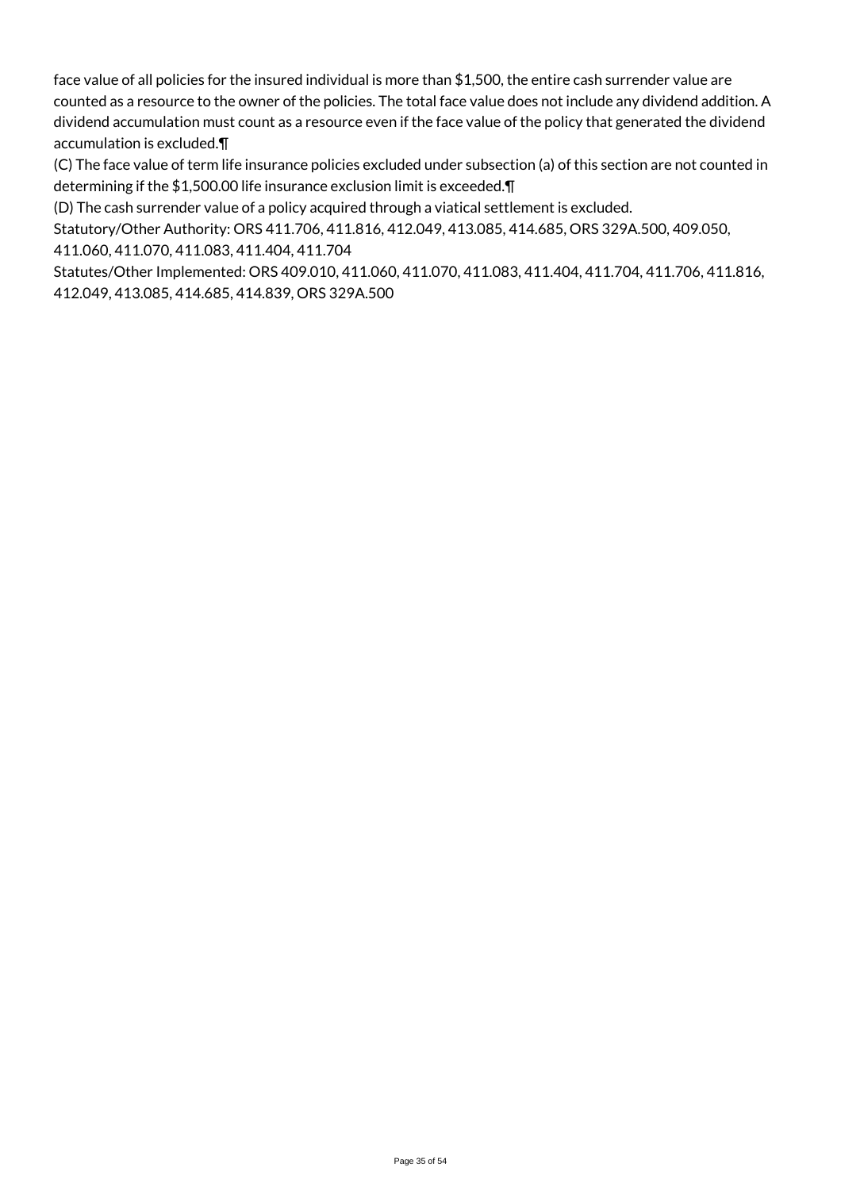face value of all policies for the insured individual is more than \$1,500, the entire cash surrender value are counted as a resource to the owner of the policies. The total face value does not include any dividend addition. A dividend accumulation must count as a resource even if the face value of the policy that generated the dividend accumulation is excluded.¶

(C) The face value of term life insurance policies excluded under subsection (a) of this section are not counted in determining if the \$1,500.00 life insurance exclusion limit is exceeded.¶

(D) The cash surrender value of a policy acquired through a viatical settlement is excluded.

Statutory/Other Authority: ORS 411.706, 411.816, 412.049, 413.085, 414.685, ORS 329A.500, 409.050, 411.060, 411.070, 411.083, 411.404, 411.704

Statutes/Other Implemented: ORS 409.010, 411.060, 411.070, 411.083, 411.404, 411.704, 411.706, 411.816, 412.049, 413.085, 414.685, 414.839, ORS 329A.500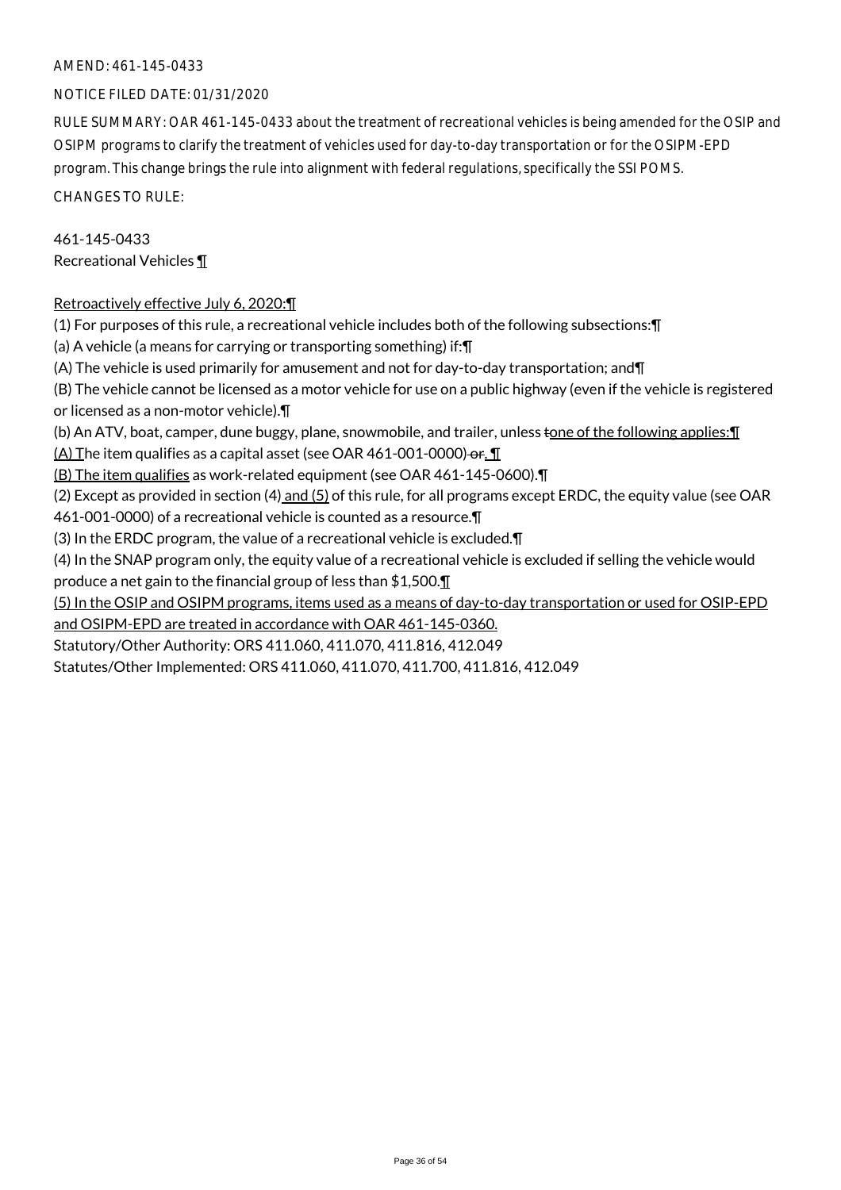### NOTICE FILED DATE: 01/31/2020

RULE SUMMARY: OAR 461-145-0433 about the treatment of recreational vehicles is being amended for the OSIP and OSIPM programs to clarify the treatment of vehicles used for day-to-day transportation or for the OSIPM-EPD program. This change brings the rule into alignment with federal regulations, specifically the SSI POMS.

CHANGES TO RULE:

461-145-0433 Recreational Vehicles ¶

### Retroactively effective July 6, 2020:¶

(1) For purposes of this rule, a recreational vehicle includes both of the following subsections:¶ (a) A vehicle (a means for carrying or transporting something) if:¶ (A) The vehicle is used primarily for amusement and not for day-to-day transportation; and¶ (B) The vehicle cannot be licensed as a motor vehicle for use on a public highway (even if the vehicle is registered or licensed as a non-motor vehicle).¶

(b) An ATV, boat, camper, dune buggy, plane, snowmobile, and trailer, unless tone of the following applies: ¶

 $(A)$  The item qualifies as a capital asset (see OAR 461-001-0000)-or.  $\P$ 

(B) The item qualifies as work-related equipment (see OAR 461-145-0600).¶

(2) Except as provided in section  $(4)$  and  $(5)$  of this rule, for all programs except ERDC, the equity value (see OAR

461-001-0000) of a recreational vehicle is counted as a resource.¶

(3) In the ERDC program, the value of a recreational vehicle is excluded.¶

(4) In the SNAP program only, the equity value of a recreational vehicle is excluded if selling the vehicle would produce a net gain to the financial group of less than \$1,500.¶

(5) In the OSIP and OSIPM programs, items used as a means of day-to-day transportation or used for OSIP-EPD and OSIPM-EPD are treated in accordance with OAR 461-145-0360.

Statutory/Other Authority: ORS 411.060, 411.070, 411.816, 412.049

Statutes/Other Implemented: ORS 411.060, 411.070, 411.700, 411.816, 412.049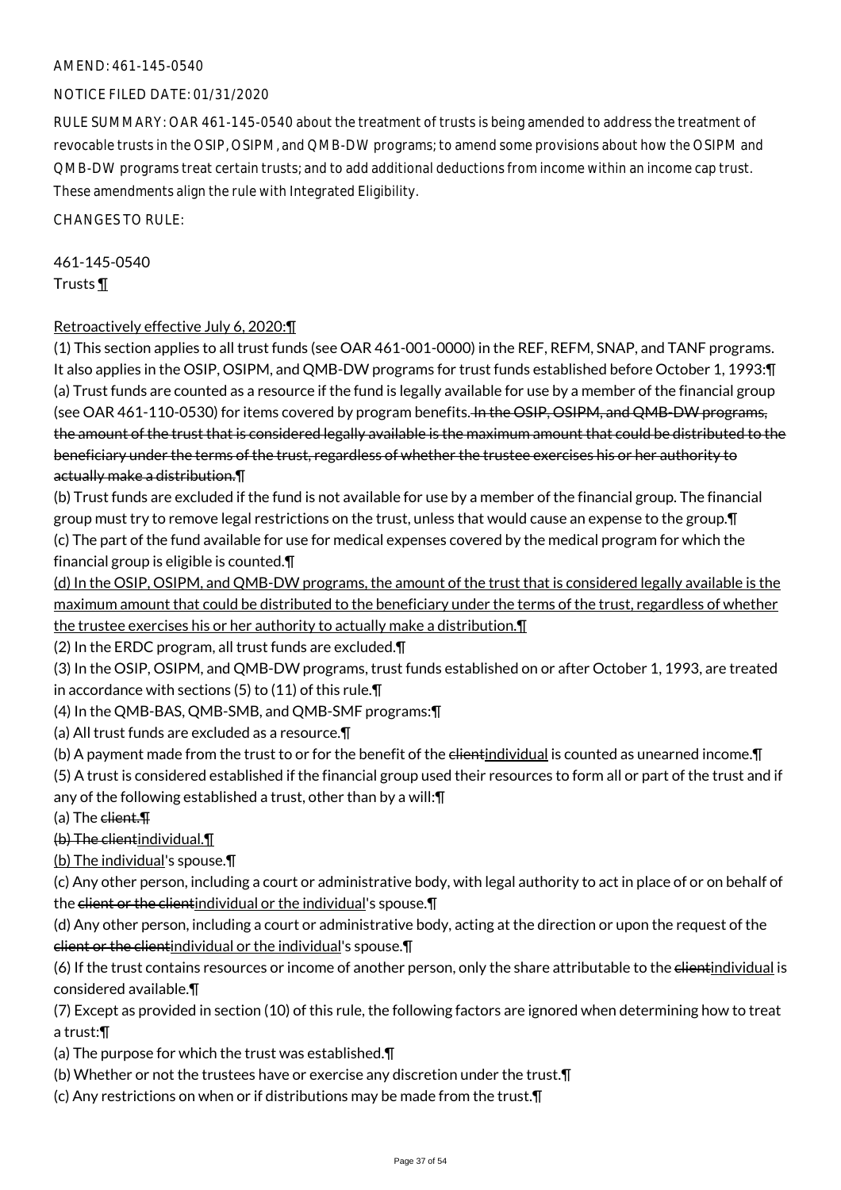### NOTICE FILED DATE: 01/31/2020

RULE SUMMARY: OAR 461-145-0540 about the treatment of trusts is being amended to address the treatment of revocable trusts in the OSIP, OSIPM, and QMB-DW programs; to amend some provisions about how the OSIPM and QMB-DW programs treat certain trusts; and to add additional deductions from income within an income cap trust. These amendments align the rule with Integrated Eligibility.

CHANGES TO RULE:

# 461-145-0540

Trusts ¶

### Retroactively effective July 6, 2020:¶

(1) This section applies to all trust funds (see OAR 461-001-0000) in the REF, REFM, SNAP, and TANF programs. It also applies in the OSIP, OSIPM, and QMB-DW programs for trust funds established before October 1, 1993:¶ (a) Trust funds are counted as a resource if the fund is legally available for use by a member of the financial group (see OAR 461-110-0530) for items covered by program benefits. In the OSIP, OSIPM, and QMB-DW programs, the amount of the trust that is considered legally available is the maximum amount that could be distributed to the beneficiary under the terms of the trust, regardless of whether the trustee exercises his or her authority to actually make a distribution.¶

(b) Trust funds are excluded if the fund is not available for use by a member of the financial group. The financial group must try to remove legal restrictions on the trust, unless that would cause an expense to the group.¶ (c) The part of the fund available for use for medical expenses covered by the medical program for which the financial group is eligible is counted.¶

(d) In the OSIP, OSIPM, and QMB-DW programs, the amount of the trust that is considered legally available is the maximum amount that could be distributed to the beneficiary under the terms of the trust, regardless of whether the trustee exercises his or her authority to actually make a distribution.¶

(2) In the ERDC program, all trust funds are excluded.¶

(3) In the OSIP, OSIPM, and QMB-DW programs, trust funds established on or after October 1, 1993, are treated in accordance with sections (5) to (11) of this rule.¶

(4) In the QMB-BAS, QMB-SMB, and QMB-SMF programs:¶

(a) All trust funds are excluded as a resource.¶

(b) A payment made from the trust to or for the benefit of the elientindividual is counted as unearned income. T

(5) A trust is considered established if the financial group used their resources to form all or part of the trust and if any of the following established a trust, other than by a will:¶

 $(a)$  The client.  $\P$ 

(b) The clientindividual.¶

(b) The individual's spouse.¶

(c) Any other person, including a court or administrative body, with legal authority to act in place of or on behalf of the client or the client individual or the individual's spouse. \[

(d) Any other person, including a court or administrative body, acting at the direction or upon the request of the client or the clientindividual or the individual's spouse.¶

(6) If the trust contains resources or income of another person, only the share attributable to the elientindividual is considered available.¶

(7) Except as provided in section (10) of this rule, the following factors are ignored when determining how to treat a trust:¶

(a) The purpose for which the trust was established.¶

(b) Whether or not the trustees have or exercise any discretion under the trust.¶

(c) Any restrictions on when or if distributions may be made from the trust.¶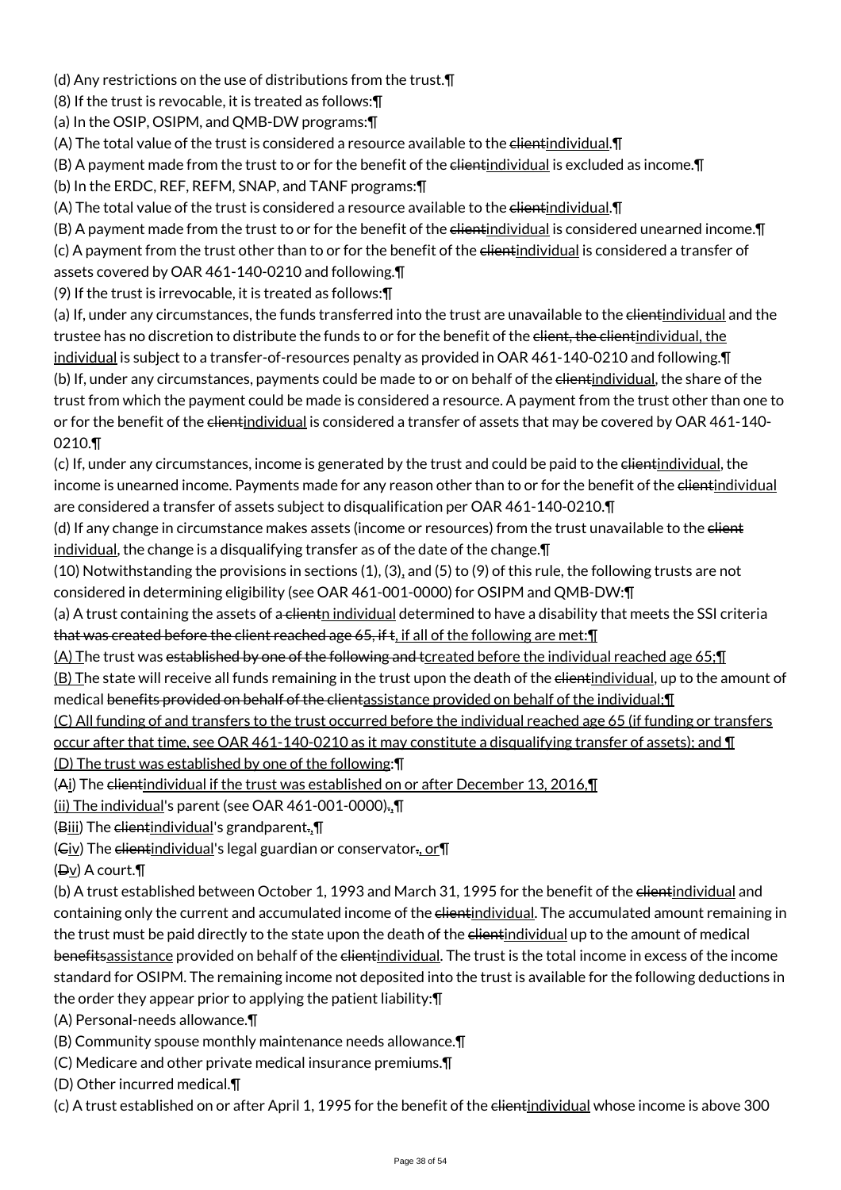(d) Any restrictions on the use of distributions from the trust.¶

(8) If the trust is revocable, it is treated as follows:¶

(a) In the OSIP, OSIPM, and QMB-DW programs:¶

(A) The total value of the trust is considered a resource available to the elientindividual. I

(B) A payment made from the trust to or for the benefit of the clientindividual is excluded as income.¶

(b) In the ERDC, REF, REFM, SNAP, and TANF programs:¶

(A) The total value of the trust is considered a resource available to the elientindividual. I

(B) A payment made from the trust to or for the benefit of the elientindividual is considered unearned income. I

(c) A payment from the trust other than to or for the benefit of the elientindividual is considered a transfer of

assets covered by OAR 461-140-0210 and following.¶

(9) If the trust is irrevocable, it is treated as follows:¶

(a) If, under any circumstances, the funds transferred into the trust are unavailable to the elientindividual and the trustee has no discretion to distribute the funds to or for the benefit of the client, the clientindividual, the individual is subject to a transfer-of-resources penalty as provided in OAR 461-140-0210 and following.¶ (b) If, under any circumstances, payments could be made to or on behalf of the elientindividual, the share of the trust from which the payment could be made is considered a resource. A payment from the trust other than one to or for the benefit of the elientindividual is considered a transfer of assets that may be covered by OAR 461-140-0210.¶

(c) If, under any circumstances, income is generated by the trust and could be paid to the elientindividual, the income is unearned income. Payments made for any reason other than to or for the benefit of the elientindividual are considered a transfer of assets subject to disqualification per OAR 461-140-0210.¶

(d) If any change in circumstance makes assets (income or resources) from the trust unavailable to the elient individual, the change is a disqualifying transfer as of the date of the change.¶

(10) Notwithstanding the provisions in sections (1), (3), and (5) to (9) of this rule, the following trusts are not considered in determining eligibility (see OAR 461-001-0000) for OSIPM and QMB-DW:¶

(a) A trust containing the assets of a clientn individual determined to have a disability that meets the SSI criteria that was created before the client reached age 65, if t, if all of the following are met: I

(A) The trust was established by one of the following and tcreated before the individual reached age 65;¶

(B) The state will receive all funds remaining in the trust upon the death of the elientindividual, up to the amount of medical benefits provided on behalf of the clientassistance provided on behalf of the individual; [1]

(C) All funding of and transfers to the trust occurred before the individual reached age 65 (if funding or transfers

occur after that time, see OAR 461-140-0210 as it may constitute a disqualifying transfer of assets); and ¶

(D) The trust was established by one of the following:¶

(Ai) The clientindividual if the trust was established on or after December 13, 2016, [1]

(ii) The individual's parent (see OAR 461-001-0000).,¶

(Biii) The  $e$ lientindividual's grandparent., $\P$ 

 $(C_i \vee)$  The elientindividual's legal guardian or conservator., or  $\P$ 

 $(\exists y)$  A court.

(b) A trust established between October 1, 1993 and March 31, 1995 for the benefit of the elientindividual and containing only the current and accumulated income of the elientindividual. The accumulated amount remaining in the trust must be paid directly to the state upon the death of the elientindividual up to the amount of medical benefitsassistance provided on behalf of the clientindividual. The trust is the total income in excess of the income standard for OSIPM. The remaining income not deposited into the trust is available for the following deductions in the order they appear prior to applying the patient liability:¶

(A) Personal-needs allowance.¶

(B) Community spouse monthly maintenance needs allowance.¶

(C) Medicare and other private medical insurance premiums.¶

(D) Other incurred medical.¶

(c) A trust established on or after April 1, 1995 for the benefit of the clientindividual whose income is above 300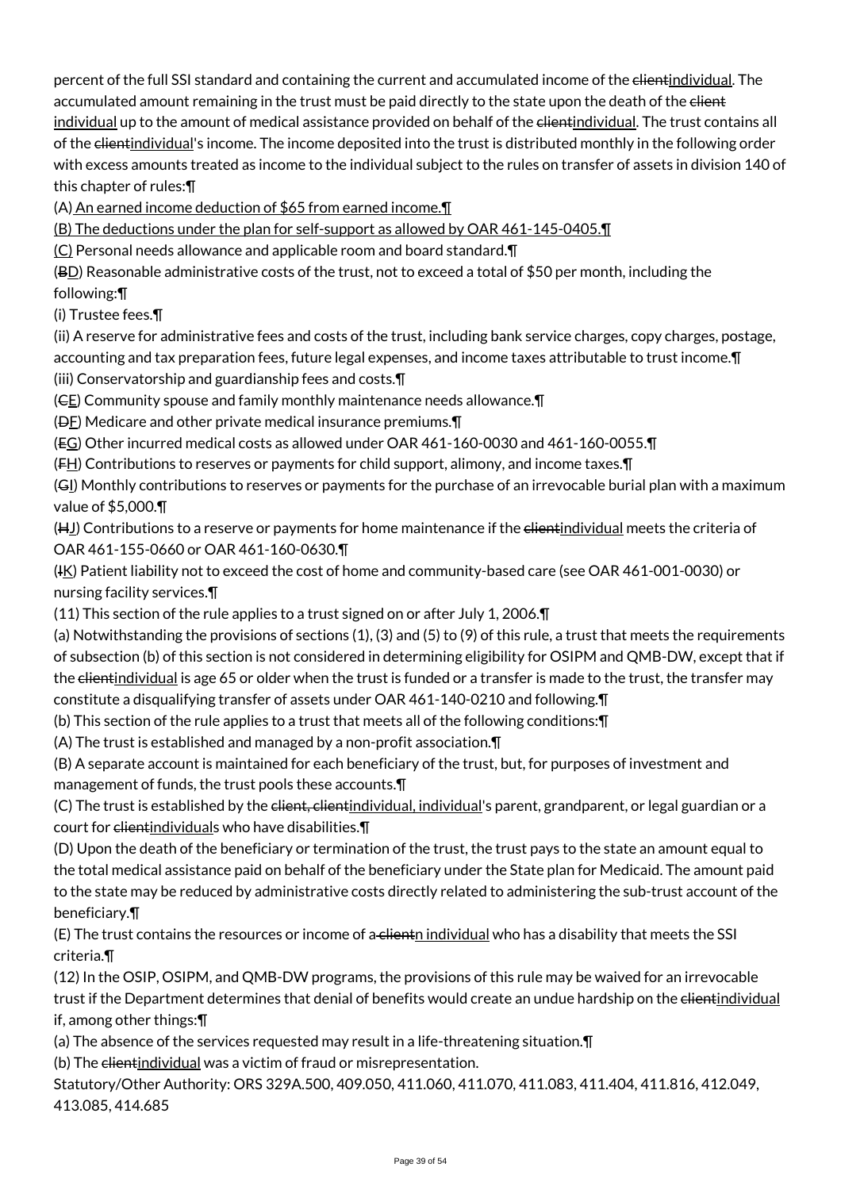percent of the full SSI standard and containing the current and accumulated income of the clientindividual. The accumulated amount remaining in the trust must be paid directly to the state upon the death of the elient individual up to the amount of medical assistance provided on behalf of the elientindividual. The trust contains all of the clientindividual's income. The income deposited into the trust is distributed monthly in the following order with excess amounts treated as income to the individual subject to the rules on transfer of assets in division 140 of this chapter of rules:¶

(A) An earned income deduction of \$65 from earned income.¶

(B) The deductions under the plan for self-support as allowed by OAR 461-145-0405.¶

(C) Personal needs allowance and applicable room and board standard.¶

 $(BD)$  Reasonable administrative costs of the trust, not to exceed a total of \$50 per month, including the

# following:¶

(i) Trustee fees.¶

(ii) A reserve for administrative fees and costs of the trust, including bank service charges, copy charges, postage, accounting and tax preparation fees, future legal expenses, and income taxes attributable to trust income.¶

(iii) Conservatorship and guardianship fees and costs.¶

(CE) Community spouse and family monthly maintenance needs allowance.¶

(DF) Medicare and other private medical insurance premiums.¶

(EG) Other incurred medical costs as allowed under OAR 461-160-0030 and 461-160-0055.¶

 $(F_H)$  Contributions to reserves or payments for child support, alimony, and income taxes. $\P$ 

(GI) Monthly contributions to reserves or payments for the purchase of an irrevocable burial plan with a maximum value of \$5,000.¶

(H<u>J</u>) Contributions to a reserve or payments for home maintenance if the <del>client</del>individual meets the criteria of OAR 461-155-0660 or OAR 461-160-0630.¶

(HK) Patient liability not to exceed the cost of home and community-based care (see OAR 461-001-0030) or nursing facility services.¶

(11) This section of the rule applies to a trust signed on or after July 1, 2006.¶

(a) Notwithstanding the provisions of sections (1), (3) and (5) to (9) of this rule, a trust that meets the requirements of subsection (b) of this section is not considered in determining eligibility for OSIPM and QMB-DW, except that if the clientindividual is age 65 or older when the trust is funded or a transfer is made to the trust, the transfer may constitute a disqualifying transfer of assets under OAR 461-140-0210 and following.¶

(b) This section of the rule applies to a trust that meets all of the following conditions:¶

(A) The trust is established and managed by a non-profit association.¶

(B) A separate account is maintained for each beneficiary of the trust, but, for purposes of investment and management of funds, the trust pools these accounts.¶

(C) The trust is established by the elient, clientindividual, individual's parent, grandparent, or legal guardian or a court for clientindividuals who have disabilities. [1]

(D) Upon the death of the beneficiary or termination of the trust, the trust pays to the state an amount equal to the total medical assistance paid on behalf of the beneficiary under the State plan for Medicaid. The amount paid to the state may be reduced by administrative costs directly related to administering the sub-trust account of the beneficiary.¶

(E) The trust contains the resources or income of a clientn individual who has a disability that meets the SSI criteria.¶

(12) In the OSIP, OSIPM, and QMB-DW programs, the provisions of this rule may be waived for an irrevocable trust if the Department determines that denial of benefits would create an undue hardship on the elientindividual if, among other things:¶

(a) The absence of the services requested may result in a life-threatening situation.¶

(b) The clientindividual was a victim of fraud or misrepresentation.

Statutory/Other Authority: ORS 329A.500, 409.050, 411.060, 411.070, 411.083, 411.404, 411.816, 412.049, 413.085, 414.685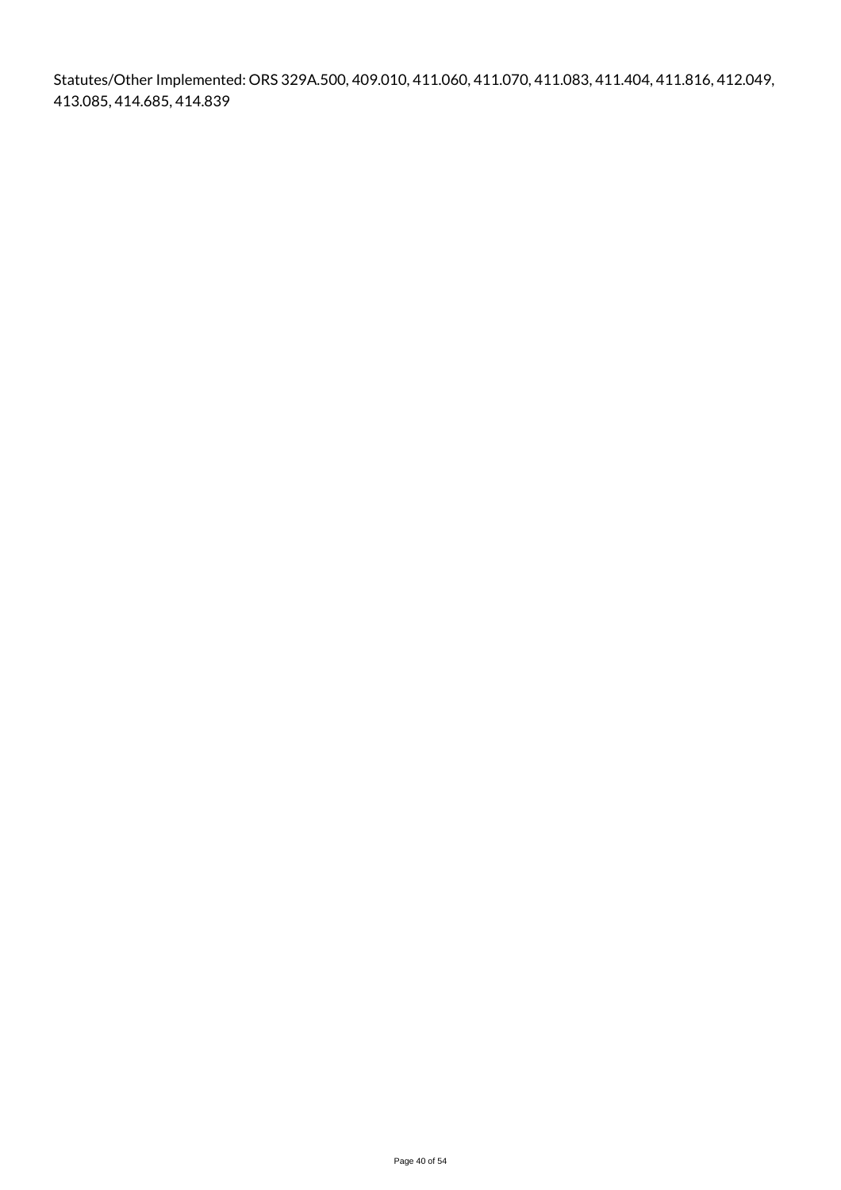Statutes/Other Implemented: ORS 329A.500, 409.010, 411.060, 411.070, 411.083, 411.404, 411.816, 412.049, 413.085, 414.685, 414.839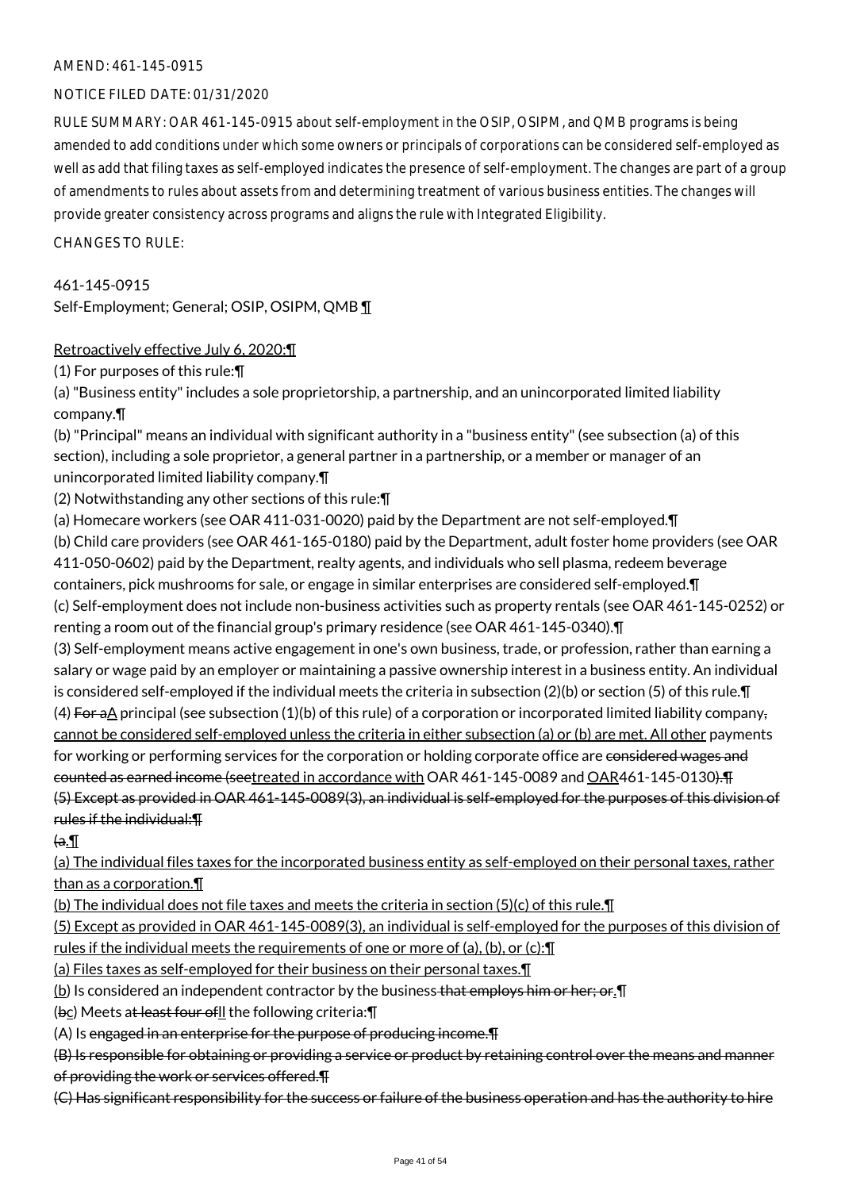### NOTICE FILED DATE: 01/31/2020

RULE SUMMARY: OAR 461-145-0915 about self-employment in the OSIP, OSIPM, and QMB programs is being amended to add conditions under which some owners or principals of corporations can be considered self-employed as well as add that filing taxes as self-employed indicates the presence of self-employment. The changes are part of a group of amendments to rules about assets from and determining treatment of various business entities. The changes will provide greater consistency across programs and aligns the rule with Integrated Eligibility.

 $CHANGFS TO RIIF$ 

461-145-0915 Self-Employment; General; OSIP, OSIPM, QMB ¶

### Retroactively effective July 6, 2020:¶

(1) For purposes of this rule:¶

(a) "Business entity" includes a sole proprietorship, a partnership, and an unincorporated limited liability company.¶

(b) "Principal" means an individual with significant authority in a "business entity" (see subsection (a) of this section), including a sole proprietor, a general partner in a partnership, or a member or manager of an unincorporated limited liability company.¶

(2) Notwithstanding any other sections of this rule:¶

(a) Homecare workers (see OAR 411-031-0020) paid by the Department are not self-employed.¶

(b) Child care providers (see OAR 461-165-0180) paid by the Department, adult foster home providers (see OAR 411-050-0602) paid by the Department, realty agents, and individuals who sell plasma, redeem beverage containers, pick mushrooms for sale, or engage in similar enterprises are considered self-employed.¶ (c) Self-employment does not include non-business activities such as property rentals (see OAR 461-145-0252) or renting a room out of the financial group's primary residence (see OAR 461-145-0340).¶

(3) Self-employment means active engagement in one's own business, trade, or profession, rather than earning a salary or wage paid by an employer or maintaining a passive ownership interest in a business entity. An individual is considered self-employed if the individual meets the criteria in subsection (2)(b) or section (5) of this rule.¶ (4) For aA principal (see subsection (1)(b) of this rule) of a corporation or incorporated limited liability company, cannot be considered self-employed unless the criteria in either subsection (a) or (b) are met. All other payments for working or performing services for the corporation or holding corporate office are considered wages and counted as earned income (seetreated in accordance with OAR 461-145-0089 and OAR461-145-0130).¶ (5) Except as provided in OAR 461-145-0089(3), an individual is self-employed for the purposes of this division of rules if the individual:¶

 $(a)$ 

(a) The individual files taxes for the incorporated business entity as self-employed on their personal taxes, rather than as a corporation.¶

(b) The individual does not file taxes and meets the criteria in section (5)(c) of this rule.¶

(5) Except as provided in OAR 461-145-0089(3), an individual is self-employed for the purposes of this division of rules if the individual meets the requirements of one or more of (a), (b), or (c):¶

(a) Files taxes as self-employed for their business on their personal taxes.¶

 $(b)$  Is considered an independent contractor by the business that employs him or her; or. I

(bc) Meets at least four of I the following criteria: \[

(A) Is engaged in an enterprise for the purpose of producing income.¶

(B) Is responsible for obtaining or providing a service or product by retaining control over the means and manner of providing the work or services offered.¶

(C) Has significant responsibility for the success or failure of the business operation and has the authority to hire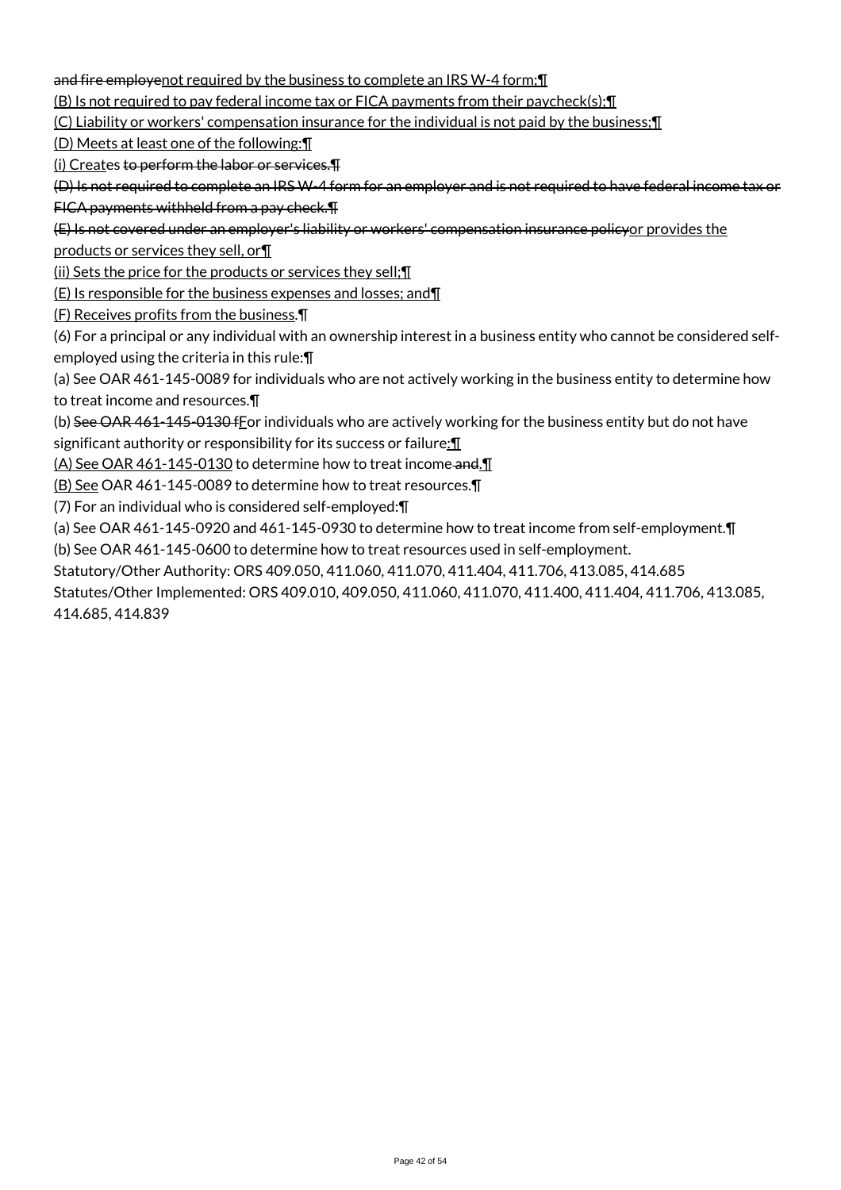and fire employenot required by the business to complete an IRS W-4 form; [

(B) Is not required to pay federal income tax or FICA payments from their paycheck(s);¶

(C) Liability or workers' compensation insurance for the individual is not paid by the business;¶

(D) Meets at least one of the following:¶

(i) Creates to perform the labor or services.¶

(D) Is not required to complete an IRS W-4 form for an employer and is not required to have federal income tax or FICA payments withheld from a pay check.¶

(E) Is not covered under an employer's liability or workers' compensation insurance policyor provides the

products or services they sell, or¶

(ii) Sets the price for the products or services they sell;¶

(E) Is responsible for the business expenses and losses; and¶

(F) Receives profits from the business.¶

(6) For a principal or any individual with an ownership interest in a business entity who cannot be considered selfemployed using the criteria in this rule:¶

(a) See OAR 461-145-0089 for individuals who are not actively working in the business entity to determine how to treat income and resources.¶

(b) See OAR 461-145-0130 f For individuals who are actively working for the business entity but do not have significant authority or responsibility for its success or failure: 1

(A) See OAR 461-145-0130 to determine how to treat income-and.

(B) See OAR 461-145-0089 to determine how to treat resources.¶

(7) For an individual who is considered self-employed:¶

(a) See OAR 461-145-0920 and 461-145-0930 to determine how to treat income from self-employment.¶

(b) See OAR 461-145-0600 to determine how to treat resources used in self-employment.

Statutory/Other Authority: ORS 409.050, 411.060, 411.070, 411.404, 411.706, 413.085, 414.685

Statutes/Other Implemented: ORS 409.010, 409.050, 411.060, 411.070, 411.400, 411.404, 411.706, 413.085, 414.685, 414.839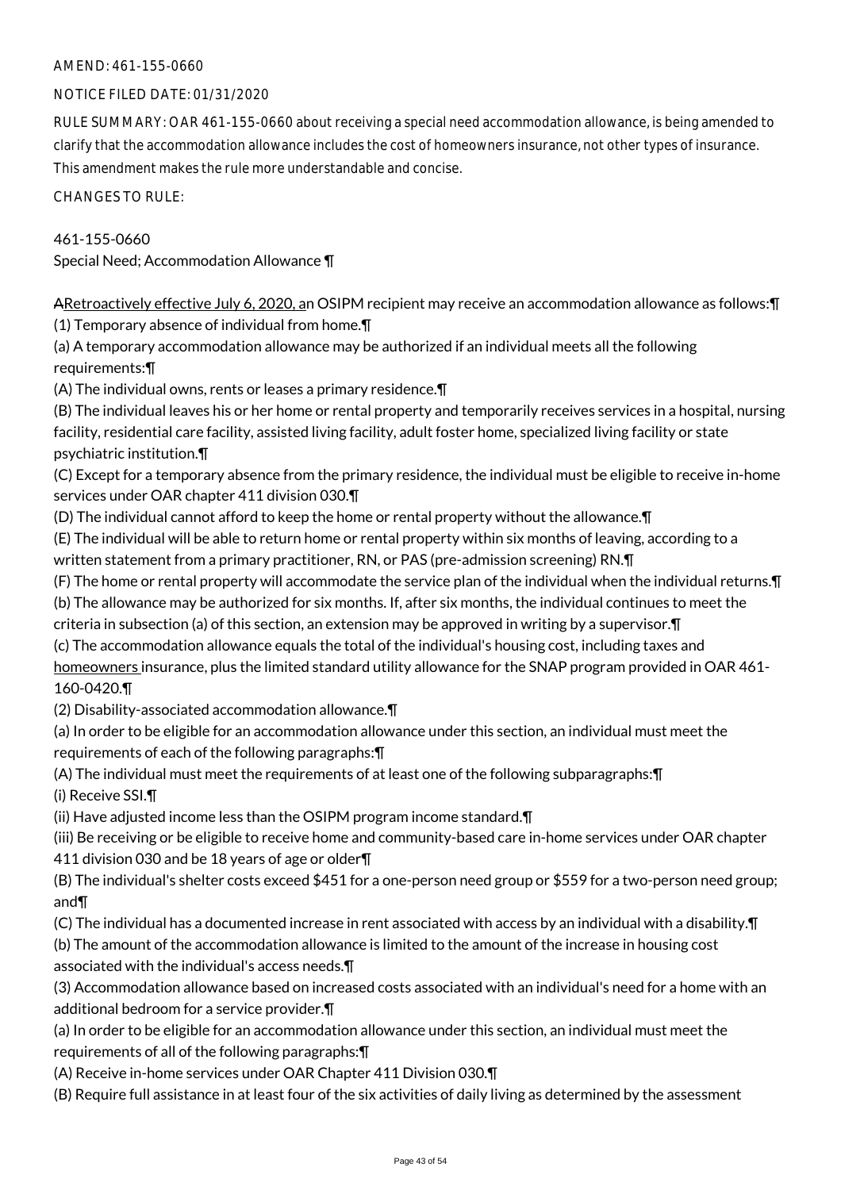### NOTICE FILED DATE: 01/31/2020

RULE SUMMARY: OAR 461-155-0660 about receiving a special need accommodation allowance, is being amended to clarify that the accommodation allowance includes the cost of homeowners insurance, not other types of insurance. This amendment makes the rule more understandable and concise.

CHANGES TO RULE:

### 461-155-0660

Special Need; Accommodation Allowance ¶

ARetroactively effective July 6, 2020, an OSIPM recipient may receive an accommodation allowance as follows:¶ (1) Temporary absence of individual from home.¶

(a) A temporary accommodation allowance may be authorized if an individual meets all the following requirements:¶

(A) The individual owns, rents or leases a primary residence.¶

(B) The individual leaves his or her home or rental property and temporarily receives services in a hospital, nursing facility, residential care facility, assisted living facility, adult foster home, specialized living facility or state psychiatric institution.¶

(C) Except for a temporary absence from the primary residence, the individual must be eligible to receive in-home services under OAR chapter 411 division 030.¶

(D) The individual cannot afford to keep the home or rental property without the allowance.¶

(E) The individual will be able to return home or rental property within six months of leaving, according to a written statement from a primary practitioner, RN, or PAS (pre-admission screening) RN.¶

(F) The home or rental property will accommodate the service plan of the individual when the individual returns.¶

(b) The allowance may be authorized for six months. If, after six months, the individual continues to meet the criteria in subsection (a) of this section, an extension may be approved in writing by a supervisor.¶

(c) The accommodation allowance equals the total of the individual's housing cost, including taxes and

homeowners insurance, plus the limited standard utility allowance for the SNAP program provided in OAR 461- 160-0420.¶

(2) Disability-associated accommodation allowance.¶

(a) In order to be eligible for an accommodation allowance under this section, an individual must meet the requirements of each of the following paragraphs:¶

(A) The individual must meet the requirements of at least one of the following subparagraphs:¶ (i) Receive SSI.¶

(ii) Have adjusted income less than the OSIPM program income standard.¶

(iii) Be receiving or be eligible to receive home and community-based care in-home services under OAR chapter 411 division 030 and be 18 years of age or older¶

(B) The individual's shelter costs exceed \$451 for a one-person need group or \$559 for a two-person need group; and¶

(C) The individual has a documented increase in rent associated with access by an individual with a disability.¶

(b) The amount of the accommodation allowance is limited to the amount of the increase in housing cost associated with the individual's access needs.¶

(3) Accommodation allowance based on increased costs associated with an individual's need for a home with an additional bedroom for a service provider.¶

(a) In order to be eligible for an accommodation allowance under this section, an individual must meet the requirements of all of the following paragraphs:¶

(A) Receive in-home services under OAR Chapter 411 Division 030.¶

(B) Require full assistance in at least four of the six activities of daily living as determined by the assessment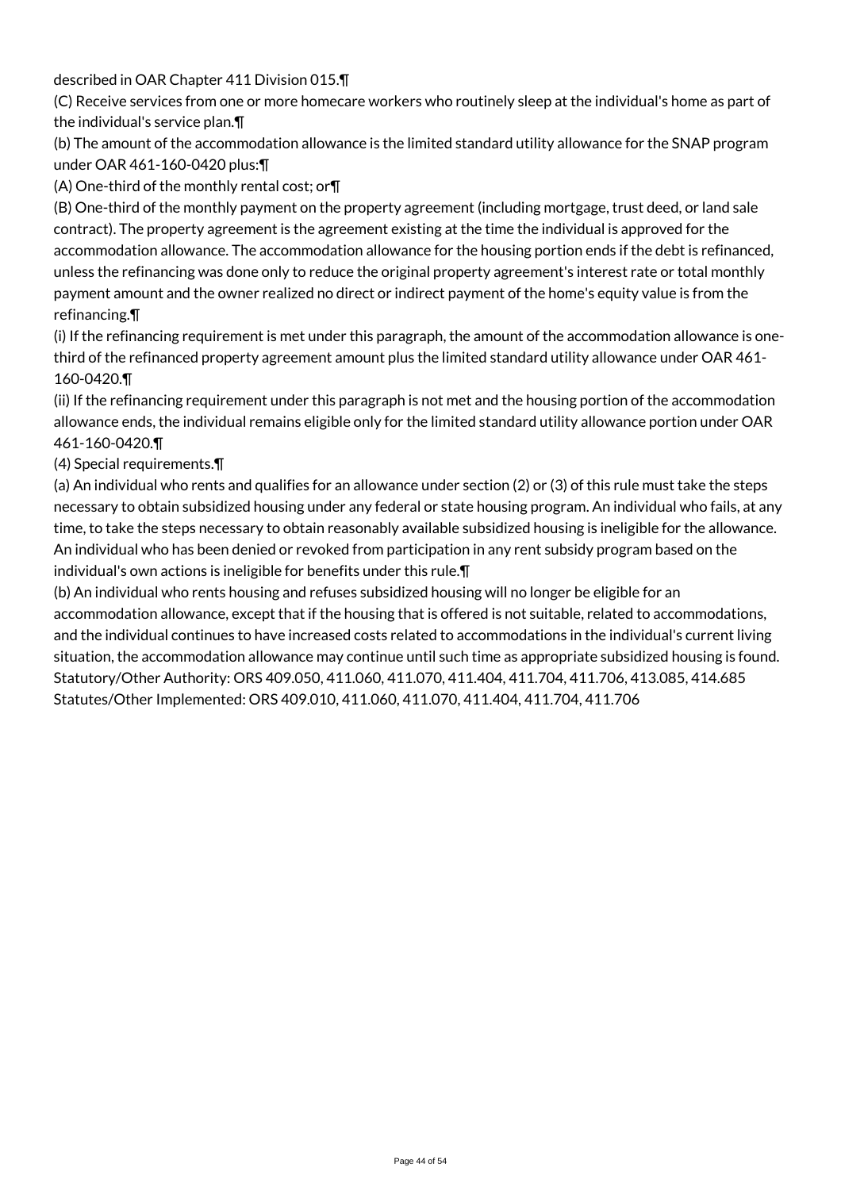described in OAR Chapter 411 Division 015.¶

(C) Receive services from one or more homecare workers who routinely sleep at the individual's home as part of the individual's service plan.¶

(b) The amount of the accommodation allowance is the limited standard utility allowance for the SNAP program under OAR 461-160-0420 plus:¶

(A) One-third of the monthly rental cost; or¶

(B) One-third of the monthly payment on the property agreement (including mortgage, trust deed, or land sale contract). The property agreement is the agreement existing at the time the individual is approved for the accommodation allowance. The accommodation allowance for the housing portion ends if the debt is refinanced, unless the refinancing was done only to reduce the original property agreement's interest rate or total monthly payment amount and the owner realized no direct or indirect payment of the home's equity value is from the refinancing.¶

(i) If the refinancing requirement is met under this paragraph, the amount of the accommodation allowance is onethird of the refinanced property agreement amount plus the limited standard utility allowance under OAR 461- 160-0420.¶

(ii) If the refinancing requirement under this paragraph is not met and the housing portion of the accommodation allowance ends, the individual remains eligible only for the limited standard utility allowance portion under OAR 461-160-0420.¶

(4) Special requirements.¶

(a) An individual who rents and qualifies for an allowance under section (2) or (3) of this rule must take the steps necessary to obtain subsidized housing under any federal or state housing program. An individual who fails, at any time, to take the steps necessary to obtain reasonably available subsidized housing is ineligible for the allowance. An individual who has been denied or revoked from participation in any rent subsidy program based on the individual's own actions is ineligible for benefits under this rule.¶

(b) An individual who rents housing and refuses subsidized housing will no longer be eligible for an accommodation allowance, except that if the housing that is offered is not suitable, related to accommodations, and the individual continues to have increased costs related to accommodations in the individual's current living situation, the accommodation allowance may continue until such time as appropriate subsidized housing is found. Statutory/Other Authority: ORS 409.050, 411.060, 411.070, 411.404, 411.704, 411.706, 413.085, 414.685 Statutes/Other Implemented: ORS 409.010, 411.060, 411.070, 411.404, 411.704, 411.706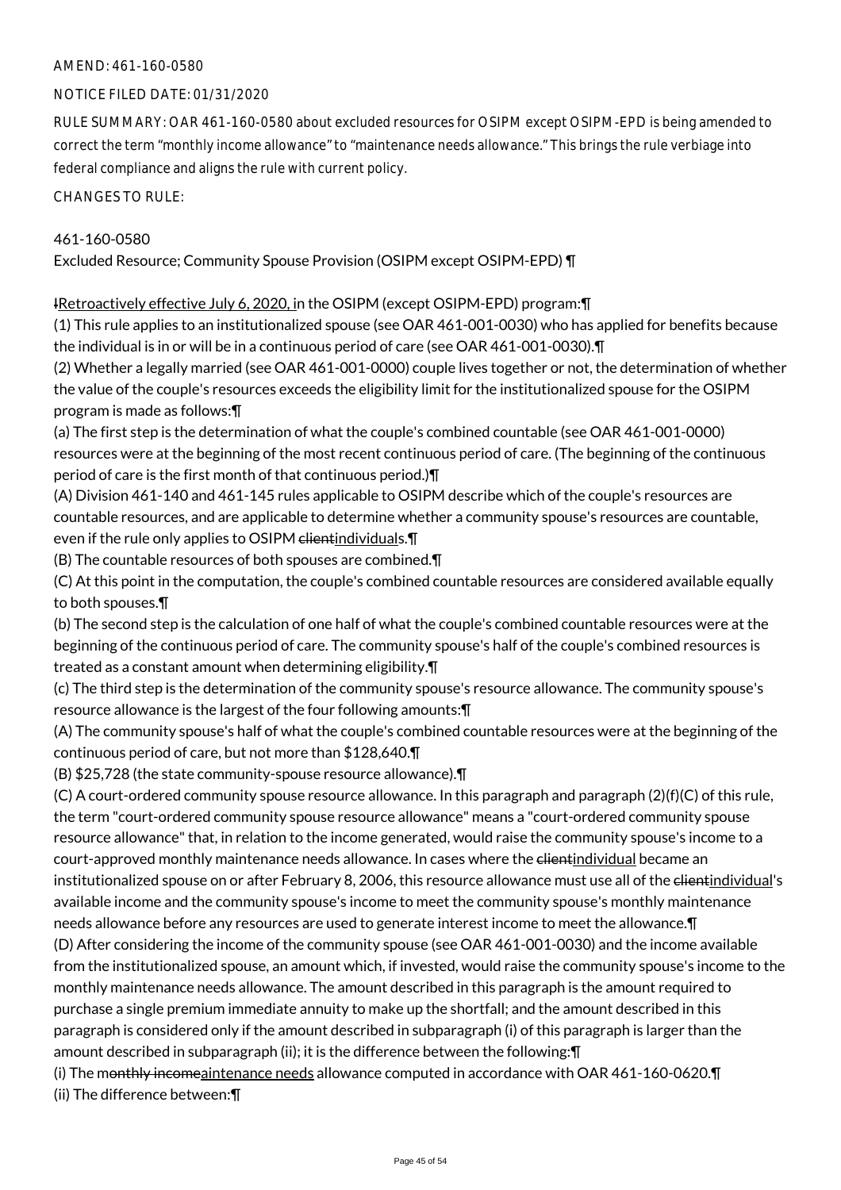### AMEND: 461-160-0580

### NOTICE FILED DATE: 01/31/2020

RULE SUMMARY: OAR 461-160-0580 about excluded resources for OSIPM except OSIPM-EPD is being amended to correct the term "monthly income allowance" to "maintenance needs allowance." This brings the rule verbiage into federal compliance and aligns the rule with current policy.

CHANGES TO RULE:

### 461-160-0580

Excluded Resource; Community Spouse Provision (OSIPM except OSIPM-EPD) ¶

IRetroactively effective July 6, 2020, in the OSIPM (except OSIPM-EPD) program:¶

(1) This rule applies to an institutionalized spouse (see OAR 461-001-0030) who has applied for benefits because the individual is in or will be in a continuous period of care (see OAR 461-001-0030).¶

(2) Whether a legally married (see OAR 461-001-0000) couple lives together or not, the determination of whether the value of the couple's resources exceeds the eligibility limit for the institutionalized spouse for the OSIPM program is made as follows:¶

(a) The first step is the determination of what the couple's combined countable (see OAR 461-001-0000) resources were at the beginning of the most recent continuous period of care. (The beginning of the continuous period of care is the first month of that continuous period.)¶

(A) Division 461-140 and 461-145 rules applicable to OSIPM describe which of the couple's resources are countable resources, and are applicable to determine whether a community spouse's resources are countable, even if the rule only applies to OSIPM clientindividuals. In

(B) The countable resources of both spouses are combined.¶

(C) At this point in the computation, the couple's combined countable resources are considered available equally to both spouses.¶

(b) The second step is the calculation of one half of what the couple's combined countable resources were at the beginning of the continuous period of care. The community spouse's half of the couple's combined resources is treated as a constant amount when determining eligibility.¶

(c) The third step is the determination of the community spouse's resource allowance. The community spouse's resource allowance is the largest of the four following amounts:¶

(A) The community spouse's half of what the couple's combined countable resources were at the beginning of the continuous period of care, but not more than \$128,640.¶

(B) \$25,728 (the state community-spouse resource allowance).¶

(C) A court-ordered community spouse resource allowance. In this paragraph and paragraph (2)(f)(C) of this rule, the term "court-ordered community spouse resource allowance" means a "court-ordered community spouse resource allowance" that, in relation to the income generated, would raise the community spouse's income to a court-approved monthly maintenance needs allowance. In cases where the elientindividual became an institutionalized spouse on or after February 8, 2006, this resource allowance must use all of the elientindividual's available income and the community spouse's income to meet the community spouse's monthly maintenance needs allowance before any resources are used to generate interest income to meet the allowance.¶

(D) After considering the income of the community spouse (see OAR 461-001-0030) and the income available from the institutionalized spouse, an amount which, if invested, would raise the community spouse's income to the monthly maintenance needs allowance. The amount described in this paragraph is the amount required to purchase a single premium immediate annuity to make up the shortfall; and the amount described in this paragraph is considered only if the amount described in subparagraph (i) of this paragraph is larger than the amount described in subparagraph (ii); it is the difference between the following:¶

(i) The monthly incomeaintenance needs allowance computed in accordance with OAR 461-160-0620. T (ii) The difference between:¶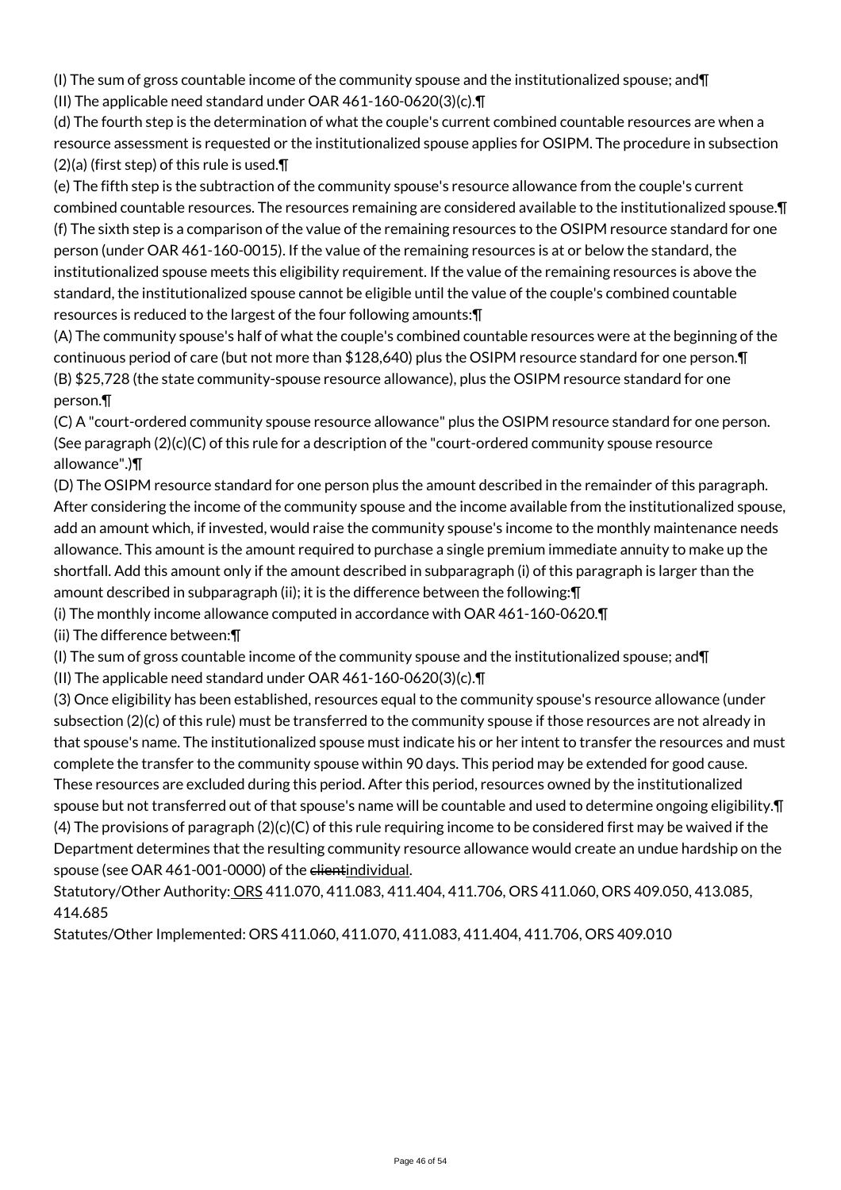(I) The sum of gross countable income of the community spouse and the institutionalized spouse; and¶

(II) The applicable need standard under OAR 461-160-0620(3)(c).¶

(d) The fourth step is the determination of what the couple's current combined countable resources are when a resource assessment is requested or the institutionalized spouse applies for OSIPM. The procedure in subsection (2)(a) (first step) of this rule is used.¶

(e) The fifth step is the subtraction of the community spouse's resource allowance from the couple's current combined countable resources. The resources remaining are considered available to the institutionalized spouse.¶ (f) The sixth step is a comparison of the value of the remaining resources to the OSIPM resource standard for one person (under OAR 461-160-0015). If the value of the remaining resources is at or below the standard, the institutionalized spouse meets this eligibility requirement. If the value of the remaining resources is above the standard, the institutionalized spouse cannot be eligible until the value of the couple's combined countable resources is reduced to the largest of the four following amounts:¶

(A) The community spouse's half of what the couple's combined countable resources were at the beginning of the continuous period of care (but not more than \$128,640) plus the OSIPM resource standard for one person.¶ (B) \$25,728 (the state community-spouse resource allowance), plus the OSIPM resource standard for one person.¶

(C) A "court-ordered community spouse resource allowance" plus the OSIPM resource standard for one person. (See paragraph  $(2)(c)(C)$  of this rule for a description of the "court-ordered community spouse resource allowance".)¶

(D) The OSIPM resource standard for one person plus the amount described in the remainder of this paragraph. After considering the income of the community spouse and the income available from the institutionalized spouse, add an amount which, if invested, would raise the community spouse's income to the monthly maintenance needs allowance. This amount is the amount required to purchase a single premium immediate annuity to make up the shortfall. Add this amount only if the amount described in subparagraph (i) of this paragraph is larger than the amount described in subparagraph (ii); it is the difference between the following:¶

(i) The monthly income allowance computed in accordance with OAR 461-160-0620.¶

(ii) The difference between:¶

(I) The sum of gross countable income of the community spouse and the institutionalized spouse; and  $\P$ 

(II) The applicable need standard under OAR 461-160-0620(3)(c).¶

(3) Once eligibility has been established, resources equal to the community spouse's resource allowance (under subsection (2)(c) of this rule) must be transferred to the community spouse if those resources are not already in that spouse's name. The institutionalized spouse must indicate his or her intent to transfer the resources and must complete the transfer to the community spouse within 90 days. This period may be extended for good cause. These resources are excluded during this period. After this period, resources owned by the institutionalized spouse but not transferred out of that spouse's name will be countable and used to determine ongoing eligibility.¶ (4) The provisions of paragraph  $(2)(c)(C)$  of this rule requiring income to be considered first may be waived if the Department determines that the resulting community resource allowance would create an undue hardship on the spouse (see OAR 461-001-0000) of the elientindividual.

Statutory/Other Authority: ORS 411.070, 411.083, 411.404, 411.706, ORS 411.060, ORS 409.050, 413.085, 414.685

Statutes/Other Implemented: ORS 411.060, 411.070, 411.083, 411.404, 411.706, ORS 409.010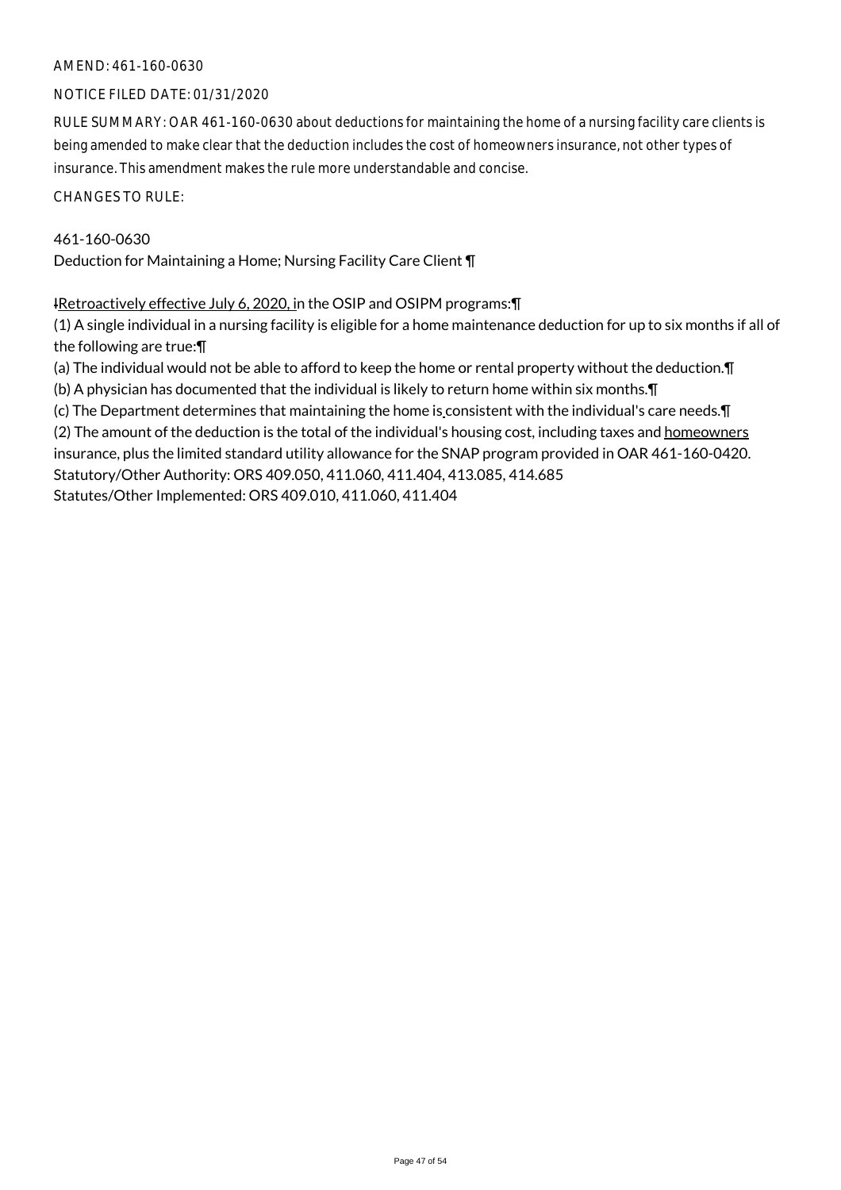### AMEND: 461-160-0630

### NOTICE FILED DATE: 01/31/2020

RULE SUMMARY: OAR 461-160-0630 about deductions for maintaining the home of a nursing facility care clients is being amended to make clear that the deduction includes the cost of homeowners insurance, not other types of insurance. This amendment makes the rule more understandable and concise.

CHANGES TO RULE:

### 461-160-0630

Deduction for Maintaining a Home; Nursing Facility Care Client ¶

IRetroactively effective July 6, 2020, in the OSIP and OSIPM programs: \[

(1) A single individual in a nursing facility is eligible for a home maintenance deduction for up to six months if all of the following are true:¶

(a) The individual would not be able to afford to keep the home or rental property without the deduction.¶

(b) A physician has documented that the individual is likely to return home within six months.¶

(c) The Department determines that maintaining the home is consistent with the individual's care needs.¶ (2) The amount of the deduction is the total of the individual's housing cost, including taxes and homeowners insurance, plus the limited standard utility allowance for the SNAP program provided in OAR 461-160-0420. Statutory/Other Authority: ORS 409.050, 411.060, 411.404, 413.085, 414.685 Statutes/Other Implemented: ORS 409.010, 411.060, 411.404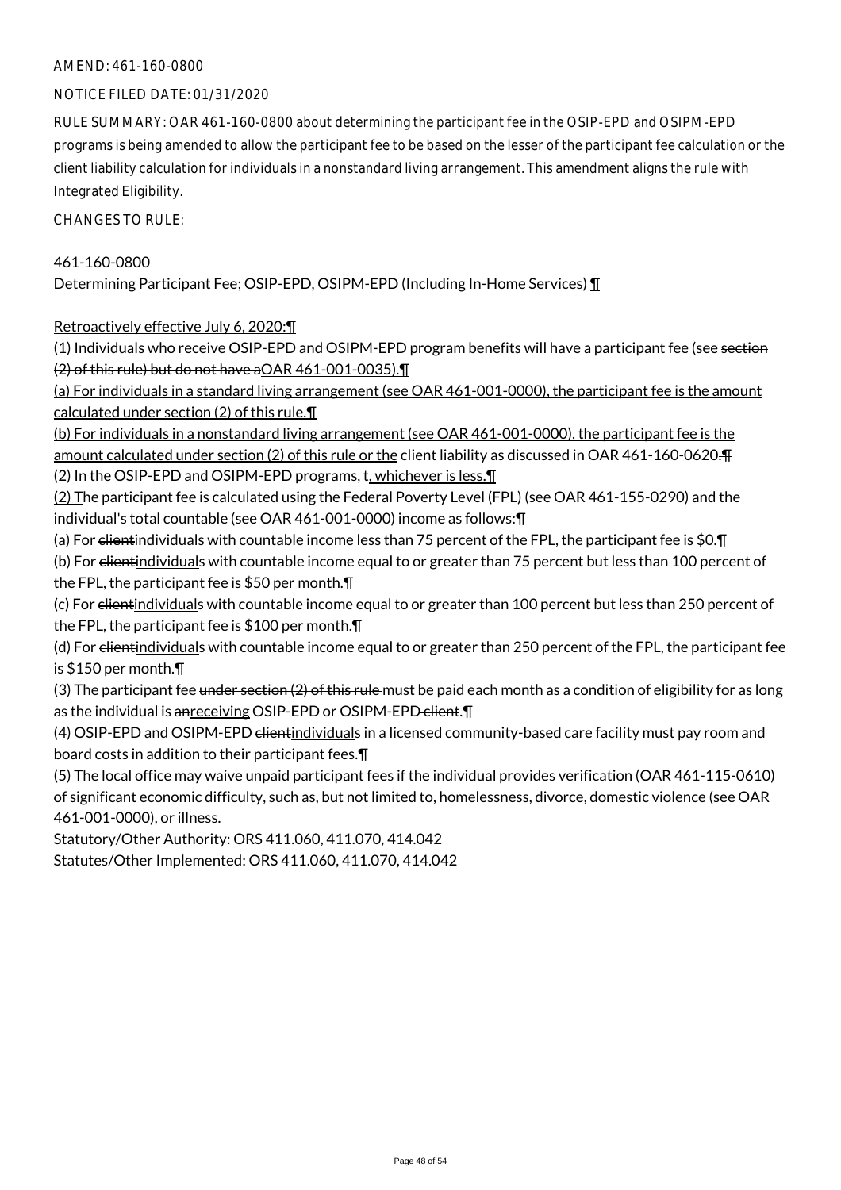### AMEND: 461-160-0800

### NOTICE FILED DATE: 01/31/2020

RULE SUMMARY: OAR 461-160-0800 about determining the participant fee in the OSIP-EPD and OSIPM-EPD programs is being amended to allow the participant fee to be based on the lesser of the participant fee calculation or the client liability calculation for individuals in a nonstandard living arrangement. This amendment aligns the rule with Integrated Eligibility.

CHANGES TO RULE:

### 461-160-0800

Determining Participant Fee; OSIP-EPD, OSIPM-EPD (Including In-Home Services) ¶

Retroactively effective July 6, 2020:¶

(1) Individuals who receive OSIP-EPD and OSIPM-EPD program benefits will have a participant fee (see section (2) of this rule) but do not have aOAR 461-001-0035).¶

(a) For individuals in a standard living arrangement (see OAR 461-001-0000), the participant fee is the amount calculated under section (2) of this rule.¶

(b) For individuals in a nonstandard living arrangement (see OAR 461-001-0000), the participant fee is the amount calculated under section (2) of this rule or the client liability as discussed in OAR 461-160-0620. (2) In the OSIP-EPD and OSIPM-EPD programs, t, whichever is less.¶

(2) The participant fee is calculated using the Federal Poverty Level (FPL) (see OAR 461-155-0290) and the individual's total countable (see OAR 461-001-0000) income as follows:¶

(a) For elientindividuals with countable income less than 75 percent of the FPL, the participant fee is \$0.\[

(b) For elientindividuals with countable income equal to or greater than 75 percent but less than 100 percent of the FPL, the participant fee is \$50 per month.¶

(c) For elientindividuals with countable income equal to or greater than 100 percent but less than 250 percent of the FPL, the participant fee is \$100 per month.¶

(d) For elientindividuals with countable income equal to or greater than 250 percent of the FPL, the participant fee is \$150 per month.¶

(3) The participant fee under section  $(2)$  of this rule must be paid each month as a condition of eligibility for as long as the individual is anreceiving OSIP-EPD or OSIPM-EPD-client.

(4) OSIP-EPD and OSIPM-EPD clientindividuals in a licensed community-based care facility must pay room and board costs in addition to their participant fees.¶

(5) The local office may waive unpaid participant fees if the individual provides verification (OAR 461-115-0610) of significant economic difficulty, such as, but not limited to, homelessness, divorce, domestic violence (see OAR 461-001-0000), or illness.

Statutory/Other Authority: ORS 411.060, 411.070, 414.042

Statutes/Other Implemented: ORS 411.060, 411.070, 414.042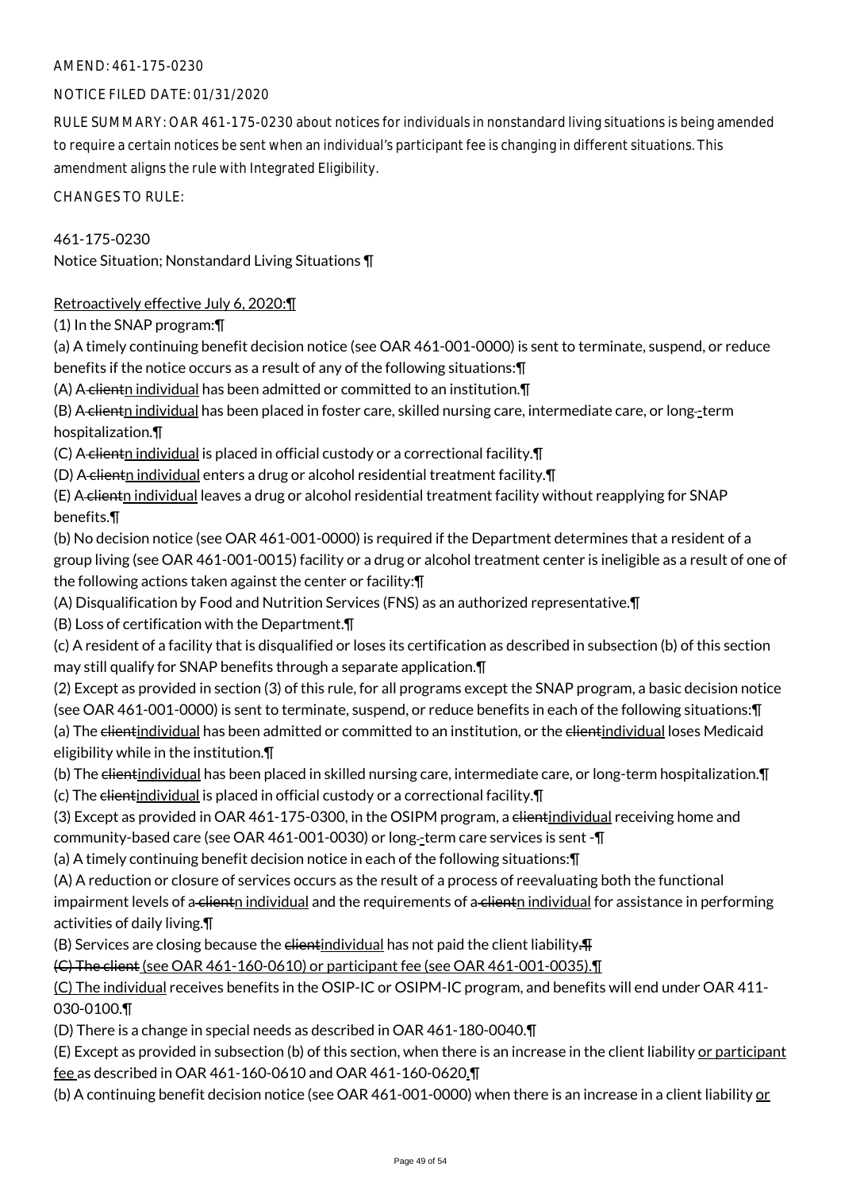# NOTICE FILED DATE: 01/31/2020

RULE SUMMARY: OAR 461-175-0230 about notices for individuals in nonstandard living situations is being amended to require a certain notices be sent when an individual's participant fee is changing in different situations. This amendment aligns the rule with Integrated Eligibility.

CHANGES TO RULE:

# 461-175-0230

Notice Situation; Nonstandard Living Situations ¶

# Retroactively effective July 6, 2020:¶

(1) In the SNAP program:¶

(a) A timely continuing benefit decision notice (see OAR 461-001-0000) is sent to terminate, suspend, or reduce benefits if the notice occurs as a result of any of the following situations:¶

(A) A clientn individual has been admitted or committed to an institution. II

(B) A clientn individual has been placed in foster care, skilled nursing care, intermediate care, or long-term hospitalization.¶

(C) A clientn individual is placed in official custody or a correctional facility. $\P$ 

(D) A clientn individual enters a drug or alcohol residential treatment facility.¶

(E) A client individual leaves a drug or alcohol residential treatment facility without reapplying for SNAP benefits.¶

(b) No decision notice (see OAR 461-001-0000) is required if the Department determines that a resident of a group living (see OAR 461-001-0015) facility or a drug or alcohol treatment center is ineligible as a result of one of the following actions taken against the center or facility:¶

(A) Disqualification by Food and Nutrition Services (FNS) as an authorized representative.¶

(B) Loss of certification with the Department.¶

(c) A resident of a facility that is disqualified or loses its certification as described in subsection (b) of this section may still qualify for SNAP benefits through a separate application.¶

(2) Except as provided in section (3) of this rule, for all programs except the SNAP program, a basic decision notice (see OAR 461-001-0000) is sent to terminate, suspend, or reduce benefits in each of the following situations:¶ (a) The clientindividual has been admitted or committed to an institution, or the clientindividual loses Medicaid eligibility while in the institution.¶

(b) The clientindividual has been placed in skilled nursing care, intermediate care, or long-term hospitalization. I (c) The clientindividual is placed in official custody or a correctional facility. $\P$ 

(3) Except as provided in OAR 461-175-0300, in the OSIPM program, a elientindividual receiving home and community-based care (see OAR 461-001-0030) or long -term care services is sent -¶

(a) A timely continuing benefit decision notice in each of the following situations:¶

(A) A reduction or closure of services occurs as the result of a process of reevaluating both the functional impairment levels of a clientn individual and the requirements of a clientn individual for assistance in performing activities of daily living.¶

(B) Services are closing because the  $d$ -dientindividual has not paid the client liability. $\P$ 

(C) The client (see OAR 461-160-0610) or participant fee (see OAR 461-001-0035).¶

(C) The individual receives benefits in the OSIP-IC or OSIPM-IC program, and benefits will end under OAR 411- 030-0100.¶

(D) There is a change in special needs as described in OAR 461-180-0040.¶

(E) Except as provided in subsection (b) of this section, when there is an increase in the client liability or participant fee as described in OAR 461-160-0610 and OAR 461-160-0620.¶

(b) A continuing benefit decision notice (see OAR 461-001-0000) when there is an increase in a client liability or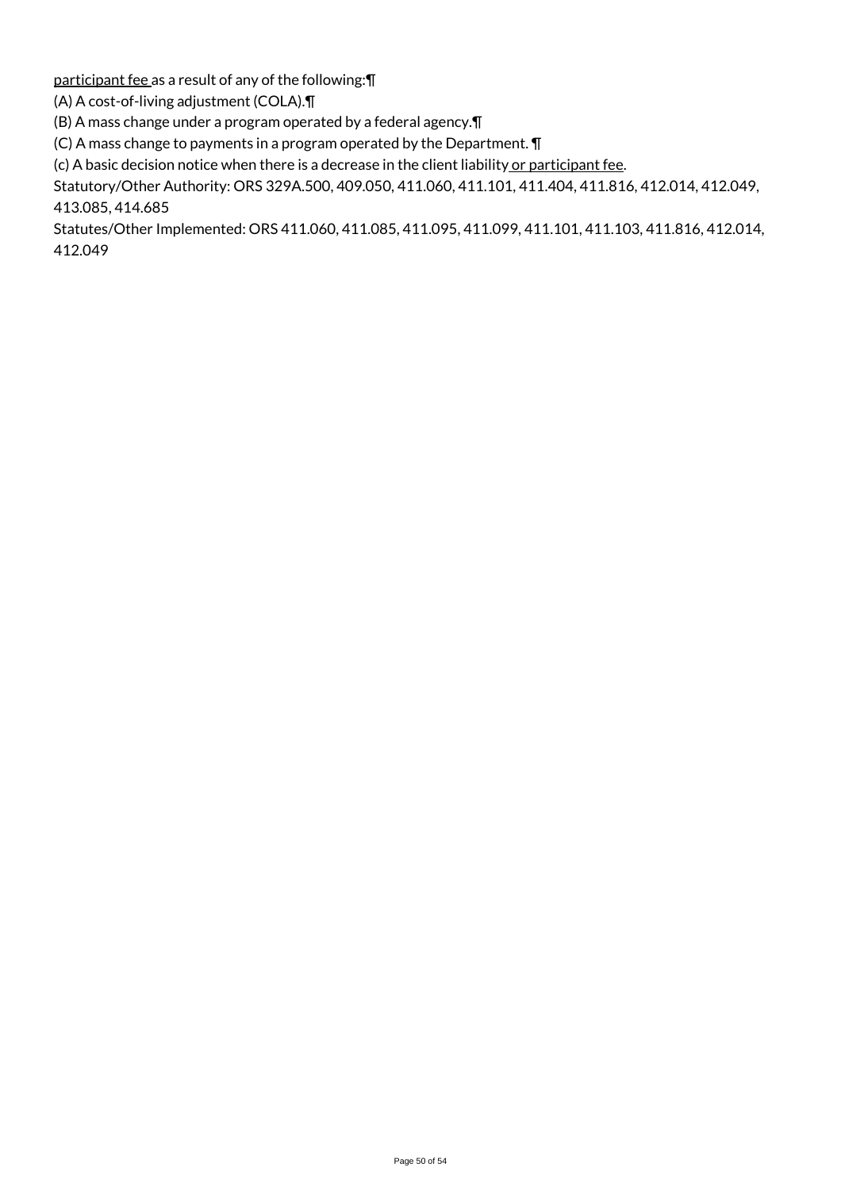participant fee as a result of any of the following:¶

(A) A cost-of-living adjustment (COLA).¶

(B) A mass change under a program operated by a federal agency.¶

(C) A mass change to payments in a program operated by the Department. ¶

 $(c)$  A basic decision notice when there is a decrease in the client liability or participant fee.

Statutory/Other Authority: ORS 329A.500, 409.050, 411.060, 411.101, 411.404, 411.816, 412.014, 412.049, 413.085, 414.685

Statutes/Other Implemented: ORS 411.060, 411.085, 411.095, 411.099, 411.101, 411.103, 411.816, 412.014, 412.049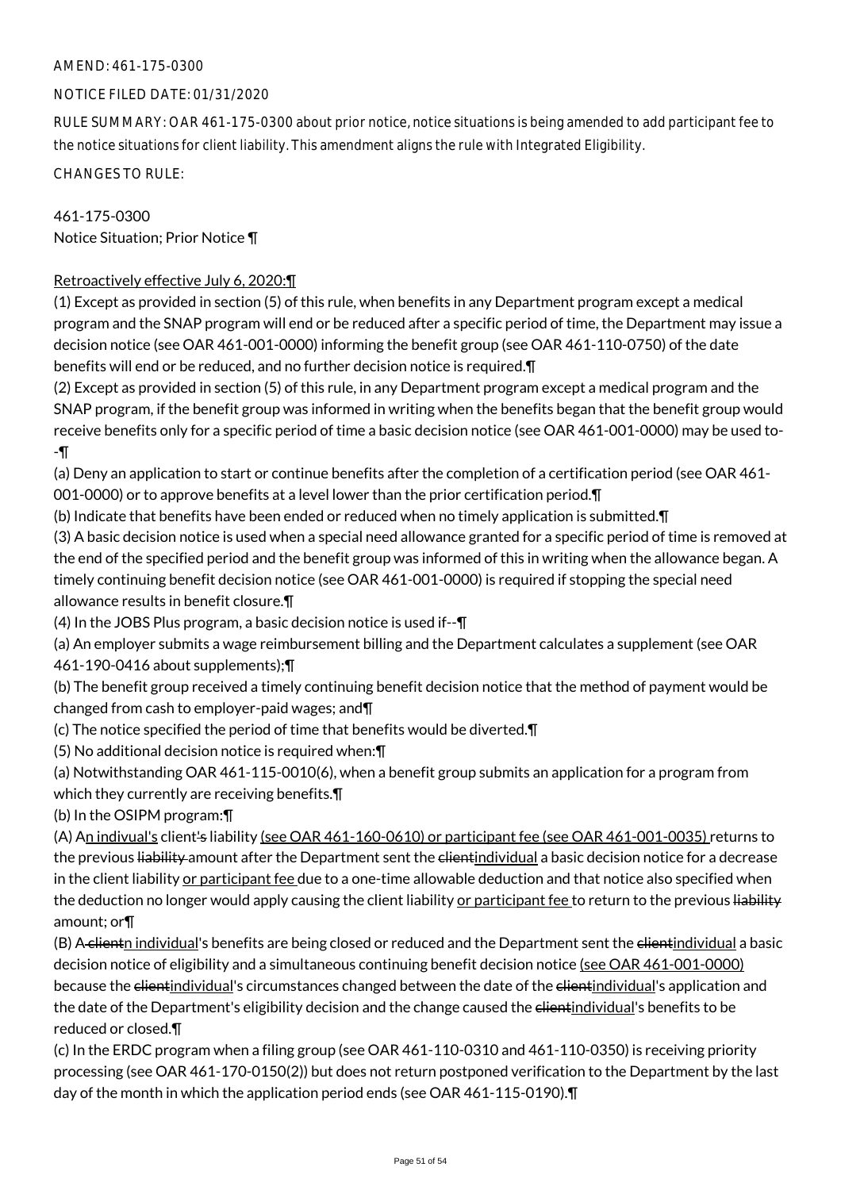### NOTICE FILED DATE: 01/31/2020

RULE SUMMARY: OAR 461-175-0300 about prior notice, notice situations is being amended to add participant fee to the notice situations for client liability. This amendment aligns the rule with Integrated Eligibility.

CHANGES TO RULE:

461-175-0300 Notice Situation; Prior Notice ¶

# Retroactively effective July 6, 2020:¶

(1) Except as provided in section (5) of this rule, when benefits in any Department program except a medical program and the SNAP program will end or be reduced after a specific period of time, the Department may issue a decision notice (see OAR 461-001-0000) informing the benefit group (see OAR 461-110-0750) of the date benefits will end or be reduced, and no further decision notice is required.¶

(2) Except as provided in section (5) of this rule, in any Department program except a medical program and the SNAP program, if the benefit group was informed in writing when the benefits began that the benefit group would receive benefits only for a specific period of time a basic decision notice (see OAR 461-001-0000) may be used to- -¶

(a) Deny an application to start or continue benefits after the completion of a certification period (see OAR 461- 001-0000) or to approve benefits at a level lower than the prior certification period.¶

(b) Indicate that benefits have been ended or reduced when no timely application is submitted.¶

(3) A basic decision notice is used when a special need allowance granted for a specific period of time is removed at the end of the specified period and the benefit group was informed of this in writing when the allowance began. A timely continuing benefit decision notice (see OAR 461-001-0000) is required if stopping the special need allowance results in benefit closure.¶

(4) In the JOBS Plus program, a basic decision notice is used if--¶

(a) An employer submits a wage reimbursement billing and the Department calculates a supplement (see OAR 461-190-0416 about supplements);¶

(b) The benefit group received a timely continuing benefit decision notice that the method of payment would be changed from cash to employer-paid wages; and¶

(c) The notice specified the period of time that benefits would be diverted.¶

(5) No additional decision notice is required when:¶

(a) Notwithstanding OAR 461-115-0010(6), when a benefit group submits an application for a program from which they currently are receiving benefits.¶

(b) In the OSIPM program:¶

(A) An indivual's client's liability (see OAR 461-160-0610) or participant fee (see OAR 461-001-0035) returns to the previous liability amount after the Department sent the elientindividual a basic decision notice for a decrease in the client liability or participant fee due to a one-time allowable deduction and that notice also specified when the deduction no longer would apply causing the client liability <u>or participant fee</u> to return to the previous liability amount; or¶

(B) A clientn individual's benefits are being closed or reduced and the Department sent the clientindividual a basic decision notice of eligibility and a simultaneous continuing benefit decision notice (see OAR 461-001-0000) because the <del>client</del>individual's circumstances changed between the date of the clientindividual's application and the date of the Department's eligibility decision and the change caused the elient individual's benefits to be reduced or closed.¶

(c) In the ERDC program when a filing group (see OAR 461-110-0310 and 461-110-0350) is receiving priority processing (see OAR 461-170-0150(2)) but does not return postponed verification to the Department by the last day of the month in which the application period ends (see OAR 461-115-0190).¶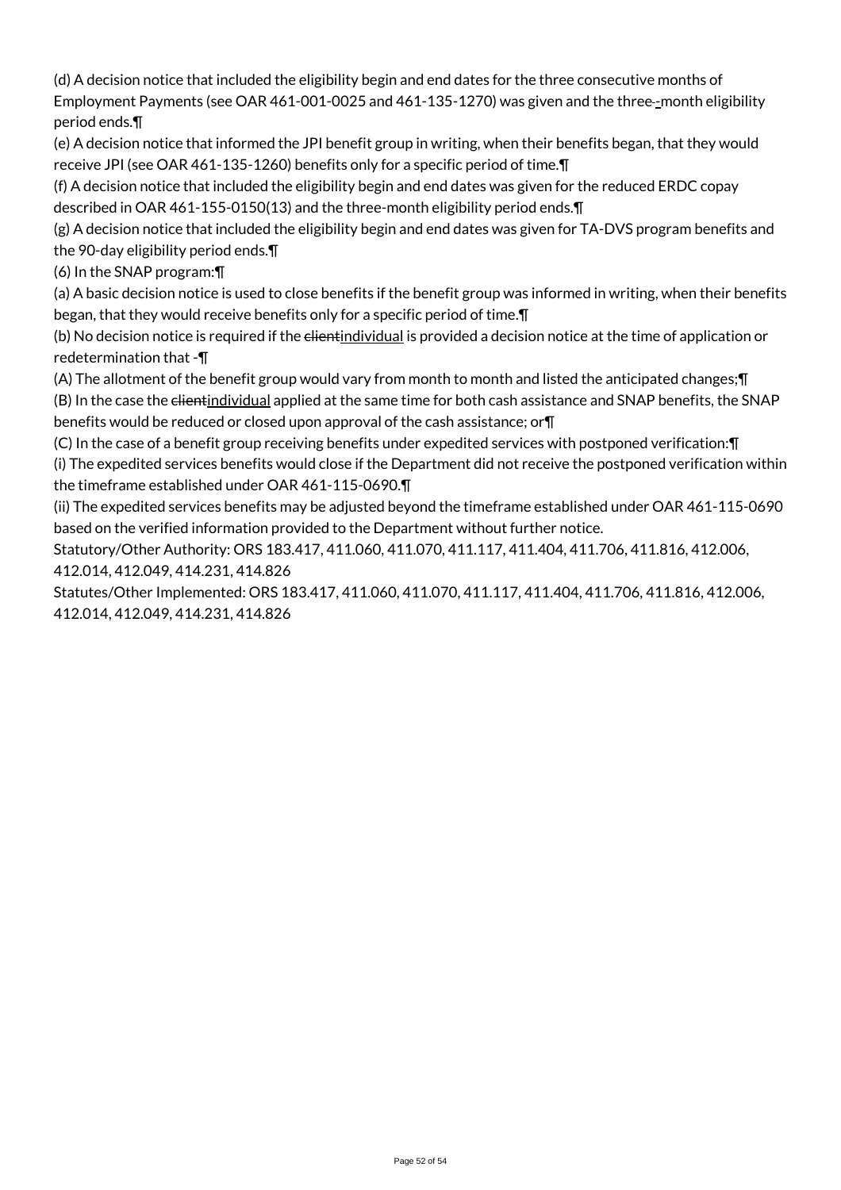(d) A decision notice that included the eligibility begin and end dates for the three consecutive months of Employment Payments (see OAR 461-001-0025 and 461-135-1270) was given and the three-month eligibility period ends.¶

(e) A decision notice that informed the JPI benefit group in writing, when their benefits began, that they would receive JPI (see OAR 461-135-1260) benefits only for a specific period of time.¶

(f) A decision notice that included the eligibility begin and end dates was given for the reduced ERDC copay described in OAR 461-155-0150(13) and the three-month eligibility period ends.¶

(g) A decision notice that included the eligibility begin and end dates was given for TA-DVS program benefits and the 90-day eligibility period ends.¶

(6) In the SNAP program:¶

(a) A basic decision notice is used to close benefits if the benefit group was informed in writing, when their benefits began, that they would receive benefits only for a specific period of time.¶

(b) No decision notice is required if the elientindividual is provided a decision notice at the time of application or redetermination that -¶

(A) The allotment of the benefit group would vary from month to month and listed the anticipated changes;¶ (B) In the case the client individual applied at the same time for both cash assistance and SNAP benefits, the SNAP benefits would be reduced or closed upon approval of the cash assistance; or¶

(C) In the case of a benefit group receiving benefits under expedited services with postponed verification:¶ (i) The expedited services benefits would close if the Department did not receive the postponed verification within the timeframe established under OAR 461-115-0690.¶

(ii) The expedited services benefits may be adjusted beyond the timeframe established under OAR 461-115-0690 based on the verified information provided to the Department without further notice.

Statutory/Other Authority: ORS 183.417, 411.060, 411.070, 411.117, 411.404, 411.706, 411.816, 412.006, 412.014, 412.049, 414.231, 414.826

Statutes/Other Implemented: ORS 183.417, 411.060, 411.070, 411.117, 411.404, 411.706, 411.816, 412.006, 412.014, 412.049, 414.231, 414.826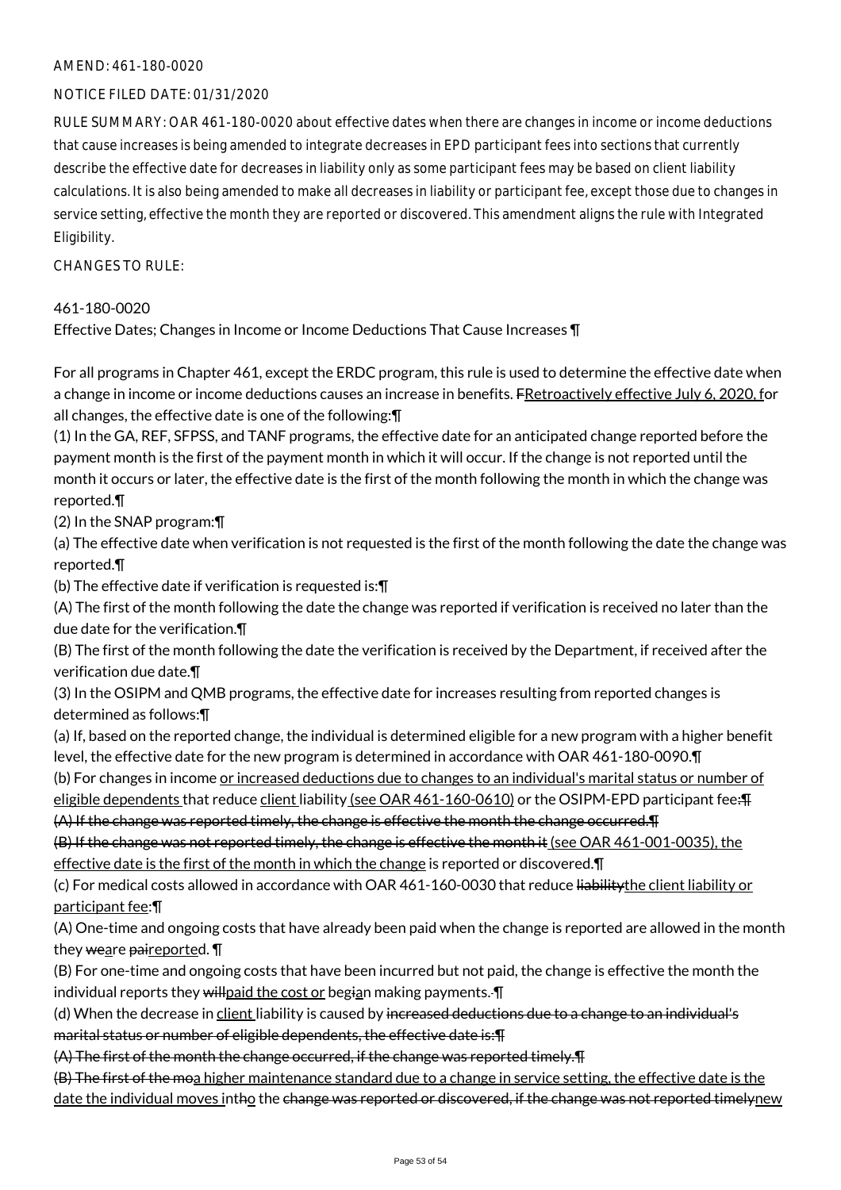### AMEND: 461-180-0020

### NOTICE FILED DATE: 01/31/2020

RULE SUMMARY: OAR 461-180-0020 about effective dates when there are changes in income or income deductions that cause increases is being amended to integrate decreases in EPD participant fees into sections that currently describe the effective date for decreases in liability only as some participant fees may be based on client liability calculations. It is also being amended to make all decreases in liability or participant fee, except those due to changes in service setting, effective the month they are reported or discovered. This amendment aligns the rule with Integrated Eligibility.

CHANGES TO RULE:

### 461-180-0020

Effective Dates; Changes in Income or Income Deductions That Cause Increases ¶

For all programs in Chapter 461, except the ERDC program, this rule is used to determine the effective date when a change in income or income deductions causes an increase in benefits. FRetroactively effective July 6, 2020, for all changes, the effective date is one of the following:¶

(1) In the GA, REF, SFPSS, and TANF programs, the effective date for an anticipated change reported before the payment month is the first of the payment month in which it will occur. If the change is not reported until the month it occurs or later, the effective date is the first of the month following the month in which the change was reported.¶

(2) In the SNAP program:¶

(a) The effective date when verification is not requested is the first of the month following the date the change was reported.¶

(b) The effective date if verification is requested is:¶

(A) The first of the month following the date the change was reported if verification is received no later than the due date for the verification.¶

(B) The first of the month following the date the verification is received by the Department, if received after the verification due date.¶

(3) In the OSIPM and QMB programs, the effective date for increases resulting from reported changes is determined as follows:¶

(a) If, based on the reported change, the individual is determined eligible for a new program with a higher benefit level, the effective date for the new program is determined in accordance with OAR 461-180-0090.¶

(b) For changes in income or increased deductions due to changes to an individual's marital status or number of eligible dependents that reduce client liability (see OAR 461-160-0610) or the OSIPM-EPD participant fee: Fig.

(A) If the change was reported timely, the change is effective the month the change occurred.¶

(B) If the change was not reported timely, the change is effective the month it (see OAR 461-001-0035), the

effective date is the first of the month in which the change is reported or discovered. I

(c) For medical costs allowed in accordance with OAR 461-160-0030 that reduce liabilitythe client liability or participant fee:¶

(A) One-time and ongoing costs that have already been paid when the change is reported are allowed in the month they weare paireported.

(B) For one-time and ongoing costs that have been incurred but not paid, the change is effective the month the individual reports they willpaid the cost or begian making payments.  $\P$ 

(d) When the decrease in client liability is caused by increased deductions due to a change to an individual's marital status or number of eligible dependents, the effective date is:¶

(A) The first of the month the change occurred, if the change was reported timely.¶

(B) The first of the moa higher maintenance standard due to a change in service setting, the effective date is the date the individual moves intho the change was reported or discovered, if the change was not reported timelynew